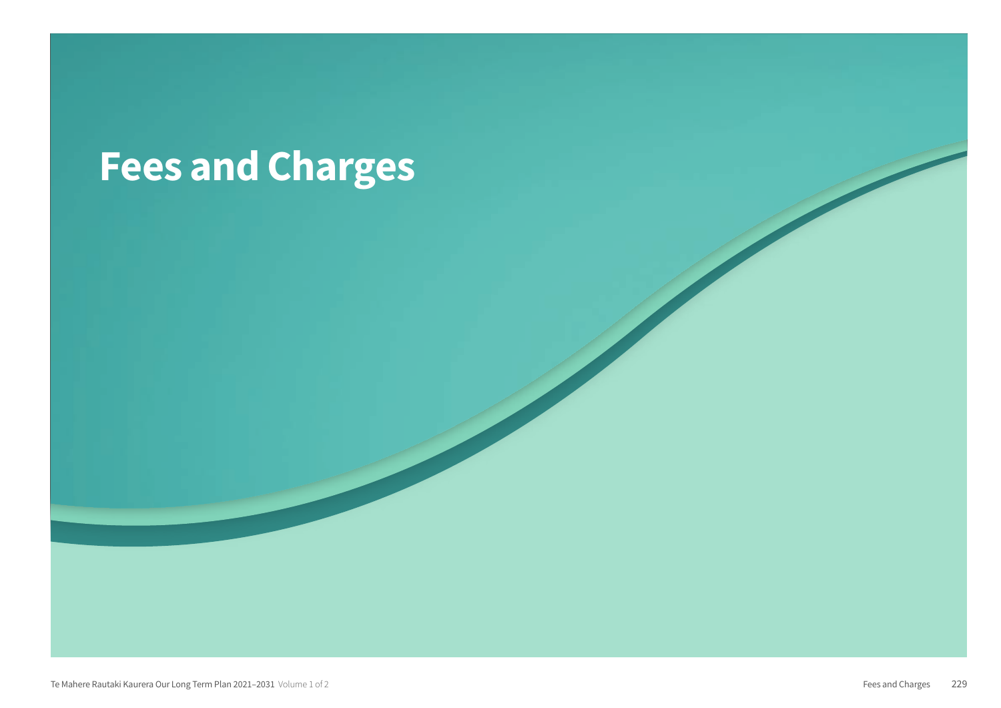# Fees and Charges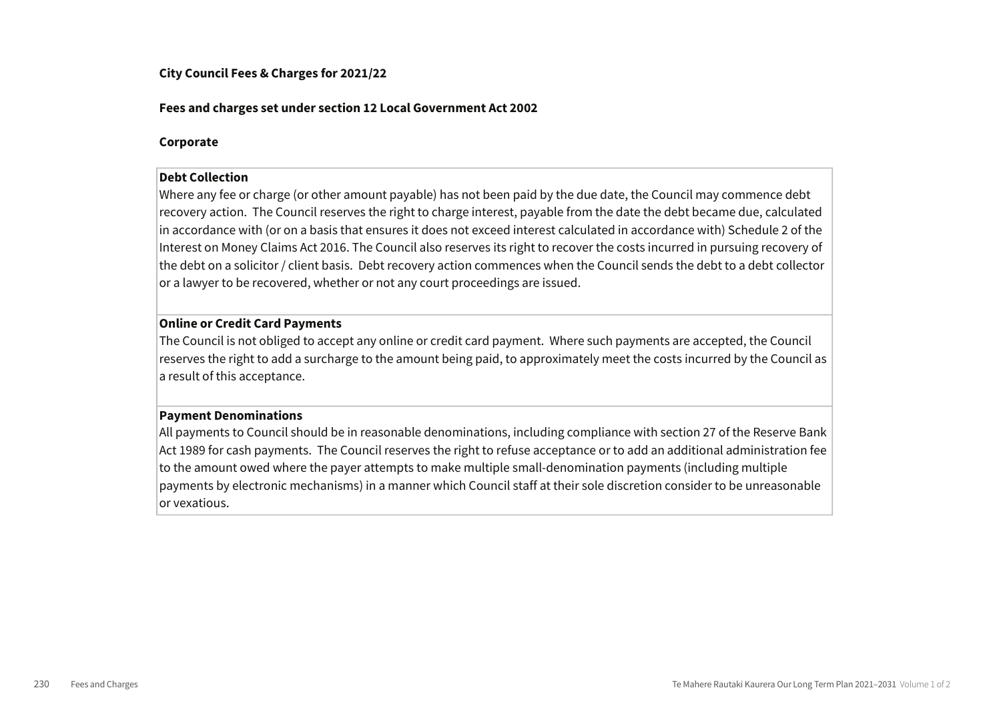#### City Council Fees & Charges for 2021/22

#### Fees and charges set under section 12 Local Government Act 2002

#### Corporate

#### Debt Collection

Where any fee or charge (or other amount payable) has not been paid by the due date, the Council may commence debt recovery action. The Council reserves the right to charge interest, payable from the date the debt became due, calculated in accordance with (or on a basis that ensures it does not exceed interest calculated in accordance with) Schedule 2 of the Interest on Money Claims Act 2016. The Council also reserves its right to recover the costs incurred in pursuing recovery of the debt on a solicitor / client basis. Debt recovery action commences when the Council sends the debt to a debt collector or a lawyer to be recovered, whether or not any court proceedings are issued.

#### Online or Credit Card Payments

The Council is not obliged to accept any online or credit card payment. Where such payments are accepted, the Council reserves the right to add a surcharge to the amount being paid, to approximately meet the costs incurred by the Council as a result of this acceptance.

#### Payment Denominations

All payments to Council should be in reasonable denominations, including compliance with section 27 of the Reserve Bank Act 1989 for cash payments. The Council reserves the right to refuse acceptance or to add an additional administration fee to the amount owed where the payer attempts to make multiple small-denomination payments (including multiple payments by electronic mechanisms) in a manner which Council staff at their sole discretion consider to be unreasonable or vexatious.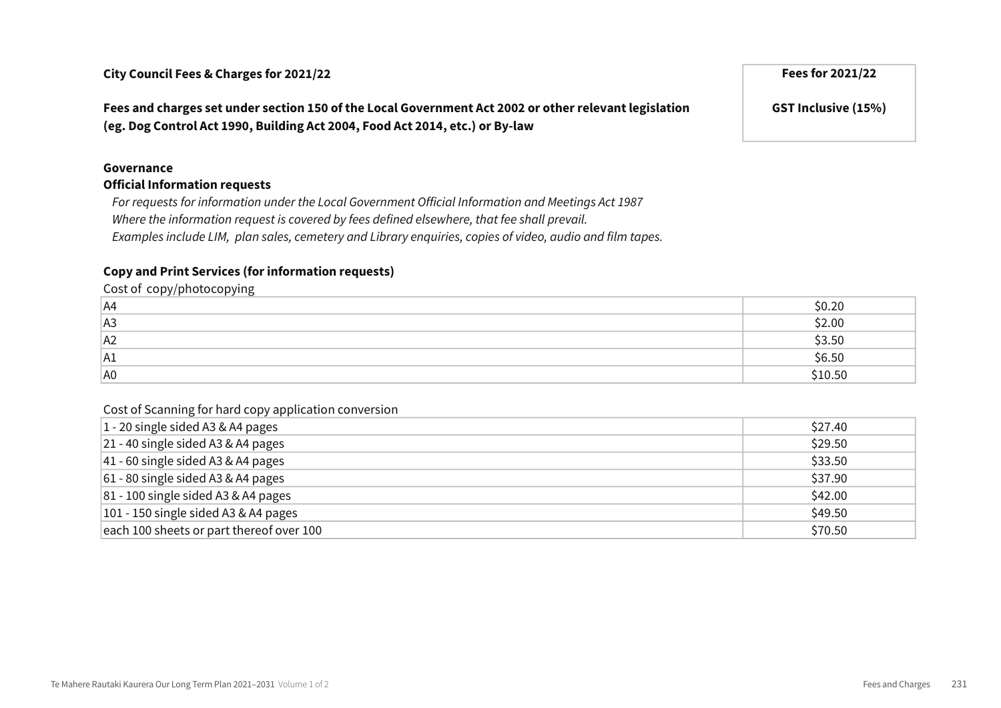Fees and charges set under section 150 of the Local Government Act 2002 or other relevant legislation (eg. Dog Control Act 1990, Building Act 2004, Food Act 2014, etc.) or By-law

#### Governance

#### Official Information requests

For requests for information under the Local Government Official Information and Meetings Act 1987 Where the information request is covered by fees defined elsewhere, that fee shall prevail. Examples include LIM, plan sales, cemetery and Library enquiries, copies of video, audio and film tapes.

#### Copy and Print Services (for information requests)

Cost of copy/photocopying

| A4 | ົາເ<br>しいこん    |
|----|----------------|
| A3 | \$2.00         |
| A2 | \$3.50         |
| A1 | \$6.50         |
| A0 | <b>\$10.50</b> |

#### Cost of Scanning for hard copy application conversion

| $1 - 20$ single sided A3 & A4 pages      | \$27.40 |
|------------------------------------------|---------|
| $21 - 40$ single sided A3 & A4 pages     | \$29.50 |
| $ 41 - 60$ single sided A3 & A4 pages    | \$33.50 |
| $61 - 80$ single sided A3 & A4 pages     | \$37.90 |
| $81 - 100$ single sided A3 & A4 pages    | \$42.00 |
| $101 - 150$ single sided A3 & A4 pages   | \$49.50 |
| each 100 sheets or part thereof over 100 | \$70.50 |

GST Inclusive (15%)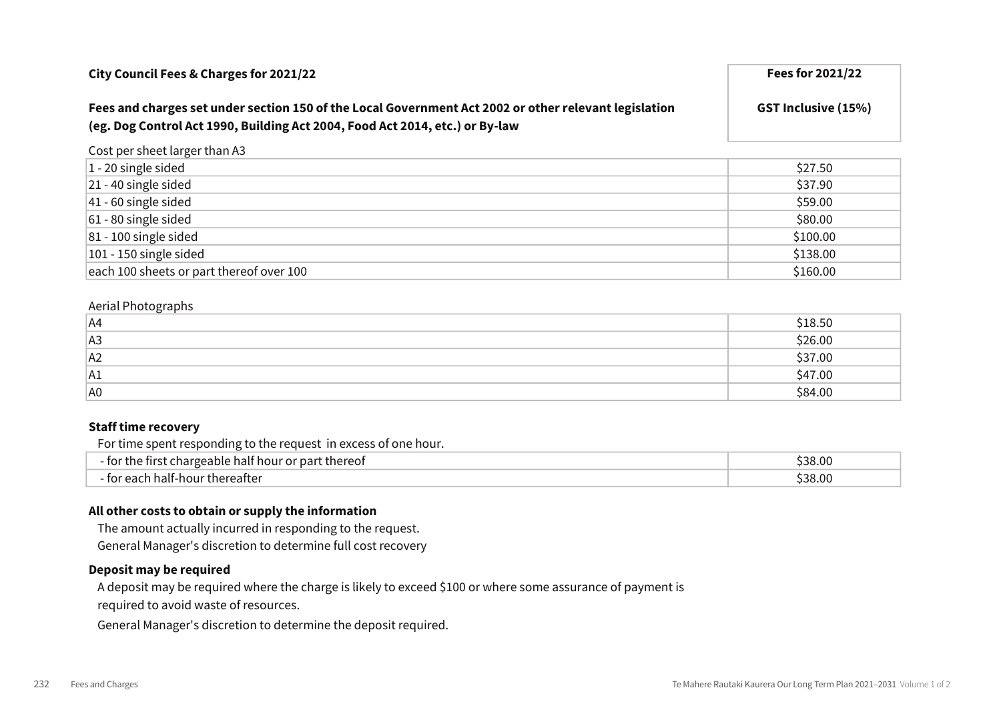| City Council Fees & Charges for 2021/22                                                                                                                                               | <b>Fees for 2021/22</b>    |
|---------------------------------------------------------------------------------------------------------------------------------------------------------------------------------------|----------------------------|
| Fees and charges set under section 150 of the Local Government Act 2002 or other relevant legislation<br>(eg. Dog Control Act 1990, Building Act 2004, Food Act 2014, etc.) or By-law | <b>GST Inclusive (15%)</b> |
| Contra conclusive linear and concentrations A                                                                                                                                         |                            |

Cost per sheet larger than A3

| $\vert$ 1 - 20 single sided              | \$27.50  |
|------------------------------------------|----------|
| $21 - 40$ single sided                   | \$37.90  |
| $ 41 - 60$ single sided                  | \$59.00  |
| $61 - 80$ single sided                   | \$80.00  |
| $ 81 - 100$ single sided                 | \$100.00 |
| $101 - 150$ single sided                 | \$138.00 |
| each 100 sheets or part thereof over 100 | \$160.00 |

#### Aerial Photographs

| AA | \$18.50 |
|----|---------|
| A3 | \$26.00 |
| A2 | \$37.00 |
| A1 | \$47.00 |
| A0 | \$84.00 |

#### Staff time recovery

For time spent responding to the request in excess of one hour.

| thereof<br>half hour <b>.</b><br>, nart<br>ulargeable h<br>0ľ | $\sim$<br>53<br>7.UU |
|---------------------------------------------------------------|----------------------|
| thereafter <sup>.</sup><br>aalt-h<br>າດເມ<br>⊸⊿เ              | $\sim$<br>s.uu<br>≺× |

#### All other costs to obtain or supply the information

The amount actually incurred in responding to the request. General Manager's discretion to determine full cost recovery

#### Deposit may be required

A deposit may be required where the charge is likely to exceed \$100 or where some assurance of payment is required to avoid waste of resources.

General Manager's discretion to determine the deposit required.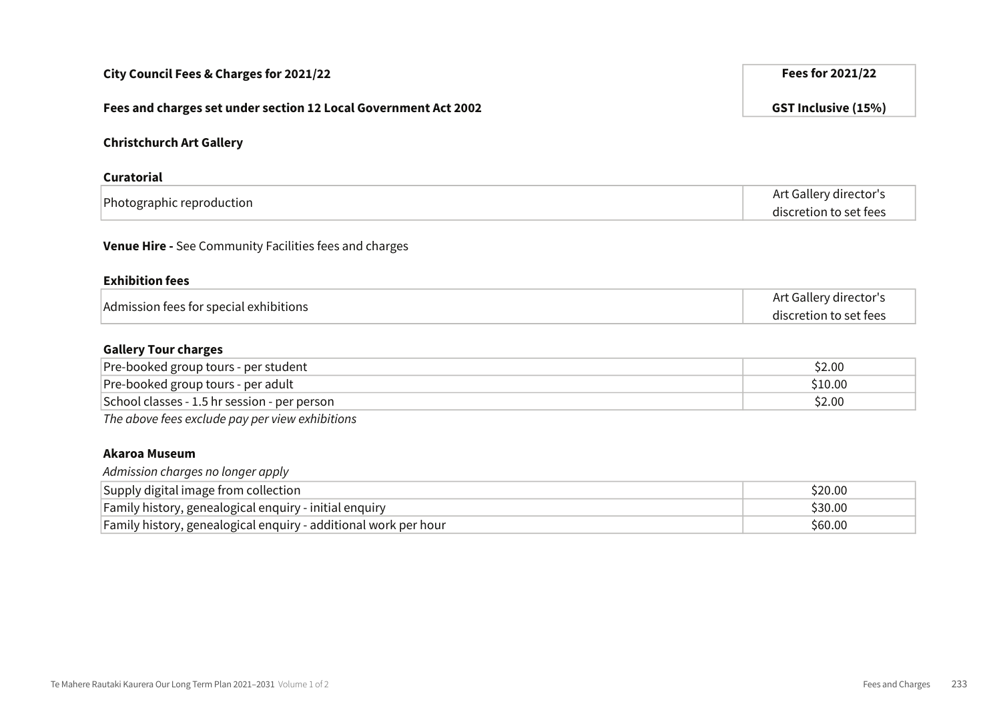| City Council Fees & Charges for 2021/22                         | Fees for 2021/22           |
|-----------------------------------------------------------------|----------------------------|
| Fees and charges set under section 12 Local Government Act 2002 | <b>GST Inclusive (15%)</b> |
| <b>Christchurch Art Gallery</b>                                 |                            |
| <b>Curatorial</b>                                               |                            |
| Photographic reproduction                                       | Art Gallery director's     |
|                                                                 | discretion to set fees     |
| Venue Hire - See Community Facilities fees and charges          |                            |
| <b>Exhibition fees</b>                                          |                            |
| Admission fees for special exhibitions                          | Art Gallery director's     |
|                                                                 | discretion to set fees     |
| <b>Gallery Tour charges</b>                                     |                            |
| Pre-booked group tours - per student                            | \$2.00                     |
| Pre-booked group tours - per adult                              | \$10.00                    |
| School classes - 1.5 hr session - per person                    | \$2.00                     |
| The above fees exclude pay per view exhibitions                 |                            |
| <b>Akaroa Museum</b><br>Admission charges no longer apply       |                            |
| Supply digital image from collection                            | \$20.00                    |
| Family history, genealogical enquiry - initial enquiry          | \$30.00                    |

Family history, genealogical enquiry - additional work per hour **Family history, and the COSE of SCOSE** \$60.00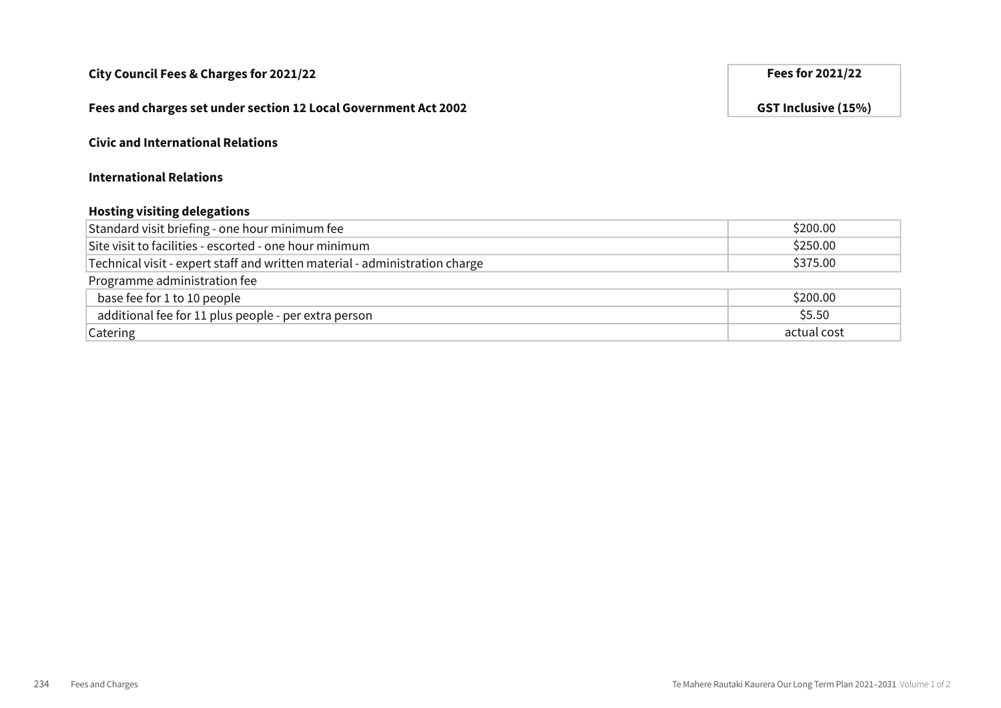#### Fees and charges set under section 12 Local Government Act 2002 GST Inclusive (15%)

#### Civic and International Relations

#### International Relations

#### Hosting visiting delegations

| Standard visit briefing - one hour minimum fee                              | \$200.00    |
|-----------------------------------------------------------------------------|-------------|
| Site visit to facilities - escorted - one hour minimum                      | \$250.00    |
| Technical visit - expert staff and written material - administration charge | \$375.00    |
| Programme administration fee                                                |             |
| base fee for 1 to 10 people                                                 | \$200.00    |
| additional fee for 11 plus people - per extra person                        | \$5.50      |
| Catering                                                                    | actual cost |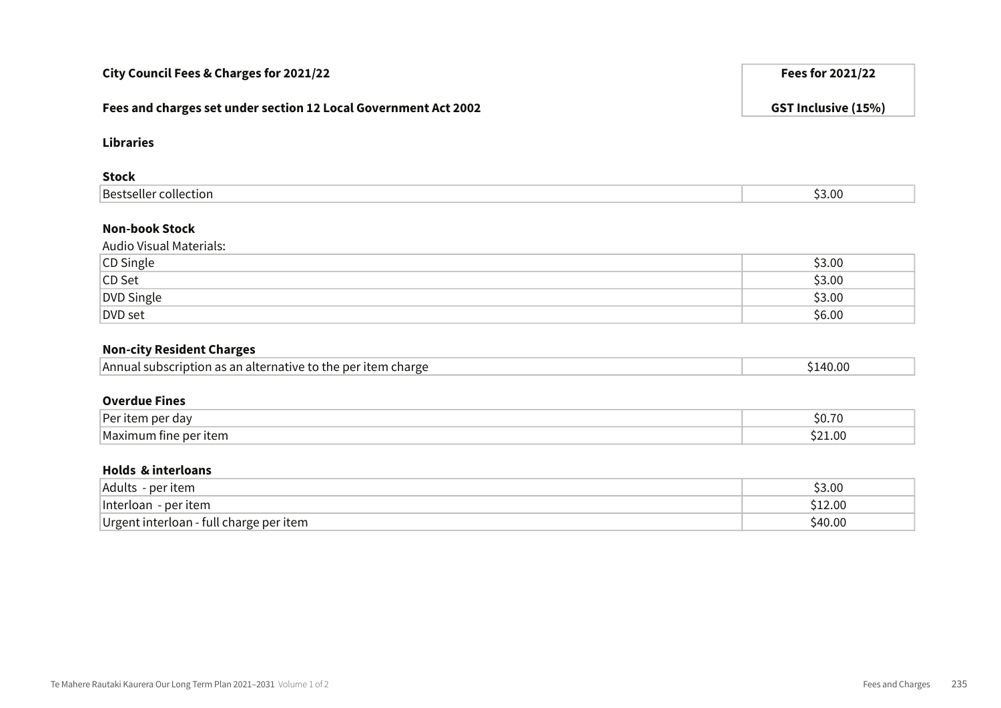| City Council Fees & Charges for 2021/22                         | Fees for 2021/22           |
|-----------------------------------------------------------------|----------------------------|
| Fees and charges set under section 12 Local Government Act 2002 | <b>GST Inclusive (15%)</b> |
| <b>Libraries</b>                                                |                            |
| <b>Stock</b>                                                    |                            |
| <b>Bestseller collection</b>                                    | \$3.00                     |
| <b>Non-book Stock</b><br><b>Audio Visual Materials:</b>         |                            |
| CD Single                                                       | \$3.00                     |
| CD Set                                                          | \$3.00                     |
| DVD Single                                                      | \$3.00                     |
| <b>DVD</b> set                                                  | \$6.00                     |
| <b>Non-city Resident Charges</b>                                |                            |
| Annual subscription as an alternative to the per item charge    | \$140.00                   |
| <b>Overdue Fines</b>                                            |                            |
| Per item per day                                                | \$0.70                     |
| Maximum fine per item                                           | \$21.00                    |
| <b>Holds &amp; interloans</b>                                   |                            |
| Adults - per item                                               | \$3.00                     |
| Interloan - per item                                            | \$12.00                    |
| Urgent interloan - full charge per item                         | \$40.00                    |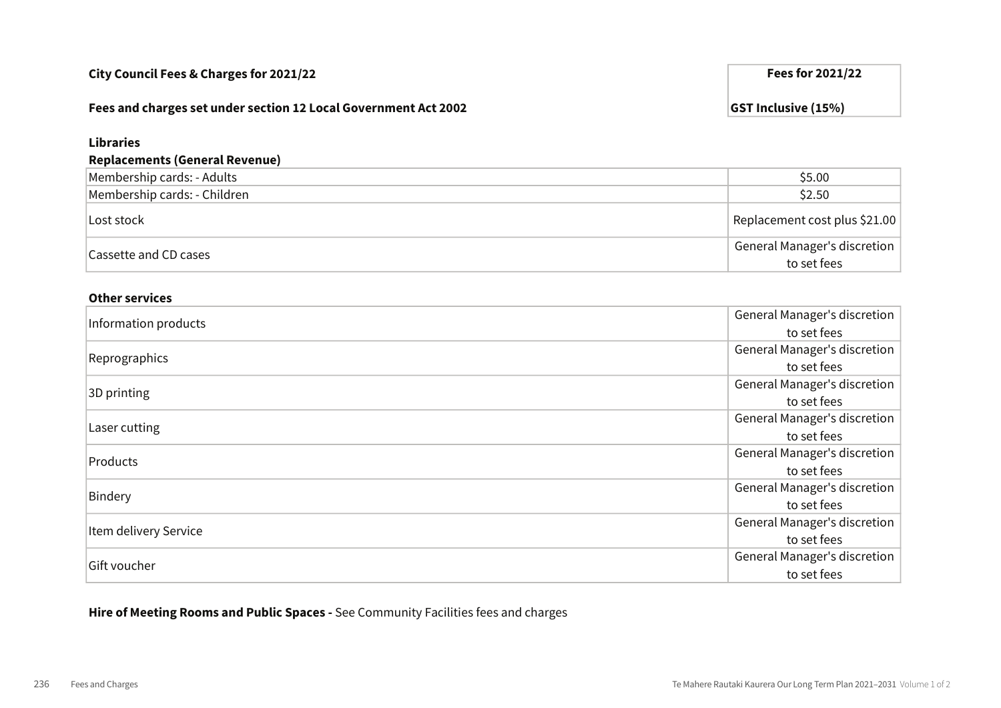#### Fees and charges set under section 12 Local Government Act 2002 GST Inclusive (15%)

## Libraries Replacements (General Revenue) Membership cards: - Adults \$5.00 Membership cards: - Children  $\sim$ Lost stock Replacement cost plus \$21.00 Cassette and CD cases General Manager's discretion to set fees

#### Other services

| Information products  | General Manager's discretion |
|-----------------------|------------------------------|
|                       | to set fees                  |
| Reprographics         | General Manager's discretion |
|                       | to set fees                  |
| 3D printing           | General Manager's discretion |
|                       | to set fees                  |
| Laser cutting         | General Manager's discretion |
|                       | to set fees                  |
| Products              | General Manager's discretion |
|                       | to set fees                  |
| Bindery               | General Manager's discretion |
|                       | to set fees                  |
| Item delivery Service | General Manager's discretion |
|                       | to set fees                  |
| Gift voucher          | General Manager's discretion |
|                       | to set fees                  |

Hire of Meeting Rooms and Public Spaces - See Community Facilities fees and charges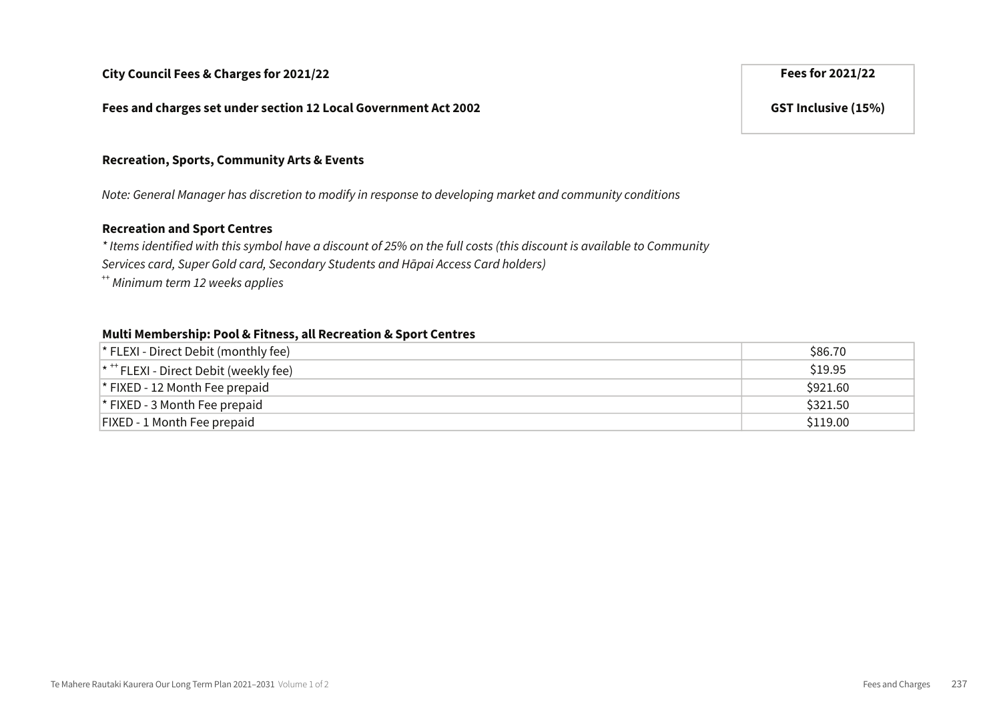Fees and charges set under section 12 Local Government Act 2002 GST Inclusive (15%)

#### Recreation, Sports, Community Arts & Events

Note: General Manager has discretion to modify in response to developing market and community conditions

#### Recreation and Sport Centres

\* Items identified with this symbol have a discount of 25% on the full costs (this discount is available to Community Services card, Super Gold card, Secondary Students and Hāpai Access Card holders)

++ Minimum term 12 weeks applies

#### Multi Membership: Pool & Fitness, all Recreation & Sport Centres

| $\vert$ * FLEXI - Direct Debit (monthly fee)         | \$86.70  |
|------------------------------------------------------|----------|
| $*$ <sup>+++</sup> FLEXI - Direct Debit (weekly fee) | \$19.95  |
| $\vert$ * FIXED - 12 Month Fee prepaid               | \$921.60 |
| $\vert$ * FIXED - 3 Month Fee prepaid                | \$321.50 |
| <b>FIXED - 1 Month Fee prepaid</b>                   | \$119.00 |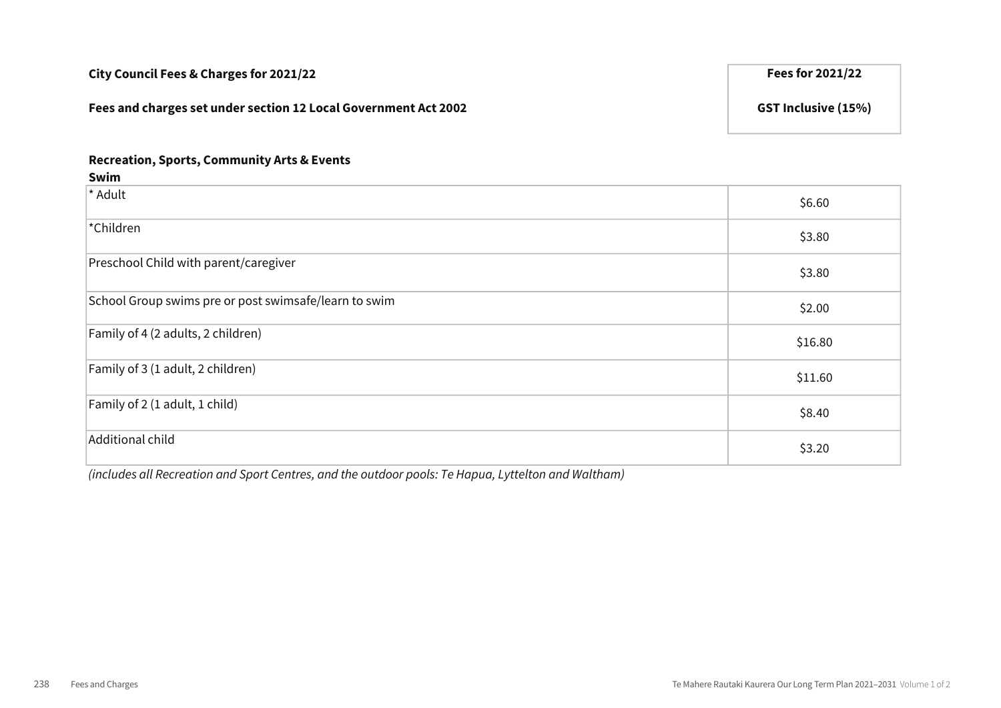# City Council Fees & Charges for 2021/22 **Fees for 2021/22** Fees for 2021/22 Fees and charges set under section 12 Local Government Act 2002 GST Inclusive (15%)

#### Recreation, Sports, Community Arts & Events

| Swim                                                  |         |
|-------------------------------------------------------|---------|
| * Adult                                               | \$6.60  |
| *Children                                             | \$3.80  |
| Preschool Child with parent/caregiver                 | \$3.80  |
| School Group swims pre or post swimsafe/learn to swim | \$2.00  |
| Family of 4 (2 adults, 2 children)                    | \$16.80 |
| Family of 3 (1 adult, 2 children)                     | \$11.60 |
| Family of 2 (1 adult, 1 child)                        | \$8.40  |
| Additional child                                      | \$3.20  |

(includes all Recreation and Sport Centres, and the outdoor pools: Te Hapua, Lyttelton and Waltham)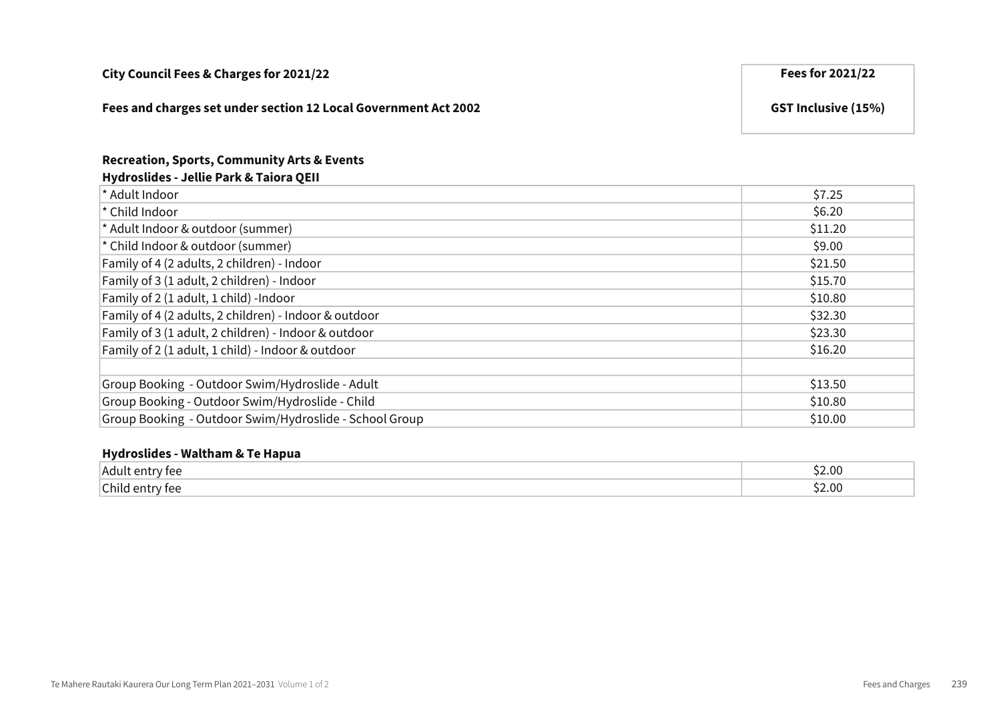| City Council Fees & Charges for 2021/22                         | Fees for 2021/22           |
|-----------------------------------------------------------------|----------------------------|
| Fees and charges set under section 12 Local Government Act 2002 | <b>GST Inclusive (15%)</b> |

#### Recreation, Sports, Community Arts & Events Hydroslides - Jellie Park & Taiora QEII

| * Adult Indoor                                         | \$7.25  |
|--------------------------------------------------------|---------|
| * Child Indoor                                         | \$6.20  |
| * Adult Indoor & outdoor (summer)                      | \$11.20 |
| * Child Indoor & outdoor (summer)                      | \$9.00  |
| Family of 4 (2 adults, 2 children) - Indoor            | \$21.50 |
| Family of 3 (1 adult, 2 children) - Indoor             | \$15.70 |
| Family of 2 (1 adult, 1 child) -Indoor                 | \$10.80 |
| Family of 4 (2 adults, 2 children) - Indoor & outdoor  | \$32.30 |
| Family of 3 (1 adult, 2 children) - Indoor & outdoor   | \$23.30 |
| Family of 2 (1 adult, 1 child) - Indoor & outdoor      | \$16.20 |
|                                                        |         |
| Group Booking - Outdoor Swim/Hydroslide - Adult        | \$13.50 |
| Group Booking - Outdoor Swim/Hydroslide - Child        | \$10.80 |
| Group Booking - Outdoor Swim/Hydroslide - School Group | \$10.00 |

#### Hydroslides - Waltham & Te Hapua

| !Adı<br><sup>,</sup> tee<br>$\sim$ | 52.00<br>$\sim$ $\sim$ |
|------------------------------------|------------------------|
| Child entry fee                    | 2.00ډ                  |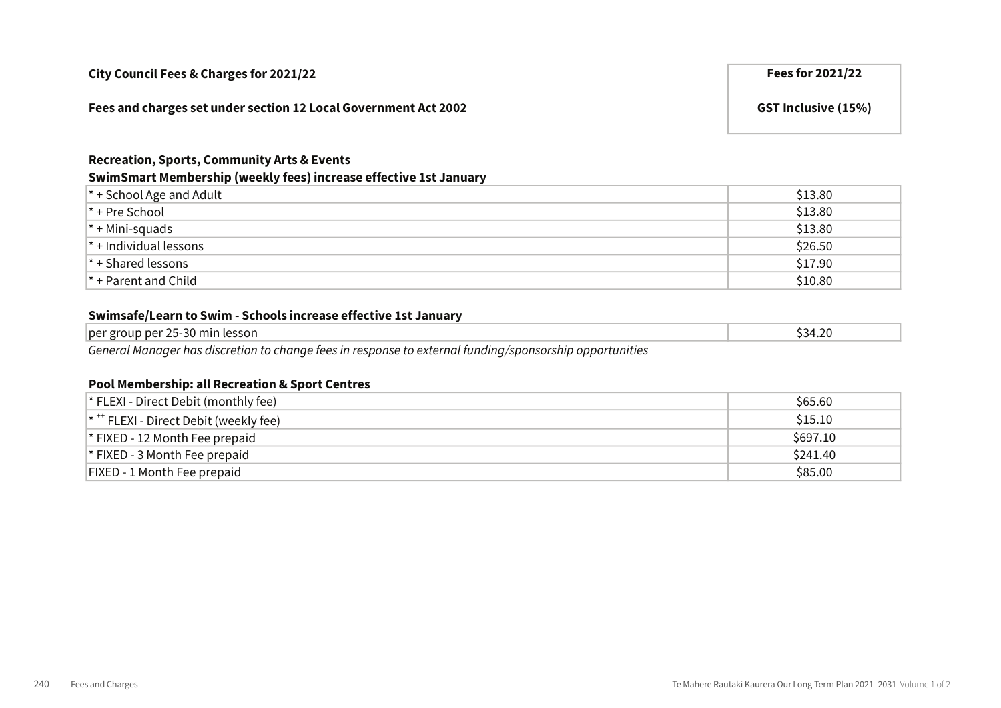#### $*$  + Pre School  $\$13.80$

 $*$  + Mini-squads  $$13.80$ 

\* + Individual lessons \$26.50

\* + Shared lessons \$17.90

\* + Parent and Child \$10.80

#### Swimsafe/Learn to Swim - Schools increase effective 1st January

| $\Omega$<br>ാ∩<br>. .<br>'esson<br>، 34<br>nın<br>າເເກ<br>∪ר∍נ<br>.<br>. |        |  |
|--------------------------------------------------------------------------|--------|--|
|                                                                          | per gr |  |

\* + School Age and Adult \$13.80

General Manager has discretion to change fees in response to external funding/sponsorship opportunities

#### Pool Membership: all Recreation & Sport Centres

| $*$ FLEXI - Direct Debit (monthly fee)             | \$65.60  |
|----------------------------------------------------|----------|
| $*$ <sup>*</sup> FLEXI - Direct Debit (weekly fee) | \$15.10  |
| $*$ FIXED - 12 Month Fee prepaid                   | \$697.10 |
| $\vert$ * FIXED - 3 Month Fee prepaid              | \$241.40 |
| <b>FIXED - 1 Month Fee prepaid</b>                 | \$85.00  |

| City Council Fees & Charges for 2021/22 | Fees for 2021/22 |
|-----------------------------------------|------------------|

Recreation, Sports, Community Arts & Events

Fees and charges set under section 12 Local Government Act 2002 GST Inclusive (15%)

SwimSmart Membership (weekly fees) increase effective 1st January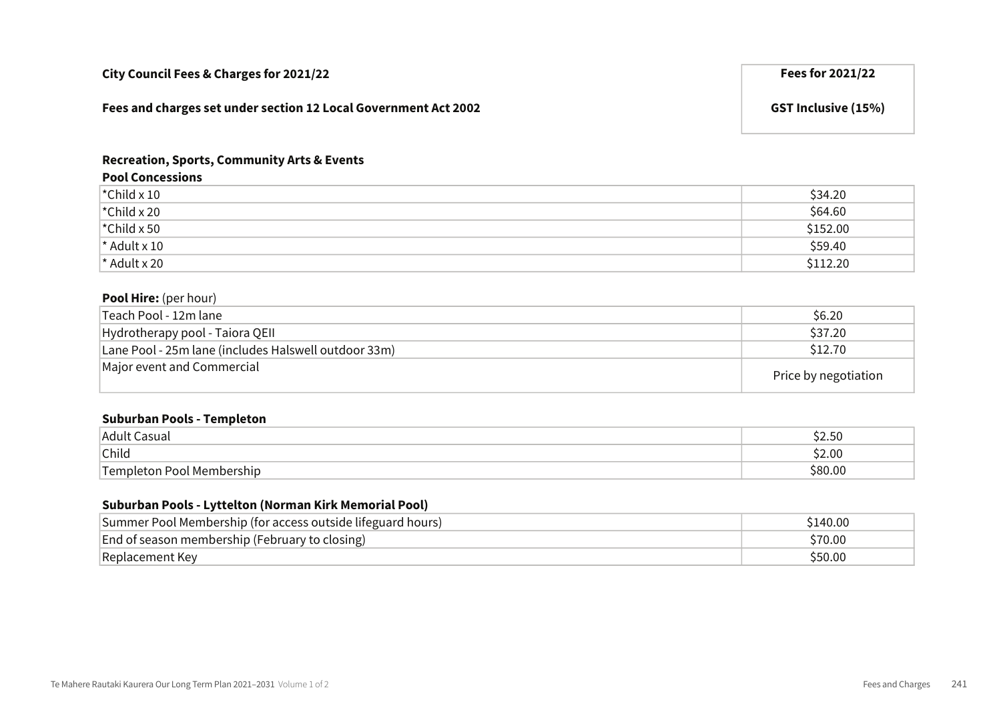| City Council Fees & Charges for 2021/22                         | Fees for 2021/22           |
|-----------------------------------------------------------------|----------------------------|
| Fees and charges set under section 12 Local Government Act 2002 | <b>GST Inclusive (15%)</b> |

#### Recreation, Sports, Community Arts & Events

#### Pool Concessions

| $\vert$ *Child x 10             | \$34.20  |
|---------------------------------|----------|
| $\vert$ *Child x 20             | \$64.60  |
| $\mathsf{\check{c}}$ Child x 50 | \$152.00 |
| $\star$ Adult x 10              | \$59.40  |
| $\vert$ * Adult x 20            | \$112.20 |

#### Pool Hire: (per hour)

| 'Teach Pool - 12m lane                               | \$6.20               |
|------------------------------------------------------|----------------------|
| Hydrotherapy pool - Taiora QEII                      | \$37.20              |
| Lane Pool - 25m lane (includes Halswell outdoor 33m) | \$12.70              |
| Major event and Commercial                           | Price by negotiation |

#### Suburban Pools - Templeton

| Adult<br>`asuai                      | <u>г</u><br>י<br>りんいい |
|--------------------------------------|-----------------------|
| Child                                | 2.00                  |
| ╺╾<br>⊥om<br>ວleton Pool Membership_ | $\sim$                |

#### Suburban Pools - Lyttelton (Norman Kirk Memorial Pool)

| Summer Pool Membership (for access outside lifeguard hours) | \$140.00 |
|-------------------------------------------------------------|----------|
| End of season membership (February to closing)              | \$70.00  |
| Replacement Key                                             | \$50.00  |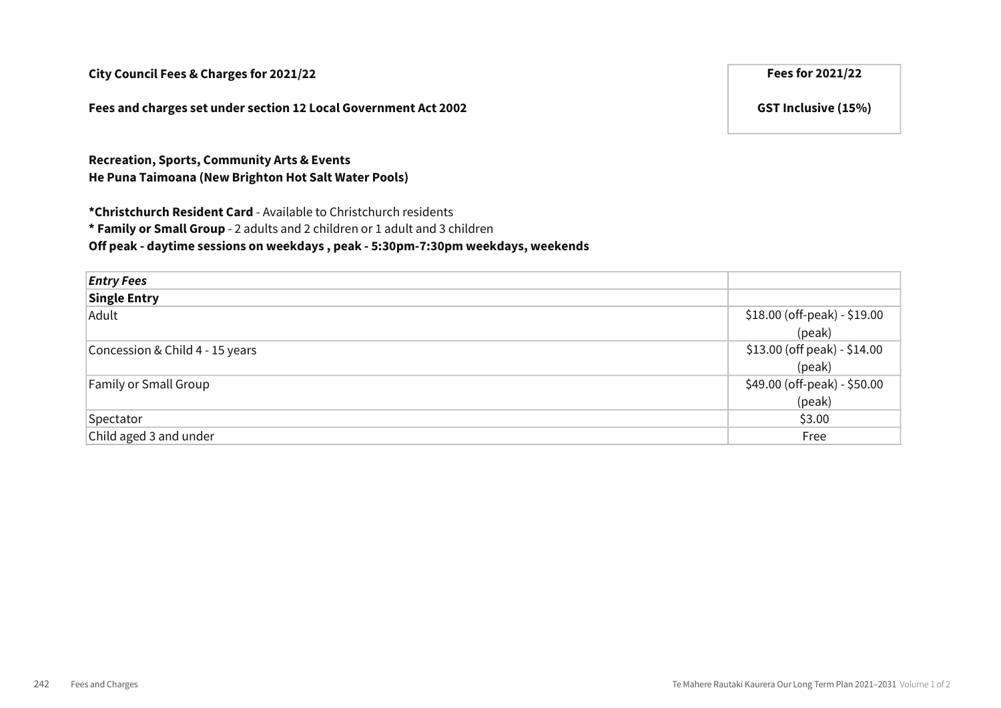Fees and charges set under section 12 Local Government Act 2002 GST Inclusive (15%)

Recreation, Sports, Community Arts & Events He Puna Taimoana (New Brighton Hot Salt Water Pools)

\*Christchurch Resident Card - Available to Christchurch residents

\* Family or Small Group - 2 adults and 2 children or 1 adult and 3 children

Off peak - daytime sessions on weekdays , peak - 5:30pm-7:30pm weekdays, weekends

| <b>Entry Fees</b>               |                              |
|---------------------------------|------------------------------|
| <b>Single Entry</b>             |                              |
| Adult                           | \$18.00 (off-peak) - \$19.00 |
|                                 | (peak)                       |
| Concession & Child 4 - 15 years | \$13.00 (off peak) - \$14.00 |
|                                 | (peak)                       |
| <b>Family or Small Group</b>    | \$49.00 (off-peak) - \$50.00 |
|                                 | (peak)                       |
| Spectator                       | \$3.00                       |
| Child aged 3 and under          | Free                         |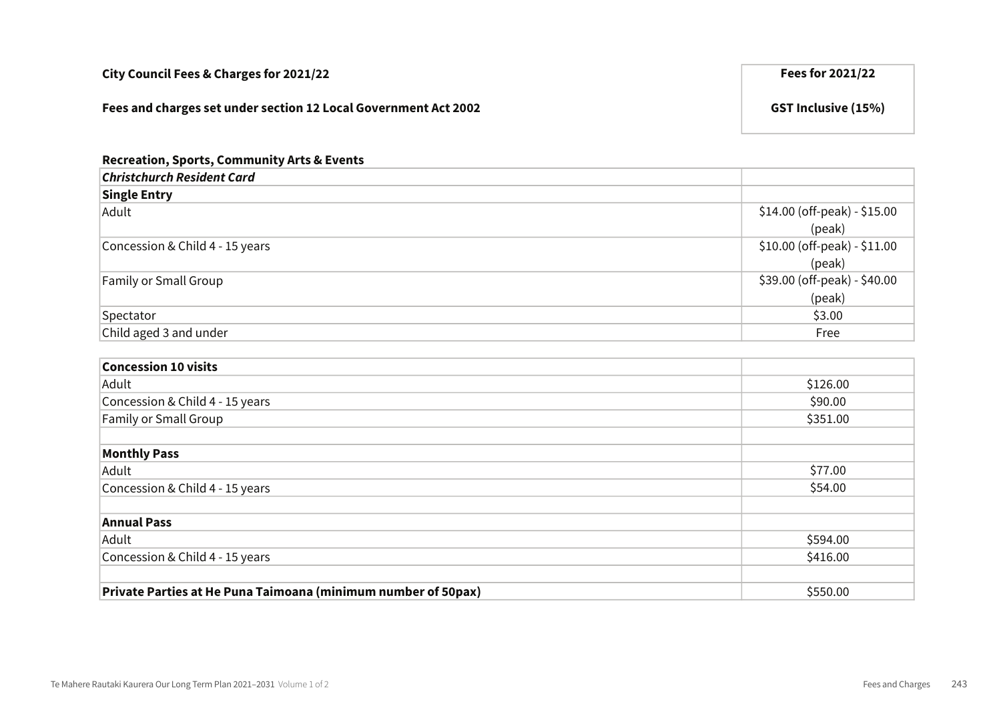| City Council Fees & Charges for 2021/22                         | Fees for 2021/22           |
|-----------------------------------------------------------------|----------------------------|
| Fees and charges set under section 12 Local Government Act 2002 | <b>GST Inclusive (15%)</b> |

| <b>Recreation, Sports, Community Arts &amp; Events</b> |                                |
|--------------------------------------------------------|--------------------------------|
| <b>Christchurch Resident Card</b>                      |                                |
| <b>Single Entry</b>                                    |                                |
| Adult                                                  | $$14.00$ (off-peak) - $$15.00$ |
|                                                        | (peak)                         |
| Concession & Child 4 - 15 years                        | \$10.00 (off-peak) - \$11.00   |
|                                                        | (peak)                         |
| <b>Family or Small Group</b>                           | \$39.00 (off-peak) - \$40.00   |
|                                                        | (peak)                         |
| Spectator                                              | \$3.00                         |
| Child aged 3 and under                                 | Free                           |

| <b>Concession 10 visits</b>                                   |          |
|---------------------------------------------------------------|----------|
| Adult                                                         | \$126.00 |
| Concession & Child 4 - 15 years                               | \$90.00  |
| Family or Small Group                                         | \$351.00 |
|                                                               |          |
| <b>Monthly Pass</b>                                           |          |
| Adult                                                         | \$77.00  |
| Concession & Child 4 - 15 years                               | \$54.00  |
|                                                               |          |
| <b>Annual Pass</b>                                            |          |
| Adult                                                         | \$594.00 |
| Concession & Child 4 - 15 years                               | \$416.00 |
|                                                               |          |
| Private Parties at He Puna Taimoana (minimum number of 50pax) | \$550.00 |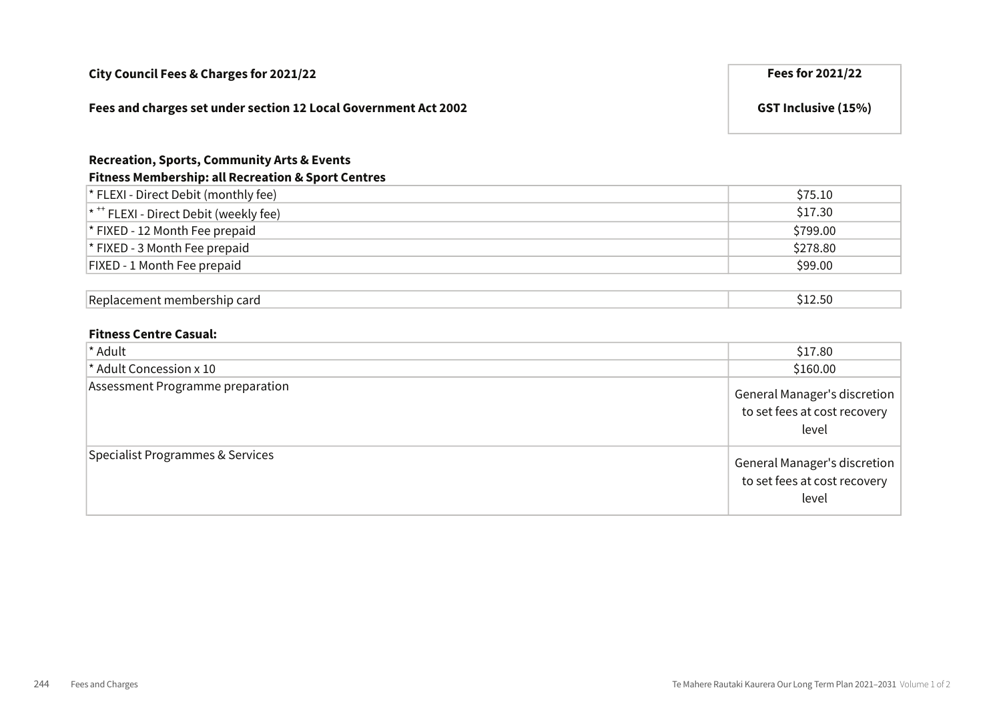| City Council Fees & Charges for 2021/22                                                                                 | Fees for 2021/22           |
|-------------------------------------------------------------------------------------------------------------------------|----------------------------|
| Fees and charges set under section 12 Local Government Act 2002                                                         | <b>GST Inclusive (15%)</b> |
| <b>Recreation, Sports, Community Arts &amp; Events</b><br><b>Fitness Membership: all Recreation &amp; Sport Centres</b> |                            |
| * FLEXI - Direct Debit (monthly fee)                                                                                    | \$75.10                    |
| * <sup>++</sup> FLEXI - Direct Debit (weekly fee)                                                                       | \$17.30                    |
| * FIXED - 12 Month Fee prepaid                                                                                          | \$799.00                   |
| * FIXED - 3 Month Fee prepaid                                                                                           | \$278.80                   |
| FIXED - 1 Month Fee prepaid                                                                                             | \$99.00                    |
|                                                                                                                         |                            |
| Replacement membership card                                                                                             | \$12.50                    |

#### Fitness Centre Casual:

| * Adult                          | \$17.80                                                               |
|----------------------------------|-----------------------------------------------------------------------|
| * Adult Concession x 10          | \$160.00                                                              |
| Assessment Programme preparation | General Manager's discretion<br>to set fees at cost recovery<br>level |
| Specialist Programmes & Services | General Manager's discretion<br>to set fees at cost recovery<br>level |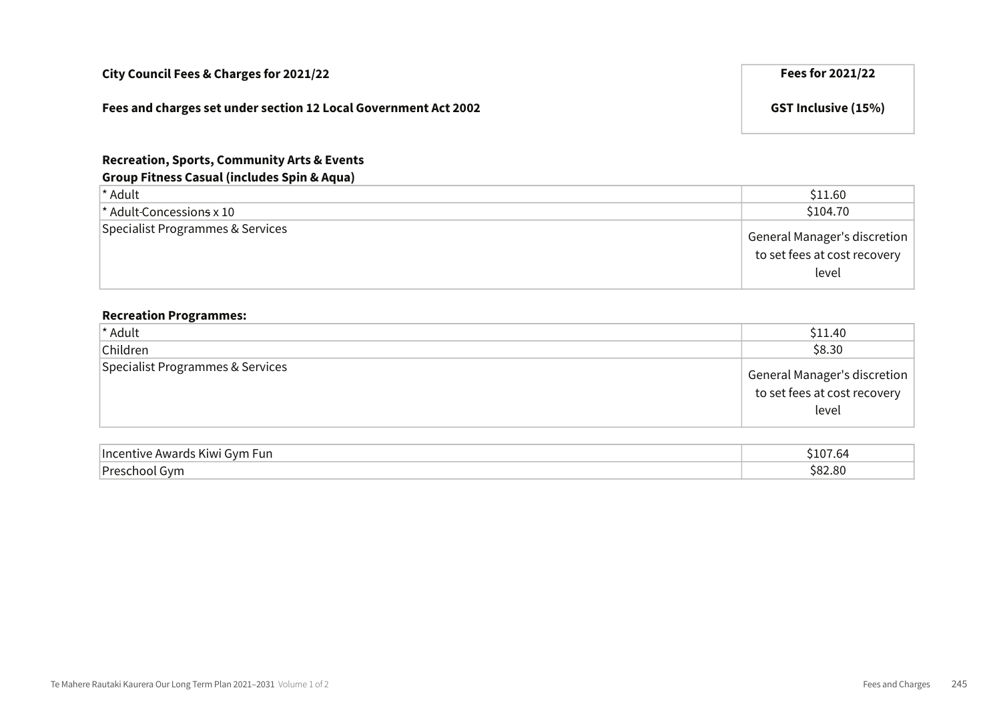#### Fees and charges set under section 12 Local Government Act 2002 GST Inclusive (15%)

#### Recreation, Sports, Community Arts & Events

#### Group Fitness Casual (includes Spin & Aqua)

| <sup>*</sup> Adult               | \$11.60                                                                          |
|----------------------------------|----------------------------------------------------------------------------------|
| $\star$ Adult-Concessions x 10   | \$104.70                                                                         |
| Specialist Programmes & Services | $^\dagger$ General Manager's discretion<br>to set fees at cost recovery<br>level |

### Recreation Programmes:

| * Adult                          | \$11.40                                                                   |
|----------------------------------|---------------------------------------------------------------------------|
| Children                         | \$8.30                                                                    |
| Specialist Programmes & Services | General Manager's discretion  <br>  to set fees at cost recovery<br>level |

| Inc<br>. Fun<br>∍∨n<br>EINALL | nД     |
|-------------------------------|--------|
| Dr <sub>O</sub>               | $\sim$ |
| N                             | $\sim$ |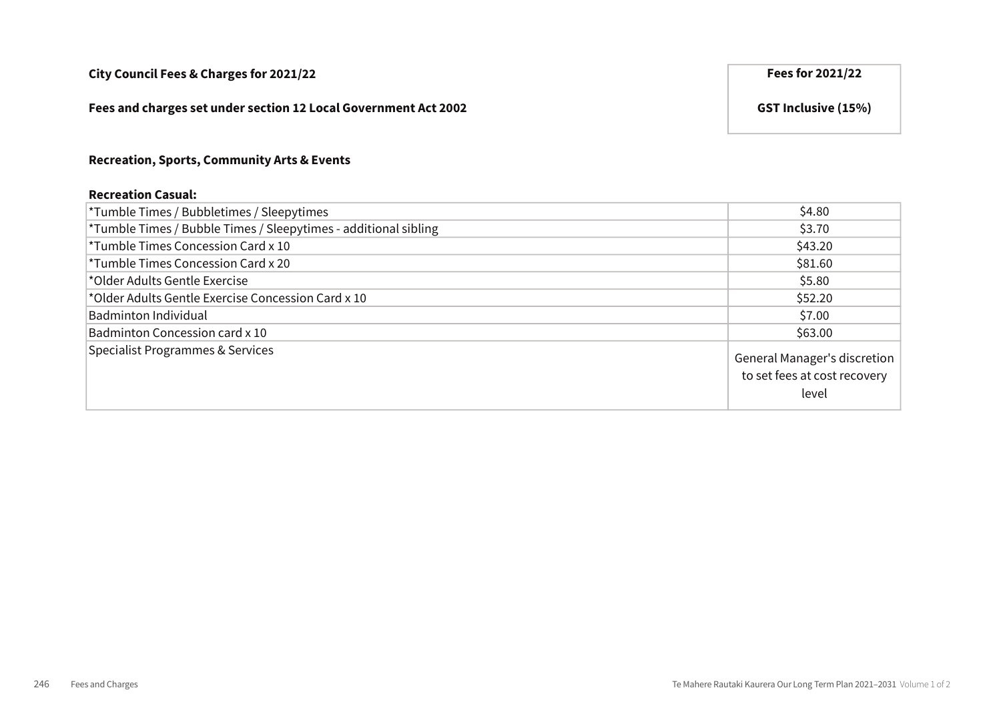#### Fees and charges set under section 12 Local Government Act 2002 GST Inclusive (15%)

#### Recreation, Sports, Community Arts & Events

#### Recreation Casual:

| *Tumble Times / Bubbletimes / Sleepytimes                       | \$4.80                                                                |
|-----------------------------------------------------------------|-----------------------------------------------------------------------|
| *Tumble Times / Bubble Times / Sleepytimes - additional sibling | \$3.70                                                                |
| <sup>*</sup> Tumble Times Concession Card x 10                  | \$43.20                                                               |
| <sup>*</sup> Tumble Times Concession Card x 20                  | \$81.60                                                               |
| *Older Adults Gentle Exercise                                   | \$5.80                                                                |
| *Older Adults Gentle Exercise Concession Card x 10              | \$52.20                                                               |
| Badminton Individual                                            | \$7.00                                                                |
| Badminton Concession card x 10                                  | \$63.00                                                               |
| Specialist Programmes & Services                                | General Manager's discretion<br>to set fees at cost recovery<br>level |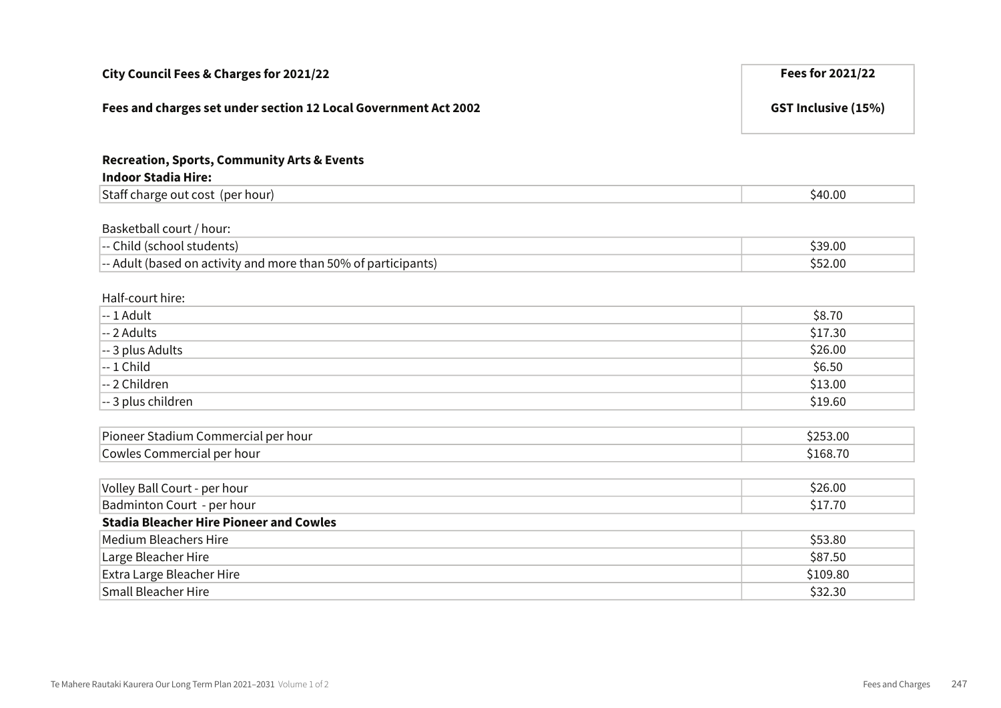| City Council Fees & Charges for 2021/22                                                                                  | Fees for 2021/22           |
|--------------------------------------------------------------------------------------------------------------------------|----------------------------|
| Fees and charges set under section 12 Local Government Act 2002                                                          | <b>GST Inclusive (15%)</b> |
| <b>Recreation, Sports, Community Arts &amp; Events</b><br><b>Indoor Stadia Hire:</b>                                     |                            |
| Staff charge out cost (per hour)                                                                                         | \$40.00                    |
| Basketball court / hour:<br>-- Child (school students)<br>-- Adult (based on activity and more than 50% of participants) | \$39.00<br>\$52.00         |
| Half-court hire:<br>-- 1 Adult                                                                                           | \$8.70                     |
| -- 2 Adults                                                                                                              | \$17.30                    |
| -- 3 plus Adults                                                                                                         | \$26.00                    |
| $-1$ Child                                                                                                               | \$6.50                     |
| -- 2 Children                                                                                                            | \$13.00                    |
| -- 3 plus children                                                                                                       | \$19.60                    |
| Pioneer Stadium Commercial per hour<br>Cowles Commercial per hour                                                        | \$253.00<br>\$168.70       |
| Volley Ball Court - per hour                                                                                             | \$26.00                    |
| Badminton Court - per hour                                                                                               | \$17.70                    |
| <b>Stadia Bleacher Hire Pioneer and Cowles</b>                                                                           |                            |
| <b>Medium Bleachers Hire</b>                                                                                             | \$53.80                    |
| Large Bleacher Hire                                                                                                      | \$87.50                    |
| Extra Large Bleacher Hire                                                                                                | \$109.80                   |
| <b>Small Bleacher Hire</b>                                                                                               | \$32.30                    |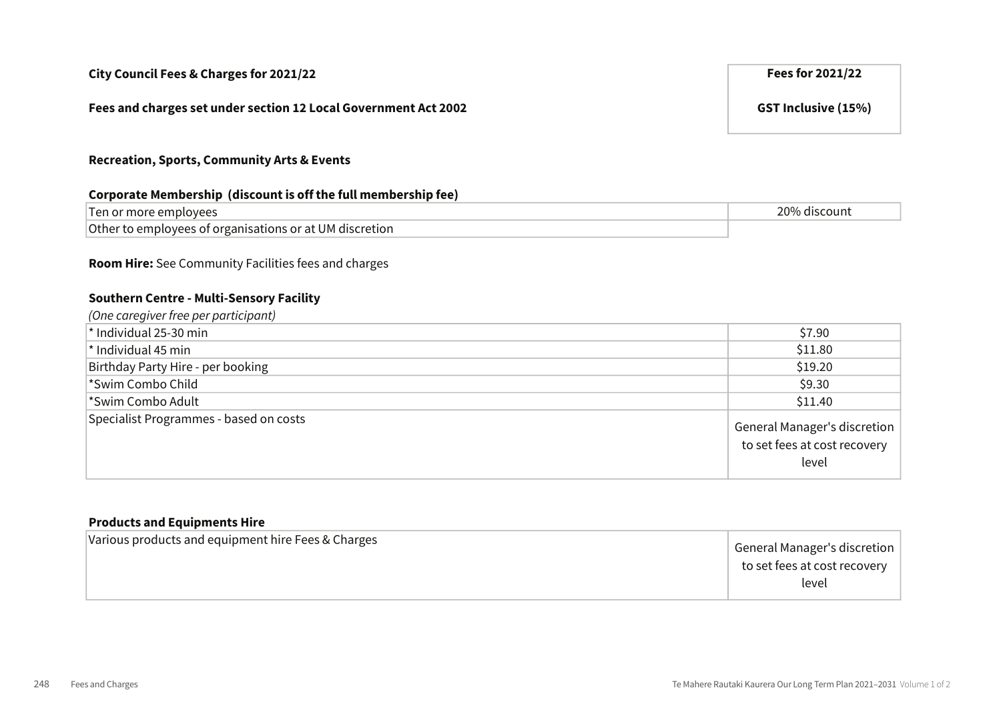#### Fees and charges set under section 12 Local Government Act 2002 GST Inclusive (15%)

#### Recreation, Sports, Community Arts & Events

#### Corporate Membership (discount is off the full membership fee)

| e emplovees                                                                         | 200   |
|-------------------------------------------------------------------------------------|-------|
| $\lq$ Ten or more $\lq$                                                             | count |
| <sup>l</sup> Other<br>o employees of organisations c<br>t UM discretion<br>: or atl |       |

#### Room Hire: See Community Facilities fees and charges

# Southern Centre - Multi-Sensory Facility

| (One caregiver free per participant)   |                                                                       |
|----------------------------------------|-----------------------------------------------------------------------|
| $\star$ Individual 25-30 min           | \$7.90                                                                |
| $^*$ Individual 45 min                 | \$11.80                                                               |
| Birthday Party Hire - per booking      | \$19.20                                                               |
| *Swim Combo Child                      | \$9.30                                                                |
| *Swim Combo Adult                      | \$11.40                                                               |
| Specialist Programmes - based on costs | General Manager's discretion<br>to set fees at cost recovery<br>level |

#### Products and Equipments Hire

| General Manager's discretion<br>to set fees at cost recovery<br>level |
|-----------------------------------------------------------------------|
|-----------------------------------------------------------------------|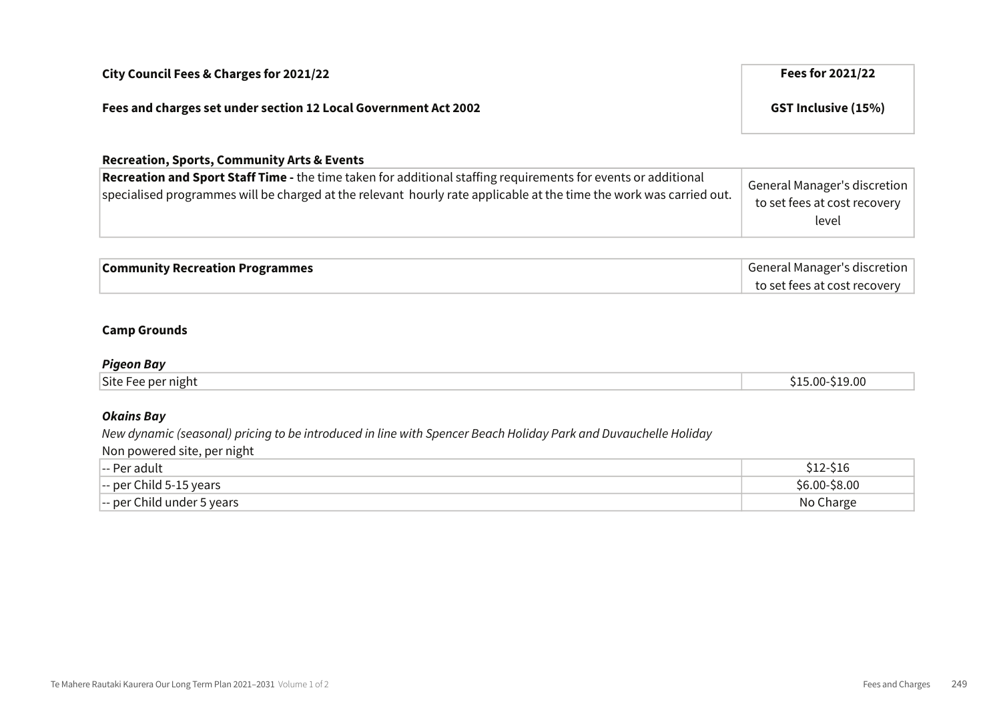| City Council Fees & Charges for 2021/22                         | Fees for 2021/22           |
|-----------------------------------------------------------------|----------------------------|
| Fees and charges set under section 12 Local Government Act 2002 | <b>GST Inclusive (15%)</b> |
| <b>Recreation, Sports, Community Arts &amp; Events</b>          |                            |

| Recreation and Sport Staff Time - the time taken for additional staffing requirements for events or additional<br>specialised programmes will be charged at the relevant hourly rate applicable at the time the work was carried out. | <sup>I</sup> General Manager's discretion<br>to set fees at cost recovery<br>level |
|---------------------------------------------------------------------------------------------------------------------------------------------------------------------------------------------------------------------------------------|------------------------------------------------------------------------------------|
|                                                                                                                                                                                                                                       |                                                                                    |

| <b>Community Recreation Programmes</b> | General Manager's discretion |
|----------------------------------------|------------------------------|
|                                        | to set fees at cost recovery |

#### Camp Grounds

#### Pigeon Bay

#### Okains Bay

New dynamic (seasonal) pricing to be introduced in line with Spencer Beach Holiday Park and Duvauchelle Holiday

Non powered site, per night

| __<br> -- Per adult                                | 77-210        |
|----------------------------------------------------|---------------|
| $\left  \text{--} \right $ per Child 5-15 years    | \$6.00-\$8.00 |
| $\left  \text{--} \right $ per Child under 5 years | No Charge     |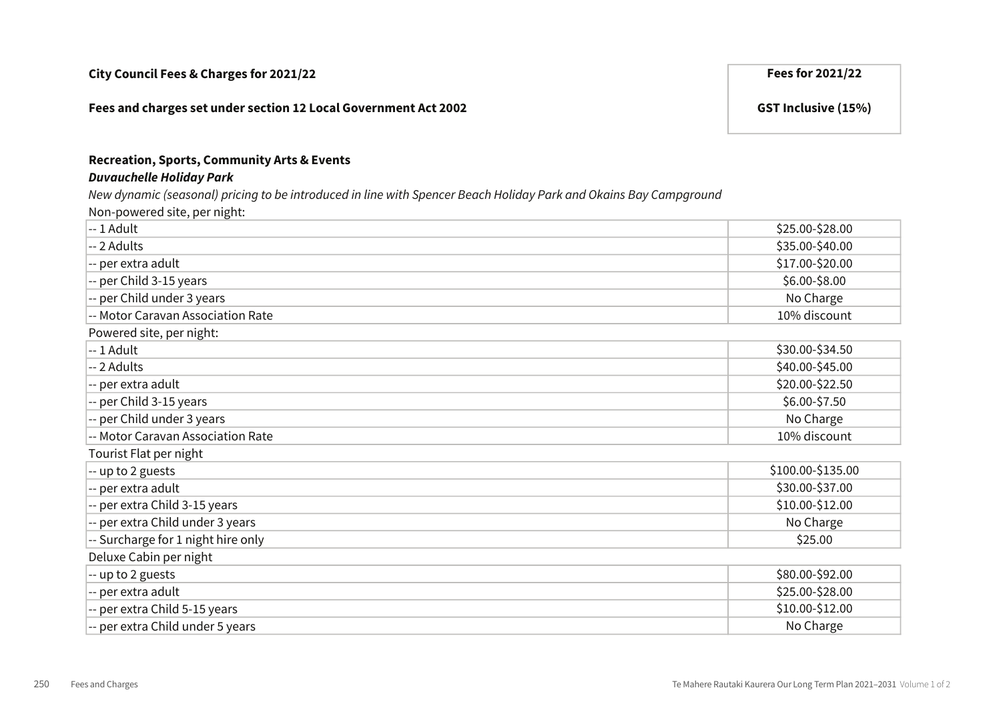#### Fees and charges set under section 12 Local Government Act 2002 GST Inclusive (15%)

#### Recreation, Sports, Community Arts & Events

#### Duvauchelle Holiday Park

New dynamic (seasonal) pricing to be introduced in line with Spencer Beach Holiday Park and Okains Bay Campground

Non-powered site, per night:

| $-1$ Adult                         | \$25.00-\$28.00   |
|------------------------------------|-------------------|
| -- 2 Adults                        | \$35.00-\$40.00   |
| -- per extra adult                 | \$17.00-\$20.00   |
| -- per Child 3-15 years            | \$6.00-\$8.00     |
| -- per Child under 3 years         | No Charge         |
| -- Motor Caravan Association Rate  | 10% discount      |
| Powered site, per night:           |                   |
| $-1$ Adult                         | \$30.00-\$34.50   |
| -- 2 Adults                        | \$40.00-\$45.00   |
| -- per extra adult                 | \$20.00-\$22.50   |
| -- per Child 3-15 years            | \$6.00-\$7.50     |
| -- per Child under 3 years         | No Charge         |
| -- Motor Caravan Association Rate  | 10% discount      |
| Tourist Flat per night             |                   |
| -- up to 2 guests                  | \$100.00-\$135.00 |
| -- per extra adult                 | \$30.00-\$37.00   |
| -- per extra Child 3-15 years      | \$10.00-\$12.00   |
| -- per extra Child under 3 years   | No Charge         |
| -- Surcharge for 1 night hire only | \$25.00           |
| Deluxe Cabin per night             |                   |
| -- up to 2 guests                  | \$80.00-\$92.00   |
| -- per extra adult                 | \$25.00-\$28.00   |
| -- per extra Child 5-15 years      | \$10.00-\$12.00   |
| -- per extra Child under 5 years   | No Charge         |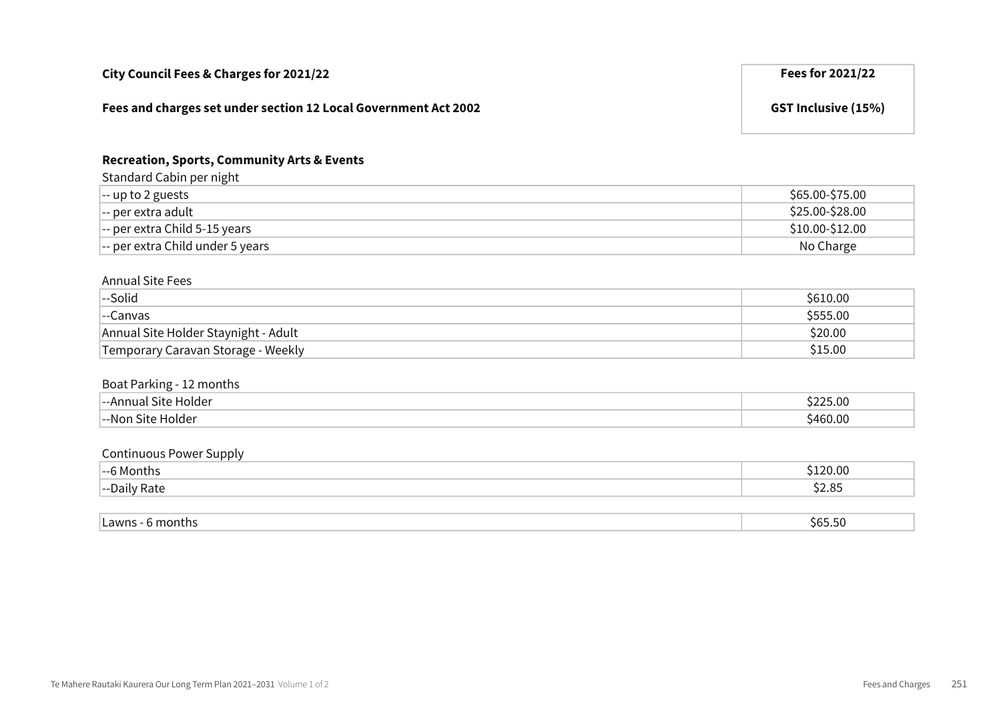| City Council Fees & Charges for 2021/22                         | Fees for 2021/22           |
|-----------------------------------------------------------------|----------------------------|
| Fees and charges set under section 12 Local Government Act 2002 | <b>GST Inclusive (15%)</b> |

### Recreation, Sports, Community Arts & Events

Standard Cabin per night

| ້                                                     |                 |
|-------------------------------------------------------|-----------------|
| $\left  \text{-- up to 2 guess} \right $              | \$65.00-\$75.00 |
| $\left  \text{--} \right $ per extra adult            | \$25.00-\$28.00 |
| $\left  \text{--} \right $ per extra Child 5-15 years | \$10.00-\$12.00 |
| -- per extra Child under 5 years                      | No Charge       |

#### Annual Site Fees

| --Solid                              | \$610.00 |
|--------------------------------------|----------|
| --Canvas                             | \$555.00 |
| Annual Site Holder Staynight - Adult | \$20.00  |
| Temporary Caravan Storage - Weekly   | \$15.00  |

#### Boat Parking - 12 months

| _<br>olde<br><u>.</u>     | ∩σ<br>. UU |
|---------------------------|------------|
| . –−Nic<br>anıner.<br>. . | n.,        |

#### Continuous Power Supply

| $\sim$ $\sim$<br>MONTI.<br>. <del>.</del> | ).OC        |
|-------------------------------------------|-------------|
| $\sim$<br>-<br>кате<br>$- -$<br>Jall'     | 2.85ۃ<br>^^ |

| $ \sim$<br>months<br>awns<br>י<br>טכ.כסכ |
|------------------------------------------|
|------------------------------------------|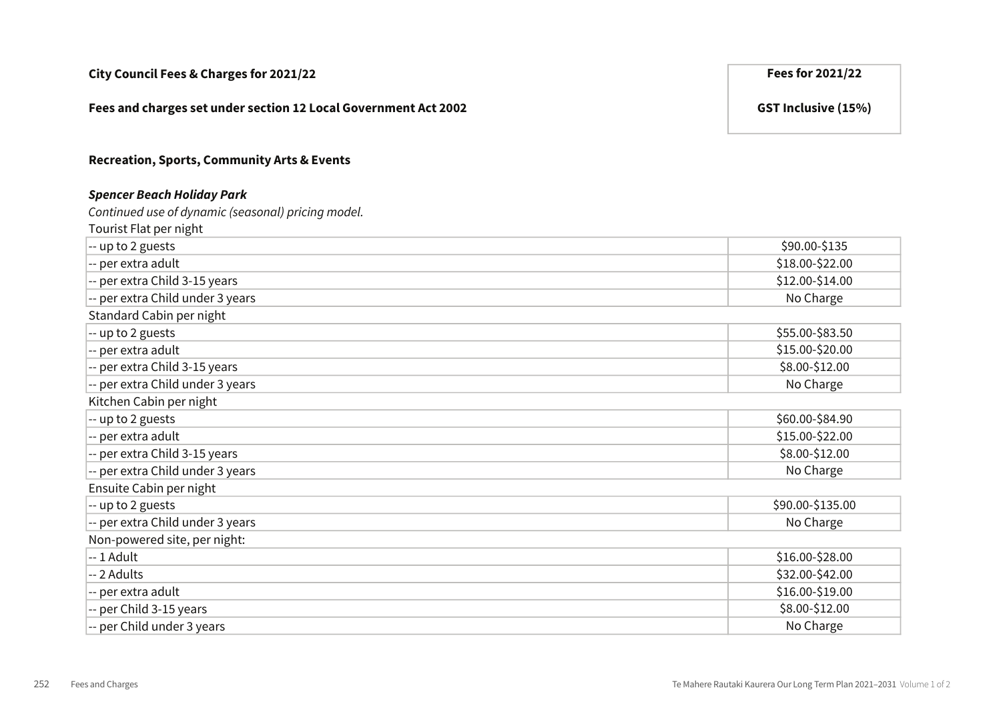| City Council Fees & Charges for 2021/22 |  |
|-----------------------------------------|--|
|-----------------------------------------|--|

#### Fees and charges set under section 12 Local Government Act 2002 GST Inclusive (15%)

#### Recreation, Sports, Community Arts & Events

#### Spencer Beach Holiday Park

Continued use of dynamic (seasonal) pricing model.

Tourist Flat per night

| -- up to 2 guests                | \$90.00-\$135    |
|----------------------------------|------------------|
| -- per extra adult               | \$18.00-\$22.00  |
| -- per extra Child 3-15 years    | \$12.00-\$14.00  |
| -- per extra Child under 3 years | No Charge        |
| Standard Cabin per night         |                  |
| -- up to 2 guests                | \$55.00-\$83.50  |
| -- per extra adult               | \$15.00-\$20.00  |
| -- per extra Child 3-15 years    | \$8.00-\$12.00   |
| -- per extra Child under 3 years | No Charge        |
| Kitchen Cabin per night          |                  |
| -- up to 2 guests                | \$60.00-\$84.90  |
| -- per extra adult               | \$15.00-\$22.00  |
| -- per extra Child 3-15 years    | \$8.00-\$12.00   |
| -- per extra Child under 3 years | No Charge        |
| Ensuite Cabin per night          |                  |
| -- up to 2 guests                | \$90.00-\$135.00 |
| -- per extra Child under 3 years | No Charge        |
| Non-powered site, per night:     |                  |
| $-1$ Adult                       | \$16.00-\$28.00  |
| -- 2 Adults                      | \$32.00-\$42.00  |
| -- per extra adult               | \$16.00-\$19.00  |
| -- per Child 3-15 years          | \$8.00-\$12.00   |
| -- per Child under 3 years       | No Charge        |

Fees for 2021/22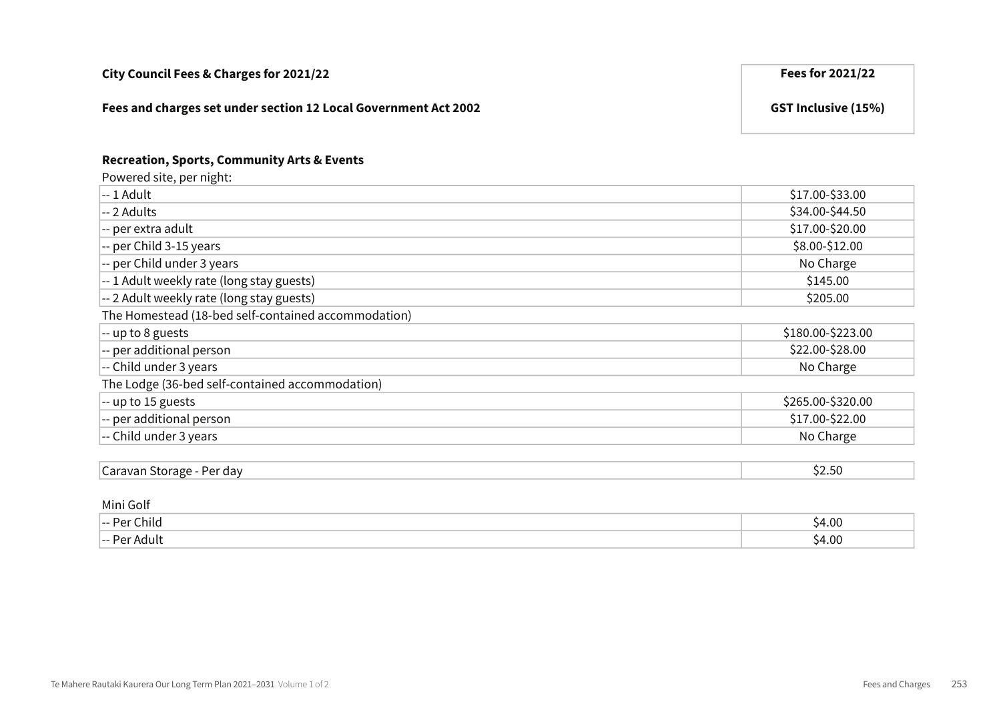| Fees and charges set under section 12 Local Government Act 2002                    | <b>GST Inclusive (15%)</b> |
|------------------------------------------------------------------------------------|----------------------------|
| <b>Recreation, Sports, Community Arts &amp; Events</b><br>Powered site, per night: |                            |
| -- 1 Adult                                                                         | \$17.00-\$33.00            |
| -- 2 Adults                                                                        | \$34.00-\$44.50            |
| -- per extra adult                                                                 | \$17.00-\$20.00            |
| -- per Child 3-15 years                                                            | \$8.00-\$12.00             |
| -- per Child under 3 years                                                         | No Charge                  |
| -- 1 Adult weekly rate (long stay guests)                                          | \$145.00                   |
| -- 2 Adult weekly rate (long stay guests)                                          | \$205.00                   |
| The Homestead (18-bed self-contained accommodation)                                |                            |
| -- up to 8 guests                                                                  | \$180.00-\$223.00          |
| -- per additional person                                                           | \$22.00-\$28.00            |
| -- Child under 3 years                                                             | No Charge                  |
| The Lodge (36-bed self-contained accommodation)                                    |                            |
| -- up to 15 guests                                                                 | \$265.00-\$320.00          |
| -- per additional person                                                           | \$17.00-\$22.00            |
| -- Child under 3 years                                                             | No Charge                  |
|                                                                                    |                            |
| Caravan Storage - Per day                                                          | \$2.50                     |

City Council Fees & Charges for 2021/22 **Fees for 2021/22** 

#### Mini Golf

| -- Per Child | \$4.00            |
|--------------|-------------------|
| Per Adult    | 54.OC             |
| --- PA       | $\cdot$ . $\cdot$ |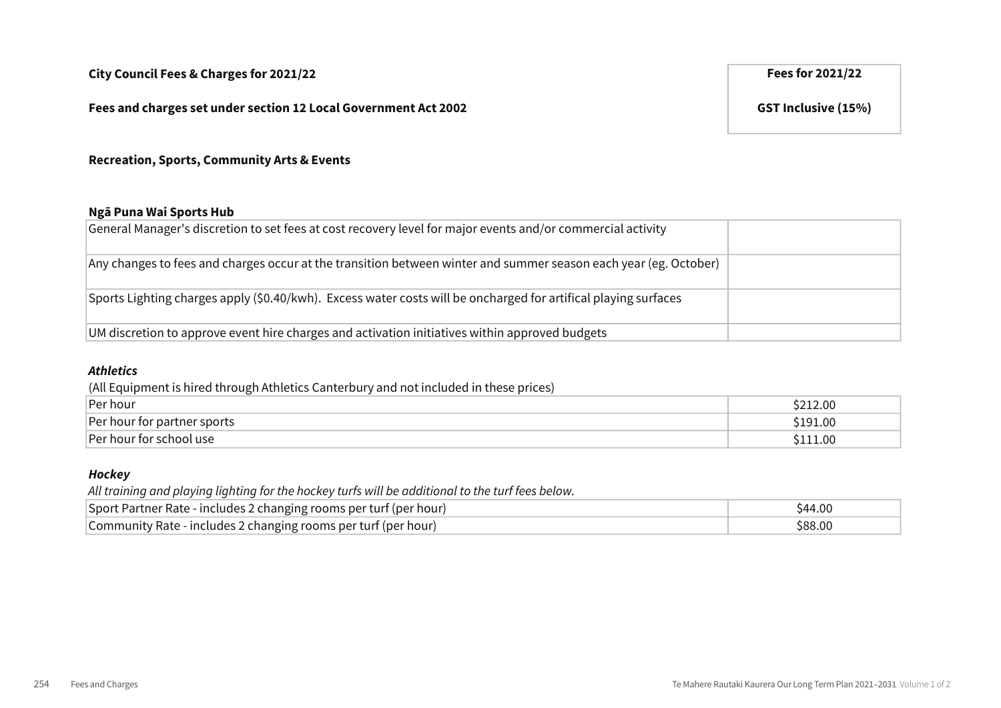#### Fees and charges set under section 12 Local Government Act 2002 GST Inclusive (15%)

Recreation, Sports, Community Arts & Events

#### Ngā Puna Wai Sports Hub

| General Manager's discretion to set fees at cost recovery level for major events and/or commercial activity      |  |
|------------------------------------------------------------------------------------------------------------------|--|
| Any changes to fees and charges occur at the transition between winter and summer season each year (eg. October) |  |
| Sports Lighting charges apply (\$0.40/kwh). Excess water costs will be oncharged for artifical playing surfaces  |  |
| UM discretion to approve event hire charges and activation initiatives within approved budgets                   |  |

#### Athletics

(All Equipment is hired through Athletics Canterbury and not included in these prices)

| Per hour                    | ∕.00     |
|-----------------------------|----------|
| Per hour for partner sports | \$191.00 |
| Per hour for school use     | .1.00    |

#### **Hockey**

All training and playing lighting for the hockey turfs will be additional to the turf fees below.

| Sport Partner Rate - includes 2 changing rooms per turf (per hour) | S44.00  |
|--------------------------------------------------------------------|---------|
| Community Rate - includes 2 changing rooms per turf (per hour)     | \$88.00 |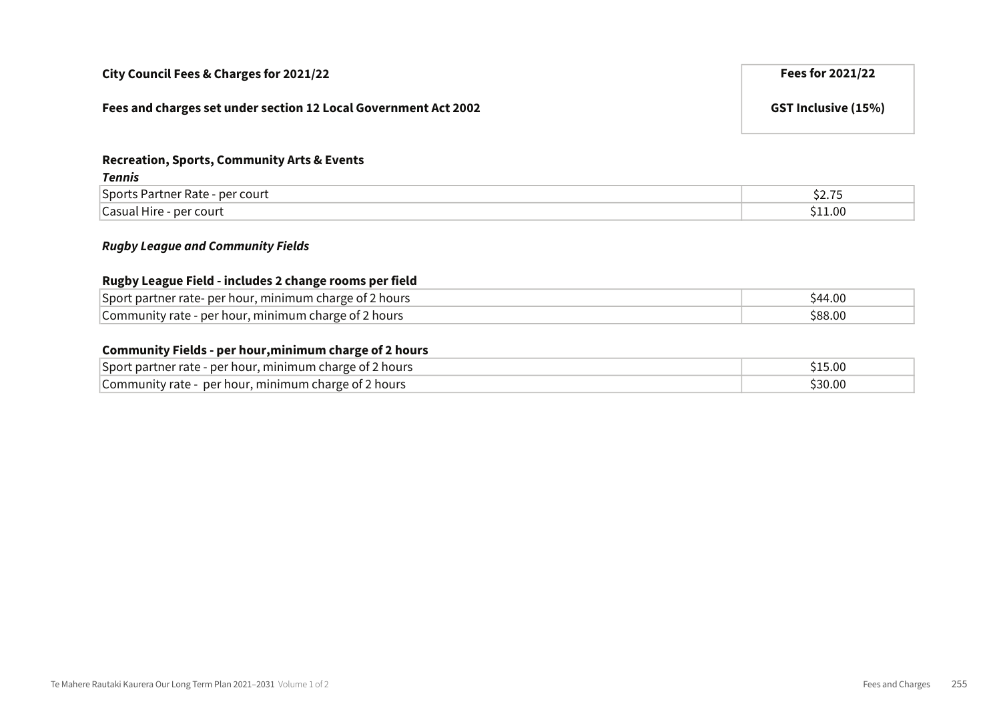| City Council Fees & Charges for 2021/22                         | Fees for 2021/22           |
|-----------------------------------------------------------------|----------------------------|
| Fees and charges set under section 12 Local Government Act 2002 | <b>GST Inclusive (15%)</b> |

#### Recreation, Sports, Community Arts & Events

| Tennis                                        |                                            |
|-----------------------------------------------|--------------------------------------------|
| <b>Sports Partner Rate -</b><br>per court     | $\overline{\phantom{a}}$<br>^^<br>۱. ۱ ـ د |
| $^{\circ}$ asual Hire - $\Box$<br>- per court | .11.00                                     |

#### Rugby League and Community Fields

#### Rugby League Field - includes 2 change rooms per field

| Sport partner rate- per hour, minimum charge of 2 hours | 844.UU |
|---------------------------------------------------------|--------|
| Community rate - per hour, minimum charge of 2 hours    |        |

#### Community Fields - per hour,minimum charge of 2 hours

| Sport partner rate - per hour, minimum charge of 2 hours    | .00.د. |
|-------------------------------------------------------------|--------|
| Community rate -<br>- per hour, minimum charge of 2 hours - | 30.00  |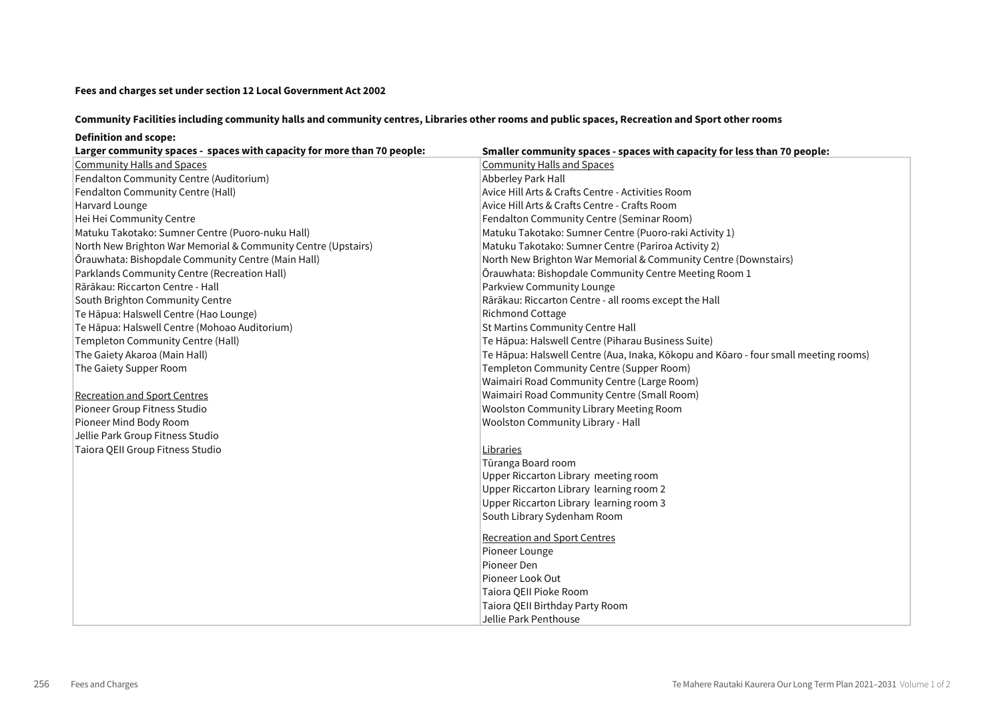#### Community Facilities including community halls and community centres, Libraries other rooms and public spaces, Recreation and Sport other rooms

#### Definition and scope:

| Larger community spaces - spaces with capacity for more than 70 people: | Smaller community spaces - spaces with capacity for less than 70 people:            |
|-------------------------------------------------------------------------|-------------------------------------------------------------------------------------|
| <b>Community Halls and Spaces</b>                                       | <b>Community Halls and Spaces</b>                                                   |
| Fendalton Community Centre (Auditorium)                                 | Abberley Park Hall                                                                  |
| Fendalton Community Centre (Hall)                                       | Avice Hill Arts & Crafts Centre - Activities Room                                   |
| Harvard Lounge                                                          | Avice Hill Arts & Crafts Centre - Crafts Room                                       |
| Hei Hei Community Centre                                                | Fendalton Community Centre (Seminar Room)                                           |
| Matuku Takotako: Sumner Centre (Puoro-nuku Hall)                        | Matuku Takotako: Sumner Centre (Puoro-raki Activity 1)                              |
| North New Brighton War Memorial & Community Centre (Upstairs)           | Matuku Takotako: Sumner Centre (Pariroa Activity 2)                                 |
| Ōrauwhata: Bishopdale Community Centre (Main Hall)                      | North New Brighton War Memorial & Community Centre (Downstairs)                     |
| Parklands Community Centre (Recreation Hall)                            | Orauwhata: Bishopdale Community Centre Meeting Room 1                               |
| Rārākau: Riccarton Centre - Hall                                        | Parkview Community Lounge                                                           |
| South Brighton Community Centre                                         | Rārākau: Riccarton Centre - all rooms except the Hall                               |
| Te Hāpua: Halswell Centre (Hao Lounge)                                  | <b>Richmond Cottage</b>                                                             |
| Te Hāpua: Halswell Centre (Mohoao Auditorium)                           | St Martins Community Centre Hall                                                    |
| Templeton Community Centre (Hall)                                       | Te Hāpua: Halswell Centre (Piharau Business Suite)                                  |
| The Gaiety Akaroa (Main Hall)                                           | Te Hāpua: Halswell Centre (Aua, Inaka, Kōkopu and Kōaro - four small meeting rooms) |
| The Gaiety Supper Room                                                  | Templeton Community Centre (Supper Room)                                            |
|                                                                         | Waimairi Road Community Centre (Large Room)                                         |
| <b>Recreation and Sport Centres</b>                                     | Waimairi Road Community Centre (Small Room)                                         |
| Pioneer Group Fitness Studio                                            | <b>Woolston Community Library Meeting Room</b>                                      |
| Pioneer Mind Body Room                                                  | Woolston Community Library - Hall                                                   |
| Jellie Park Group Fitness Studio                                        |                                                                                     |
| Taiora QEII Group Fitness Studio                                        | Libraries                                                                           |
|                                                                         | Tūranga Board room                                                                  |
|                                                                         | Upper Riccarton Library meeting room                                                |
|                                                                         | Upper Riccarton Library learning room 2                                             |
|                                                                         | Upper Riccarton Library learning room 3                                             |
|                                                                         | South Library Sydenham Room                                                         |
|                                                                         | <b>Recreation and Sport Centres</b>                                                 |
|                                                                         | Pioneer Lounge                                                                      |
|                                                                         | Pioneer Den                                                                         |
|                                                                         | Pioneer Look Out                                                                    |
|                                                                         | Taiora QEII Pioke Room                                                              |
|                                                                         | Taiora QEII Birthday Party Room                                                     |
|                                                                         | Jellie Park Penthouse                                                               |
|                                                                         |                                                                                     |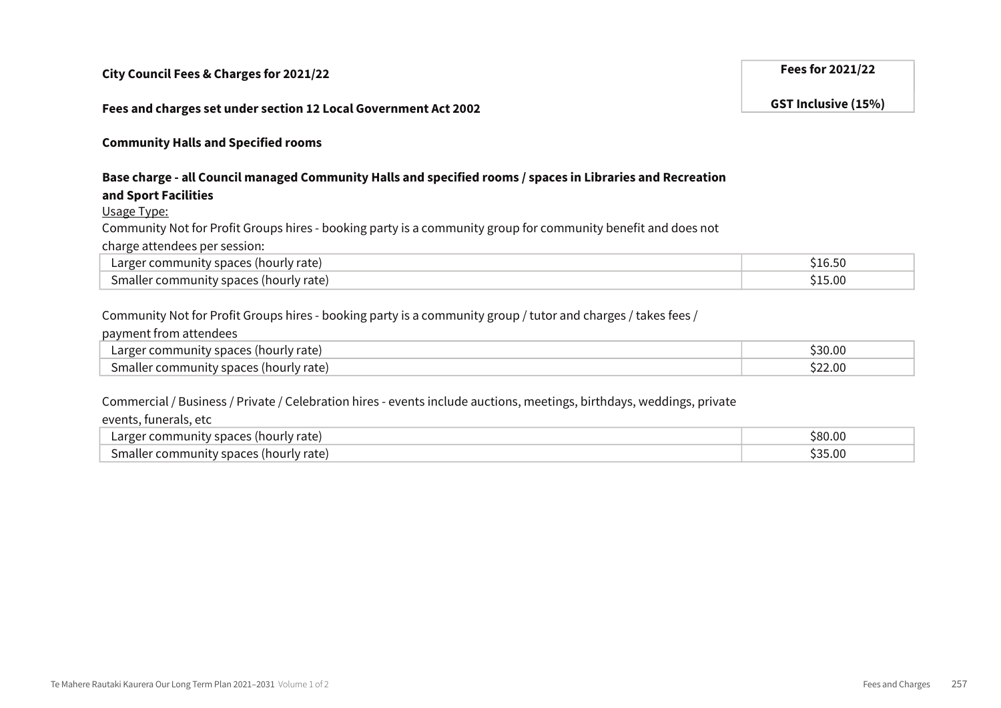#### City Council Fees & Charges for 2021/22 Fees for 2021/22

#### Fees and charges set under section 12 Local Government Act 2002 GST Inclusive (15%)

Community Halls and Specified rooms

#### Base charge - all Council managed Community Halls and specified rooms / spaces in Libraries and Recreation and Sport Facilities and Sports Partners of the Partners of the Partners of the Court of the Partners of the Partners of the Partners of the Partners of the Partners of the Partners of the Partners of the Partners of the P Community Not for Profit Groups hires - booking party is a community group for community benefit and does not

 $\overline{\rm{Usage\ Type}}:$ Usage Type:

Community Not for Profit Groups hires - booking party is a community group for community benefit and does not

 $\epsilon$ harge attendees per session:

| Larger community spaces (hourly rate)  |  |
|----------------------------------------|--|
| Smaller community spaces (hourly rate) |  |
|                                        |  |

#### Community Not for Profit Groups hires - booking party is a community group / tutor and charges / takes fees /

payment from attendees and the space of the space of the space of the space of the space of the space of the space of the space of the space of the space of the space of the space of the space of the space of the space of

| snaces<br>rate<br>'hourly .<br>Larger<br>comm<br>ını<br>11      | $\sim$<br>ີ <sup>ເ</sup> 30.ບປ |  |
|-----------------------------------------------------------------|--------------------------------|--|
| y snaces.<br>√ rate<br>smalle <sup>.</sup><br>Thourly<br>'ommur | 22.00<br>$\sim$                |  |

### Commercial / Business / Private / Celebration hires - events include auctions, meetings, birthdays, weddings, private

events, funerals, etc

| ' '<br>ourly rate.<br>Larger<br>…ouriv r<br>nuni<br>omr<br>esudte. | \$80.00                       |
|--------------------------------------------------------------------|-------------------------------|
| ~<br>5m<br>.nourh<br>rate)<br>:ommunity<br>וםוג<br>' spaces'<br>ำง | cor.<br>$\sim$<br>、くへ<br>, ur |

GST Inclusive (15%)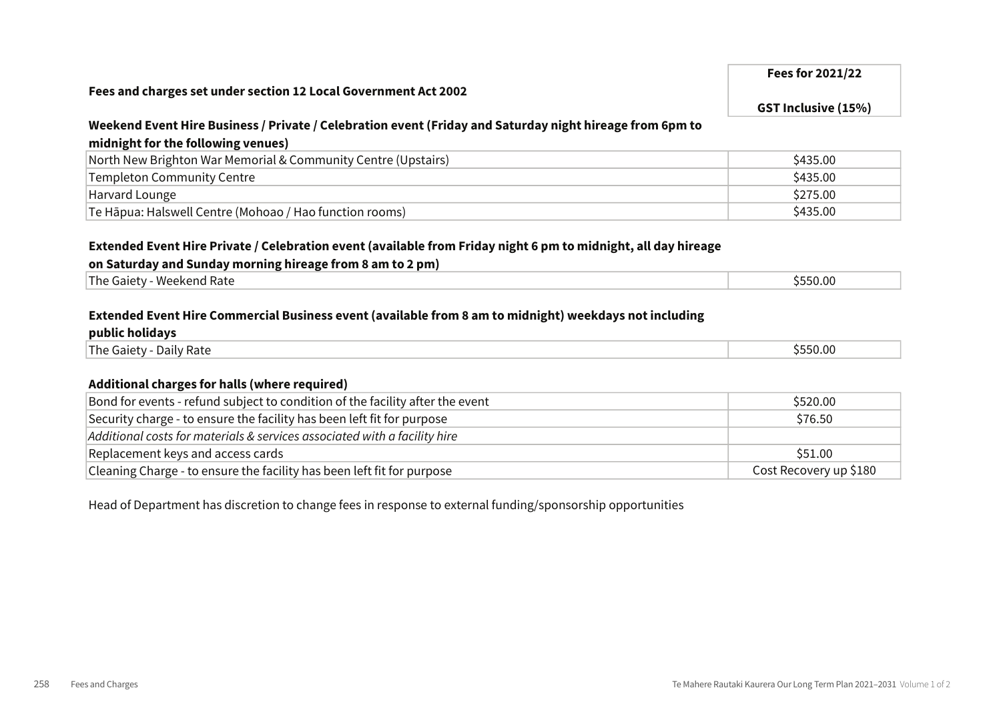## Fees for 2021/22 Fees and charges set under section 12 Local Government Act 2002 GST Inclusive (15%) Weekend Event Hire Business / Private / Celebration event (Friday and Saturday night hireage from 6pm to midnight for the following venues)

| North New Brighton War Memorial & Community Centre (Upstairs) | \$435.00 |
|---------------------------------------------------------------|----------|
| <b>Templeton Community Centre</b>                             | \$435.00 |
| Harvard Lounge                                                | \$275.00 |
| Te Hāpua: Halswell Centre (Mohoao / Hao function rooms)       | \$435.00 |

#### Extended Event Hire Private / Celebration event (available from Friday night 6 pm to midnight, all day hireage

#### on Saturday and Sunday morning hireage from 8 am to 2 pm)

| 5550.00<br>The Gaiety<br>- Weekend Rate |   |  |  |  |
|-----------------------------------------|---|--|--|--|
|                                         | . |  |  |  |

#### Extended Event Hire Commercial Business event (available from 8 am to midnight) weekdays not including

#### public holidays

| l — I<br>Daily Rate<br>$ln \alpha$<br>Galety<br>,,,, | \$550.00 |
|------------------------------------------------------|----------|
|                                                      |          |

#### Additional charges for halls (where required)

| Bond for events - refund subject to condition of the facility after the event | \$520.00               |
|-------------------------------------------------------------------------------|------------------------|
| Security charge - to ensure the facility has been left fit for purpose        | \$76.50                |
| Additional costs for materials & services associated with a facility hire     |                        |
| Replacement keys and access cards                                             | \$51.00                |
| Cleaning Charge - to ensure the facility has been left fit for purpose        | Cost Recovery up \$180 |

Head of Department has discretion to change fees in response to external funding/sponsorship opportunities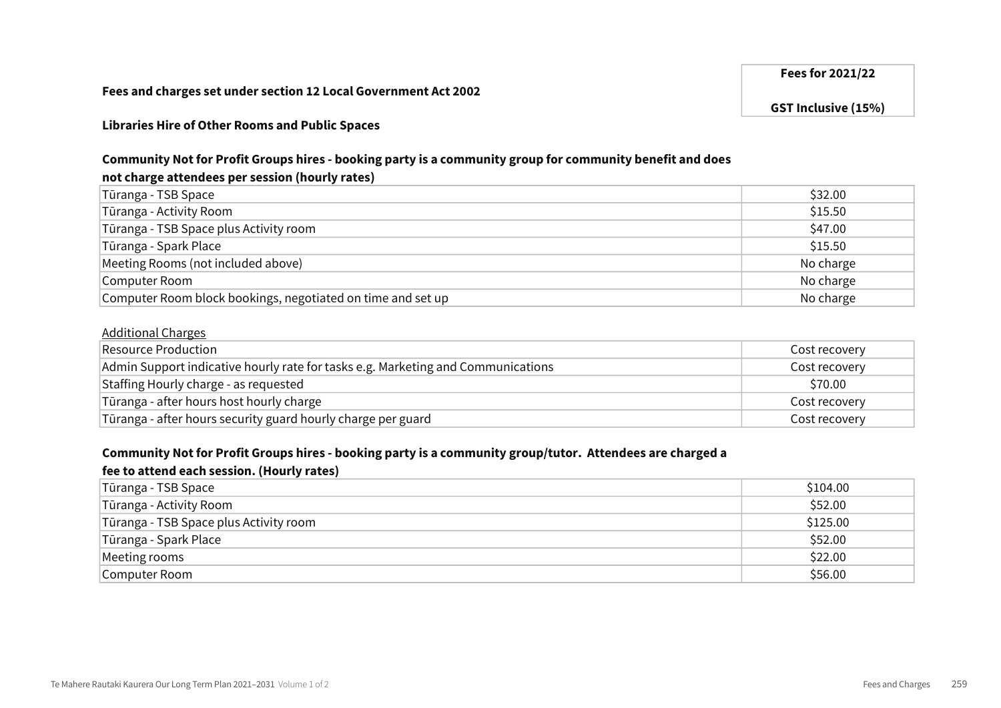#### Fees for 2021/22

GST Inclusive (15%)

#### Libraries Hire of Other Rooms and Public Spaces

#### Community Not for Profit Groups hires - booking party is a community group for community benefit and does

#### not charge attendees per session (hourly rates)

| Tūranga - TSB Space                                         | \$32.00   |
|-------------------------------------------------------------|-----------|
| Tūranga - Activity Room                                     | \$15.50   |
| Tūranga - TSB Space plus Activity room                      | \$47.00   |
| Tūranga - Spark Place                                       | \$15.50   |
| Meeting Rooms (not included above)                          | No charge |
| Computer Room                                               | No charge |
| Computer Room block bookings, negotiated on time and set up | No charge |

#### Additional Charges

| Resource Production                                                              | Cost recovery |
|----------------------------------------------------------------------------------|---------------|
| Admin Support indicative hourly rate for tasks e.g. Marketing and Communications | Cost recovery |
| Staffing Hourly charge - as requested                                            | \$70.00       |
| Tūranga - after hours host hourly charge                                         | Cost recovery |
| Tūranga - after hours security guard hourly charge per guard                     | Cost recovery |

#### Community Not for Profit Groups hires - booking party is a community group/tutor. Attendees are charged a

#### fee to attend each session. (Hourly rates)

| Tūranga - TSB Space                    | \$104.00 |
|----------------------------------------|----------|
| Tūranga - Activity Room                | \$52.00  |
| Tūranga - TSB Space plus Activity room | \$125.00 |
| Tūranga - Spark Place                  | \$52.00  |
| Meeting rooms                          | \$22.00  |
| Computer Room                          | \$56.00  |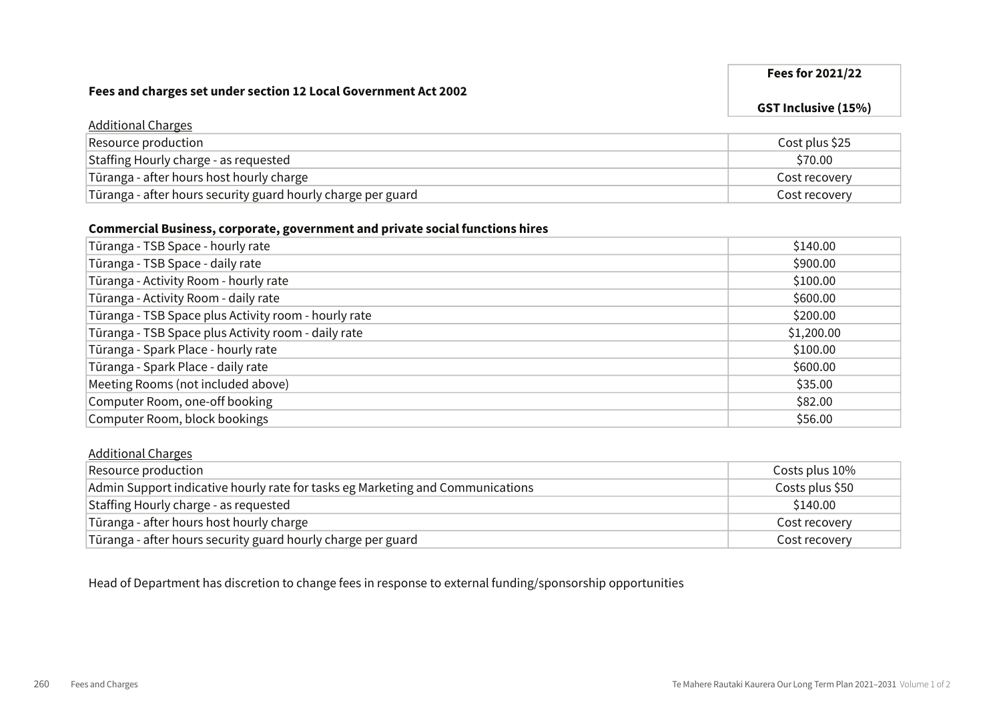#### Fees for 2021/22

GST Inclusive (15%)

#### Additional Charges Resource production **Cost plus \$25** Staffing Hourly charge - as requested  $$70.00$  $\overline{a}$  Tūranga - after hours host hourly charge  $\overline{a}$  and  $\overline{a}$  and  $\overline{a}$  are  $\overline{a}$  cost recovery Tūranga - after hours security guard hourly charge per guard Cost recovery Cost recovery

#### Commercial Business, corporate, government and private social functions hires

| Tūranga - TSB Space - hourly rate                    | \$140.00   |
|------------------------------------------------------|------------|
| Tūranga - TSB Space - daily rate                     | \$900.00   |
| Tūranga - Activity Room - hourly rate                | \$100.00   |
| Tūranga - Activity Room - daily rate                 | \$600.00   |
| Tūranga - TSB Space plus Activity room - hourly rate | \$200.00   |
| Tūranga - TSB Space plus Activity room - daily rate  | \$1,200.00 |
| Tūranga - Spark Place - hourly rate                  | \$100.00   |
| Tūranga - Spark Place - daily rate                   | \$600.00   |
| Meeting Rooms (not included above)                   | \$35.00    |
| Computer Room, one-off booking                       | \$82.00    |
| Computer Room, block bookings                        | \$56.00    |

#### Additional Charges

| Resource production                                                            | Costs plus 10%  |
|--------------------------------------------------------------------------------|-----------------|
| Admin Support indicative hourly rate for tasks eg Marketing and Communications | Costs plus \$50 |
| Staffing Hourly charge - as requested                                          | \$140.00        |
| Tūranga - after hours host hourly charge                                       | Cost recovery   |
| Tūranga - after hours security guard hourly charge per guard                   | Cost recovery   |

Head of Department has discretion to change fees in response to external funding/sponsorship opportunities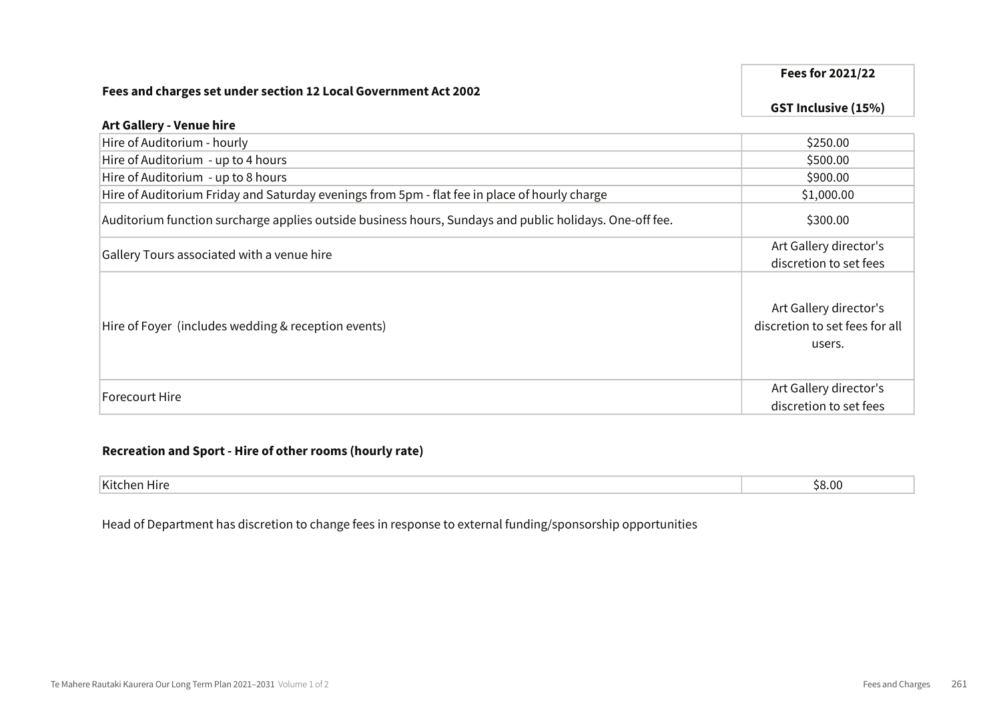#### Fees for 2021/22

GST Inclusive (15%)

#### Art Gallery - Venue hire

| Hire of Auditorium - hourly                                                                             | \$250.00                                                           |
|---------------------------------------------------------------------------------------------------------|--------------------------------------------------------------------|
| Hire of Auditorium - up to 4 hours                                                                      | \$500.00                                                           |
| Hire of Auditorium - up to 8 hours                                                                      | \$900.00                                                           |
| Hire of Auditorium Friday and Saturday evenings from 5pm - flat fee in place of hourly charge           | \$1,000.00                                                         |
| Auditorium function surcharge applies outside business hours, Sundays and public holidays. One-off fee. | \$300.00                                                           |
|                                                                                                         | Art Gallery director's                                             |
| Gallery Tours associated with a venue hire                                                              | discretion to set fees                                             |
| Hire of Foyer (includes wedding & reception events)                                                     | Art Gallery director's<br>discretion to set fees for all<br>users. |
| Forecourt Hire                                                                                          | Art Gallery director's                                             |
|                                                                                                         | discretion to set fees                                             |

#### Recreation and Sport - Hire of other rooms (hourly rate)

| 11/04<br>™NL.<br><br>⊓ ।। ९ | くいい<br>∽ |
|-----------------------------|----------|

Head of Department has discretion to change fees in response to external funding/sponsorship opportunities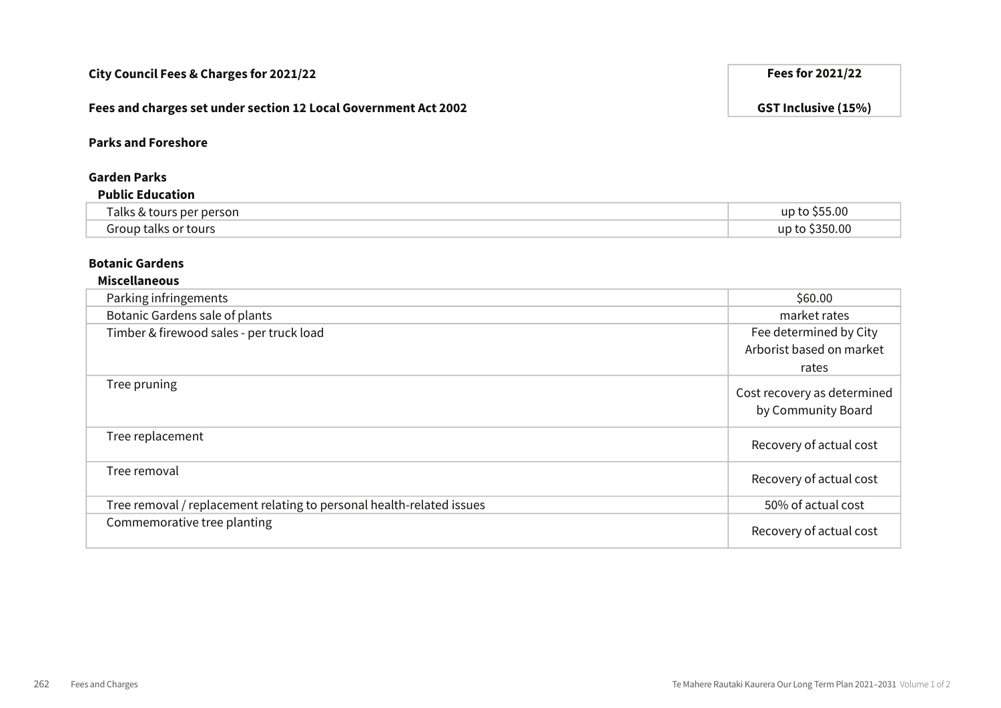# Fees and charges set under section 12 Local Government Act 2002 GST Inclusive (15%) Parks and Foreshore Garden Parks Public Education Talks & tours per person up to \$55.00 Group talks or tours up to \$350.00 Botanic Gardens Miscellaneous Parking infringements \$60.00 Botanic Gardens sale of plants market rates and the set of plants market rates market rates market rates and the market rates of  $\sim$ Timber & firewood sales - per truck load rates

| THILDEL & HIEWOOD SALES - DEL LIUCK LOAD                              | <b>I CC UCICITIBILE UP CITY</b><br>Arborist based on market<br>rates |
|-----------------------------------------------------------------------|----------------------------------------------------------------------|
| Tree pruning                                                          | Cost recovery as determined<br>by Community Board                    |
| Tree replacement                                                      | Recovery of actual cost                                              |
| Tree removal                                                          | Recovery of actual cost                                              |
| Tree removal / replacement relating to personal health-related issues | 50% of actual cost                                                   |
| Commemorative tree planting                                           | Recovery of actual cost                                              |
|                                                                       |                                                                      |

#### City Council Fees & Charges for 2021/22 **Fees for 2021/22** Fees for 2021/22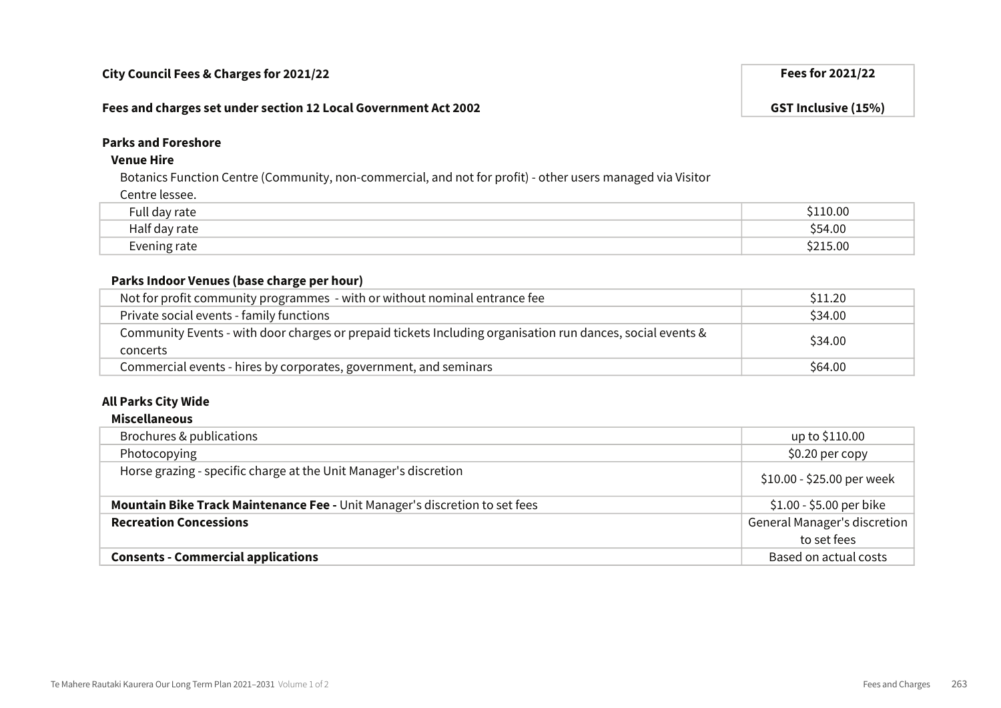#### Fees and charges set under section 12 Local Government Act 2002 GST Inclusive (15%)

#### Parks and Foreshore

#### Venue Hire

Botanics Function Centre (Community, non-commercial, and not for profit) - other users managed via Visitor

Centre lessee.

| $ -$<br>.<br>7.111                  | 10.00       |
|-------------------------------------|-------------|
| - 11<br>$\sim$ $\sim$ $\sim$<br>alt | \$54.00     |
| ale<br>-------                      | 5.00<br>ົາາ |

#### Parks Indoor Venues (base charge per hour)

| Not for profit community programmes - with or without nominal entrance fee                                             | S <sub>11.20</sub> |
|------------------------------------------------------------------------------------------------------------------------|--------------------|
| Private social events - family functions                                                                               | \$34.00            |
| Community Events - with door charges or prepaid tickets Including organisation run dances, social events &<br>concerts | \$34.00            |
| Commercial events - hires by corporates, government, and seminars                                                      | \$64.00            |

#### All Parks City Wide

#### Miscellaneous

| Brochures & publications                                                    | up to \$110.00               |
|-----------------------------------------------------------------------------|------------------------------|
| Photocopying                                                                | \$0.20 per copy              |
| Horse grazing - specific charge at the Unit Manager's discretion            | \$10.00 - \$25.00 per week   |
| Mountain Bike Track Maintenance Fee - Unit Manager's discretion to set fees | \$1.00 - \$5.00 per bike     |
| <b>Recreation Concessions</b>                                               | General Manager's discretion |
|                                                                             | to set fees                  |
| <b>Consents - Commercial applications</b>                                   | Based on actual costs        |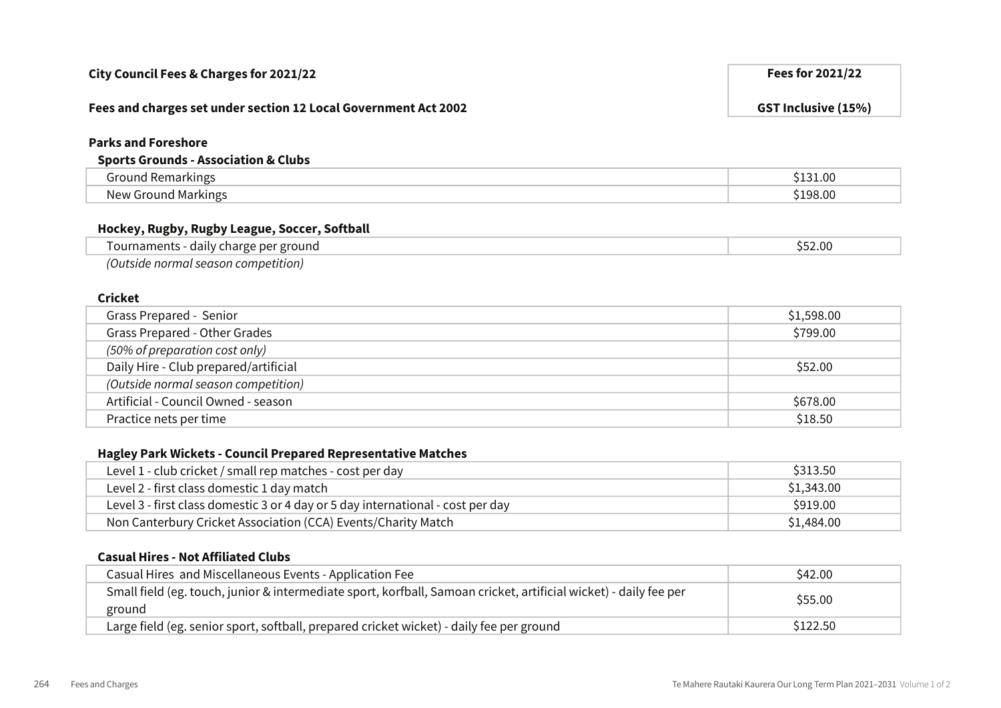| City Council Fees & Charges for 2021/22                                         | Fees for 2021/22           |
|---------------------------------------------------------------------------------|----------------------------|
| Fees and charges set under section 12 Local Government Act 2002                 | <b>GST Inclusive (15%)</b> |
| <b>Parks and Foreshore</b>                                                      |                            |
| <b>Sports Grounds - Association &amp; Clubs</b>                                 |                            |
| <b>Ground Remarkings</b>                                                        | \$131.00                   |
| <b>New Ground Markings</b>                                                      | \$198.00                   |
| Hockey, Rugby, Rugby League, Soccer, Softball                                   |                            |
| Tournaments - daily charge per ground                                           | \$52.00                    |
| (Outside normal season competition)                                             |                            |
| <b>Cricket</b>                                                                  |                            |
| Grass Prepared - Senior                                                         | \$1,598.00                 |
| Grass Prepared - Other Grades                                                   | \$799.00                   |
| (50% of preparation cost only)                                                  |                            |
| Daily Hire - Club prepared/artificial                                           | \$52.00                    |
| (Outside normal season competition)                                             |                            |
| Artificial - Council Owned - season                                             | \$678.00                   |
| Practice nets per time                                                          | \$18.50                    |
|                                                                                 |                            |
| Hagley Park Wickets - Council Prepared Representative Matches                   |                            |
| Level 1 - club cricket / small rep matches - cost per day                       | \$313.50                   |
| Level 2 - first class domestic 1 day match                                      | \$1,343.00                 |
| Level 3 - first class domestic 3 or 4 day or 5 day international - cost per day | \$919.00                   |

#### Casual Hires - Not Affiliated Clubs

| Casual Hires and Miscellaneous Events - Application Fee                                                                     | \$42.00  |
|-----------------------------------------------------------------------------------------------------------------------------|----------|
| Small field (eg. touch, junior & intermediate sport, korfball, Samoan cricket, artificial wicket) - daily fee per<br>ground | \$55.00  |
| Large field (eg. senior sport, softball, prepared cricket wicket) - daily fee per ground                                    | \$122.50 |

Non Canterbury Cricket Association (CCA) Events/Charity Match **\$1,484.00** \$1,484.00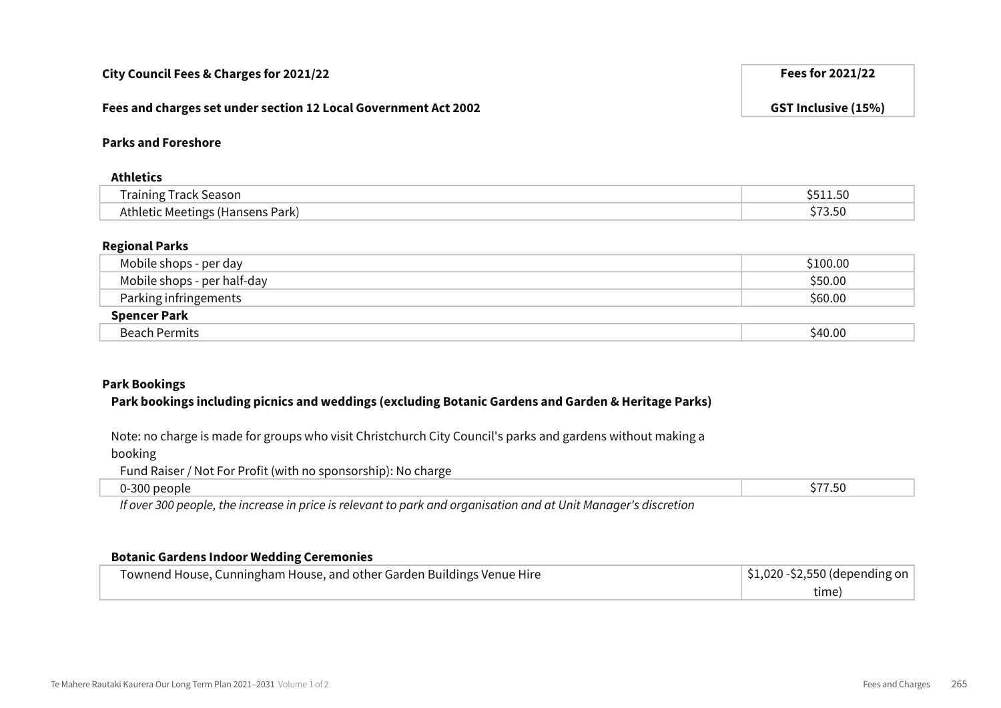| Regional Parks                                                                                                               |          |
|------------------------------------------------------------------------------------------------------------------------------|----------|
| Mobile shops - per day                                                                                                       | \$100.00 |
| Mobile shops - per half-day                                                                                                  | \$50.00  |
| Parking infringements                                                                                                        | \$60.00  |
| <b>Spencer Park</b>                                                                                                          |          |
| <b>Beach Permits</b>                                                                                                         | \$40.00  |
| <b>Park Bookings</b><br>Park bookings including picnics and weddings (excluding Botanic Gardens and Garden & Heritage Parks) |          |
| Note: no charge is made for groups who visit Christchurch City Council's parks and gardens without making a<br>booking       |          |
| Fund Raiser / Not For Profit (with no sponsorship): No charge                                                                |          |
| 0-300 people                                                                                                                 | \$77.50  |
| If over 300 people, the increase in price is relevant to park and organisation and at Unit Manager's discretion              |          |
| <b>Botanic Gardens Indoor Wedding Ceremonies</b>                                                                             |          |

## Parks and Foreshore

#### Athletics

| .          |                                          |
|------------|------------------------------------------|
| <br>Season | י<br>$\overline{\phantom{a}}$<br><b></b> |
| park,      | ייכ.ט                                    |

## Regional Parks

| .                           | $\lambda$ $\lambda$ $\lambda$ $\lambda$ |
|-----------------------------|-----------------------------------------|
| <b>Spencer Park</b>         |                                         |
| Parking infringements       | \$60.00                                 |
| Mobile shops - per half-day | \$50.00                                 |
| Mobile shops - per day      | \$100.00                                |

| Townend House, Cunningham House, and other Garden Buildings Venue Hire | $\frac{1}{2}$ \$1,020 - \$2,550 (depending on |
|------------------------------------------------------------------------|-----------------------------------------------|
|                                                                        | time)                                         |

City Council Fees & Charges for 2021/22 **Fees for 2021/22** Fees for 2021/22

Fees and charges set under section 12 Local Government Act 2002 GST Inclusive (15%)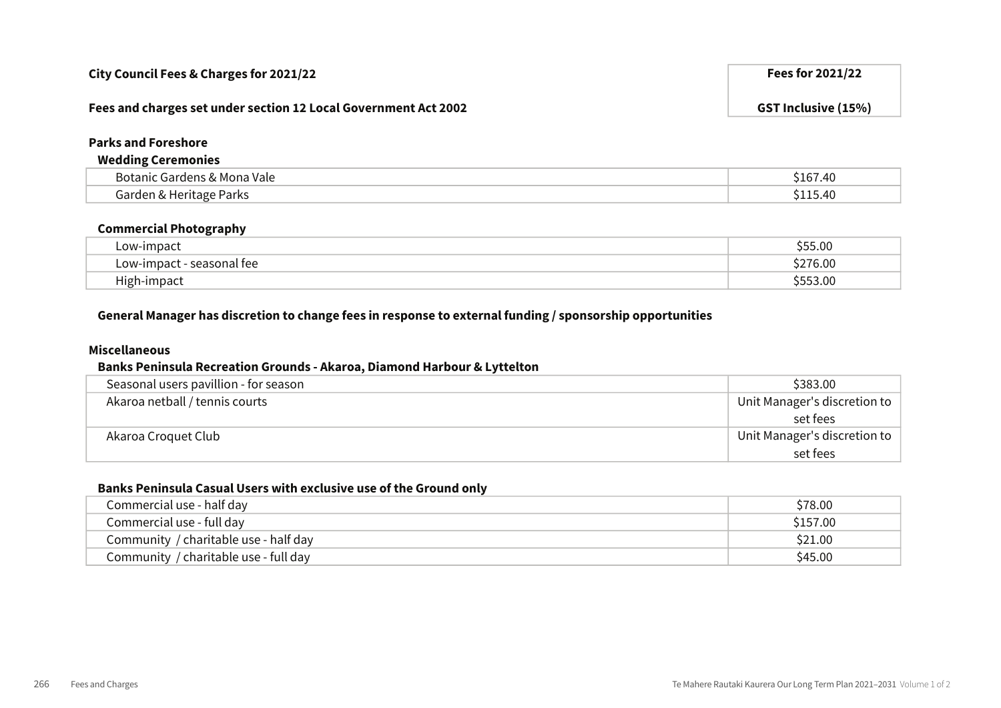### Fees and charges set under section 12 Local Government Act 2002 GST Inclusive (15%)

#### Parks and Foreshore

#### Wedding Ceremonies

| ` Vale<br>′Mona ∵<br>.<br>ומדי<br>- | .4U               |
|-------------------------------------|-------------------|
| - - - -<br>arks'                    | $^{\prime\prime}$ |

#### Commercial Photography

| Low-impact                   | $\sim$<br>).UL |
|------------------------------|----------------|
| - seasonal fee<br>LOW-Impact | 6.OC           |
| $\cdot$ .<br>High-impact     | .00            |

### General Manager has discretion to change fees in response to external funding / sponsorship opportunities

#### Miscellaneous

#### Banks Peninsula Recreation Grounds - Akaroa, Diamond Harbour & Lyttelton

| Seasonal users pavillion - for season | \$383.00                     |
|---------------------------------------|------------------------------|
| Akaroa netball / tennis courts        | Unit Manager's discretion to |
|                                       | set fees                     |
| Akaroa Croquet Club                   | Unit Manager's discretion to |
|                                       | set fees                     |

#### Banks Peninsula Casual Users with exclusive use of the Ground only

| Commercial use - half day             | \$78.00  |
|---------------------------------------|----------|
| Commercial use - full day             | \$157.00 |
| Community / charitable use - half day | \$21.00  |
| Community / charitable use - full day | \$45.00  |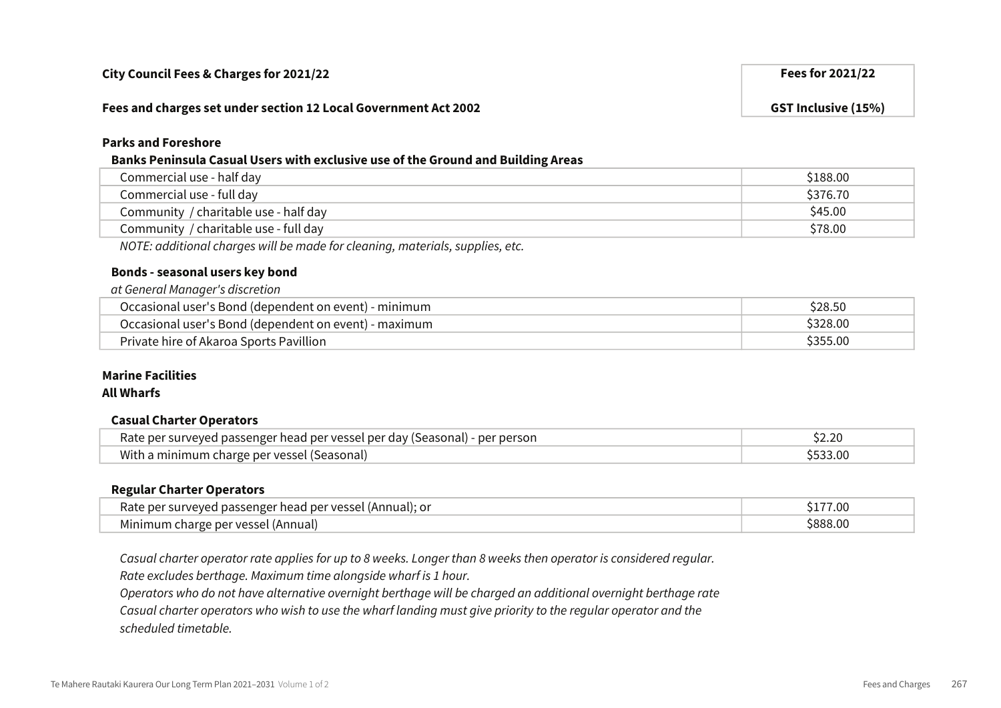#### Fees and charges set under section 12 Local Government Act 2002 GST Inclusive (15%)

## Parks and Foreshore

## Banks Peninsula Casual Users with exclusive use of the Ground and Building Areas

| Commercial use - half day             | \$188.00 |
|---------------------------------------|----------|
| Commercial use - full day             | \$376.70 |
| Community / charitable use - half day | \$45.00  |
| Community / charitable use - full day | \$78.00  |
|                                       |          |

NOTE: additional charges will be made for cleaning, materials, supplies, etc.

# Bonds - seasonal users key bond

| at General Manager's discretion                       |          |
|-------------------------------------------------------|----------|
| Occasional user's Bond (dependent on event) - minimum | \$28.50  |
| Occasional user's Bond (dependent on event) - maximum | \$328.00 |
| Private hire of Akaroa Sports Pavillion               | \$355.00 |

# Marine Facilities

## All Wharfs

#### Casual Charter Operators

| Rate per surveyed passenger head per vessel per day (Seasonal) - per person |  |
|-----------------------------------------------------------------------------|--|
| With a minimum charge per vessel (Seasonal)                                 |  |

#### Regular Charter Operators

| ' VASSAI<br>(Annual): or<br>u neri<br>5000F | 00.1   |
|---------------------------------------------|--------|
| ner vess<br>Mınır                           | . . UU |

Casual charter operator rate applies for up to 8 weeks. Longer than 8 weeks then operator is considered regular.

Rate excludes berthage. Maximum time alongside wharf is 1 hour.

Operators who do not have alternative overnight berthage will be charged an additional overnight berthage rate

Casual charter operators who wish to use the wharf landing must give priority to the regular operator and the

scheduled timetable.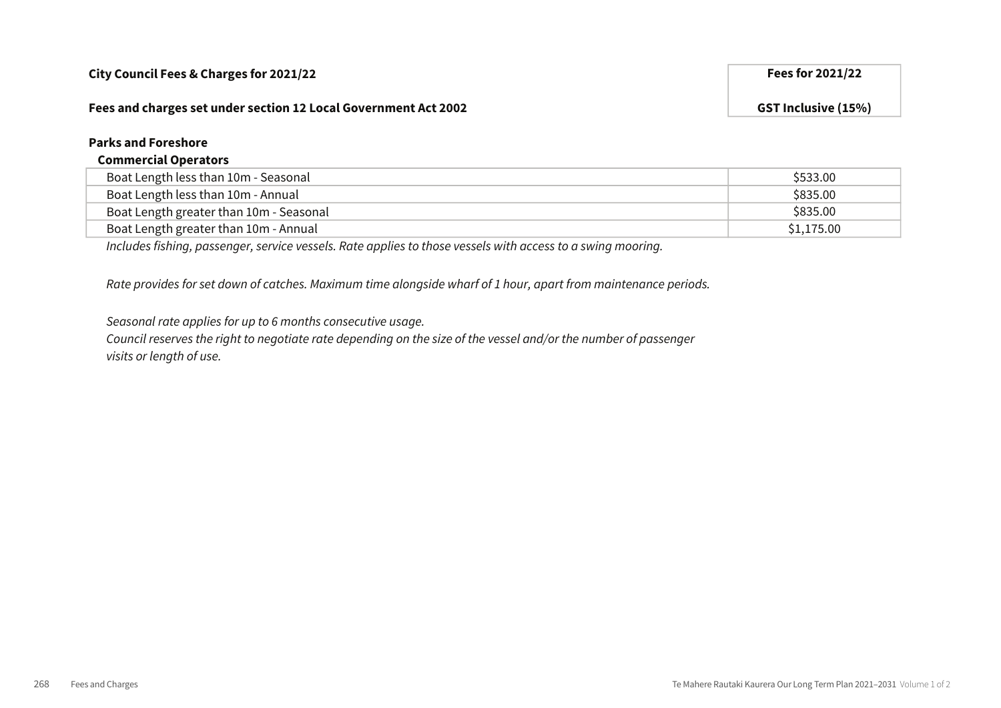#### Fees and charges set under section 12 Local Government Act 2002 GST Inclusive (15%)

#### Parks and Foreshore

#### Commercial Operators

| Boat Length less than 10m - Seasonal    | \$533.00   |
|-----------------------------------------|------------|
| Boat Length less than 10m - Annual      | \$835.00   |
| Boat Length greater than 10m - Seasonal | \$835.00   |
| Boat Length greater than 10m - Annual   | \$1,175.00 |

Includes fishing, passenger, service vessels. Rate applies to those vessels with access to a swing mooring.

Rate provides for set down of catches. Maximum time alongside wharf of 1 hour, apart from maintenance periods.

Seasonal rate applies for up to 6 months consecutive usage.

Council reserves the right to negotiate rate depending on the size of the vessel and/or the number of passenger visits or length of use.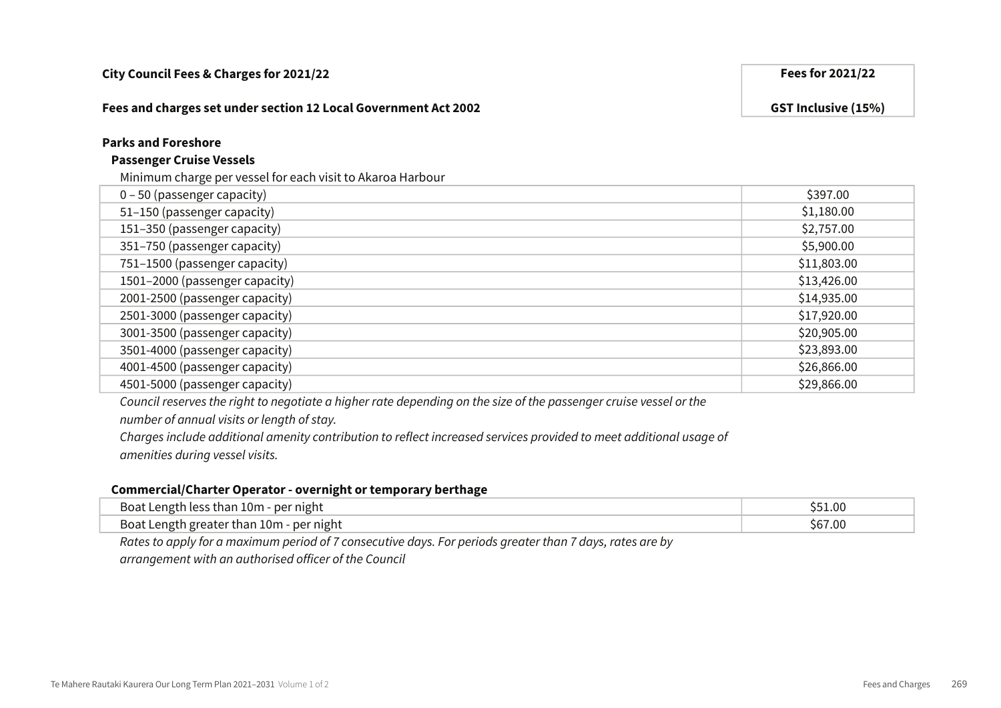#### Fees and charges set under section 12 Local Government Act 2002 GST Inclusive (15%)

### Parks and Foreshore

#### Passenger Cruise Vessels

#### Minimum charge per vessel for each visit to Akaroa Harbour

| 0 - 50 (passenger capacity)    | \$397.00    |
|--------------------------------|-------------|
| 51-150 (passenger capacity)    | \$1,180.00  |
| 151-350 (passenger capacity)   | \$2,757.00  |
| 351-750 (passenger capacity)   | \$5,900.00  |
| 751-1500 (passenger capacity)  | \$11,803.00 |
| 1501-2000 (passenger capacity) | \$13,426.00 |
| 2001-2500 (passenger capacity) | \$14,935.00 |
| 2501-3000 (passenger capacity) | \$17,920.00 |
| 3001-3500 (passenger capacity) | \$20,905.00 |
| 3501-4000 (passenger capacity) | \$23,893.00 |
| 4001-4500 (passenger capacity) | \$26,866.00 |
| 4501-5000 (passenger capacity) | \$29,866.00 |

Council reserves the right to negotiate a higher rate depending on the size of the passenger cruise vessel or the

number of annual visits or length of stay.

Charges include additional amenity contribution to reflect increased services provided to meet additional usage of amenities during vessel visits.

#### Commercial/Charter Operator - overnight or temporary berthage

| Boat Length less than 10m - per night                                                                   |  |
|---------------------------------------------------------------------------------------------------------|--|
| Boat Length greater than 10m - per night                                                                |  |
| Detects apply for a maximum ported of 7 consequitive days Fernariade areaster than 7 days, rates are by |  |

Rates to apply for a maximum period of 7 consecutive days. For periods greater than 7 days, rates are by arrangement with an authorised officer of the Council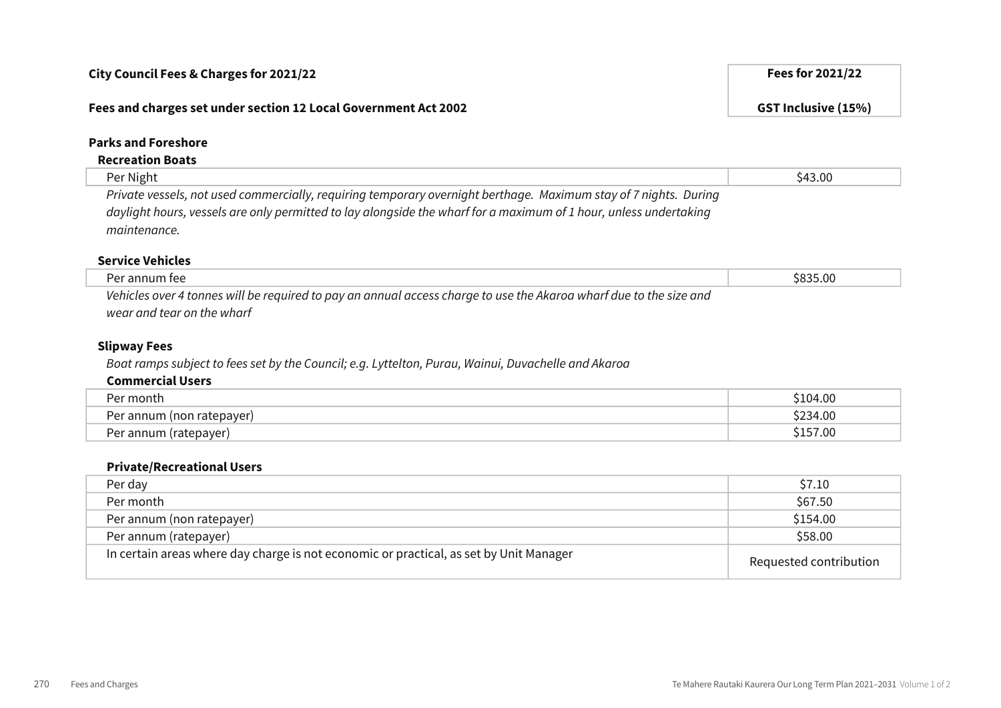#### Fees and charges set under section 12 Local Government Act 2002 GST Inclusive (15%)

### Parks and Foreshore

## Recreation Boats

Per Night \$43.00 Private vessels, not used commercially, requiring temporary overnight berthage. Maximum stay of 7 nights. During daylight hours, vessels are only permitted to lay alongside the wharf for a maximum of 1 hour, unless undertaking maintenance.

#### Service Vehicles

| Per annum fee                                                                                                      | \$835.00 |
|--------------------------------------------------------------------------------------------------------------------|----------|
| Vehicles over 4 tonnes will be required to pay an annual access charge to use the Akaroa wharf due to the size and |          |
| wear and tear on the wharf                                                                                         |          |

#### Slipway Fees

Boat ramps subject to fees set by the Council; e.g. Lyttelton, Purau, Wainui, Duvachelle and Akaroa

#### Commercial Users

| ∵month                                           | 104.00(         |
|--------------------------------------------------|-----------------|
| Per annum<br>(non ratepayer)                     | מח וכרל<br>F.UU |
| (ratepayer)<br>⊃∩r<br>annum <sup>,</sup><br>י כו | `57.00          |

#### Private/Recreational Users

| Per day                                                                                | \$7.10                 |
|----------------------------------------------------------------------------------------|------------------------|
| Per month                                                                              | \$67.50                |
| Per annum (non ratepayer)                                                              | \$154.00               |
| Per annum (ratepayer)                                                                  | \$58.00                |
| In certain areas where day charge is not economic or practical, as set by Unit Manager | Requested contribution |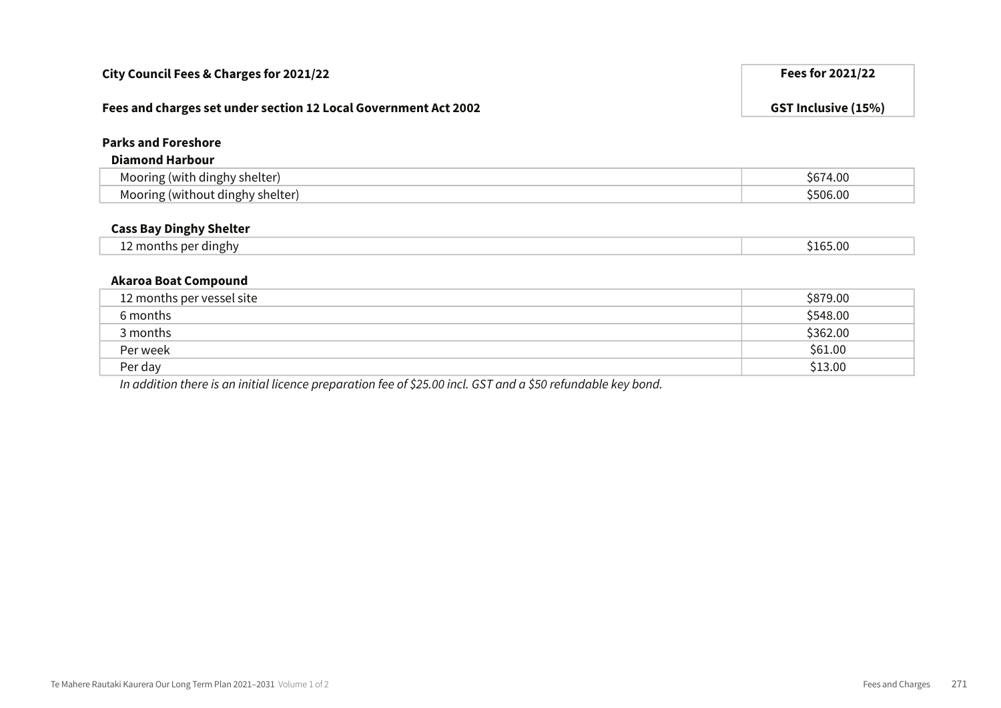| City Council Fees & Charges for 2021/22                         | <b>Fees for 2021/22</b>    |
|-----------------------------------------------------------------|----------------------------|
| Fees and charges set under section 12 Local Government Act 2002 | <b>GST Inclusive (15%)</b> |
| <b>Parks and Foreshore</b>                                      |                            |
| <b>Diamond Harbour</b>                                          |                            |
| Mooring (with dinghy shelter)                                   | \$674.00                   |
| Mooring (without dinghy shelter)                                | \$506.00                   |
| <b>Cass Bay Dinghy Shelter</b>                                  |                            |
| 12 months per dinghy                                            | \$165.00                   |
| <b>Akaroa Boat Compound</b>                                     |                            |
| 12 months per vessel site                                       | \$879.00                   |
| 6 months                                                        | \$548.00                   |
| 3 months                                                        | \$362.00                   |
| Per week                                                        | \$61.00                    |
| Per day                                                         | \$13.00                    |

In addition there is an initial licence preparation fee of \$25.00 incl. GST and a \$50 refundable key bond.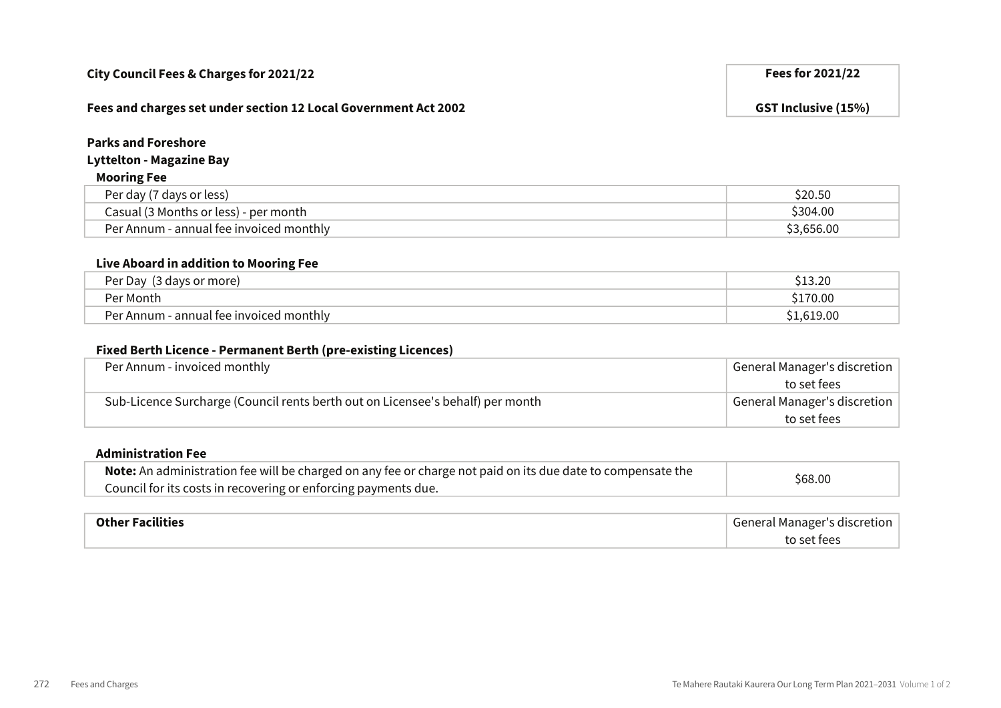#### Fees and charges set under section 12 Local Government Act 2002 GST Inclusive (15%)

## Parks and Foreshore

## Lyttelton - Magazine Bay

### Mooring Fee

| Per day (7 days or less)                | \$20.50    |
|-----------------------------------------|------------|
| Casual (3 Months or less) - per month   | \$304.00   |
| Per Annum - annual fee invoiced monthly | \$3,656.00 |

#### Live Aboard in addition to Mooring Fee

| Per Day<br>(3 days or more)             | 3.2 <sup>c</sup> |
|-----------------------------------------|------------------|
| Per Month                               | 170.00           |
| Per Annum - annual fee invoiced monthly | .619.00          |

#### Fixed Berth Licence - Permanent Berth (pre-existing Licences)

| Per Annum - invoiced monthly                                                   | General Manager's discretion |
|--------------------------------------------------------------------------------|------------------------------|
|                                                                                | to set fees                  |
| Sub-Licence Surcharge (Council rents berth out on Licensee's behalf) per month | General Manager's discretion |
|                                                                                | to set fees                  |

## Administration Fee

| Note: An administration fee will be charged on any fee or charge not paid on its due date to compensate the | \$68.00 |
|-------------------------------------------------------------------------------------------------------------|---------|
| Council for its costs in recovering or enforcing payments due.                                              |         |

| <b>Other Facilities</b> | General Manager's discretion |
|-------------------------|------------------------------|
|                         | to set fees                  |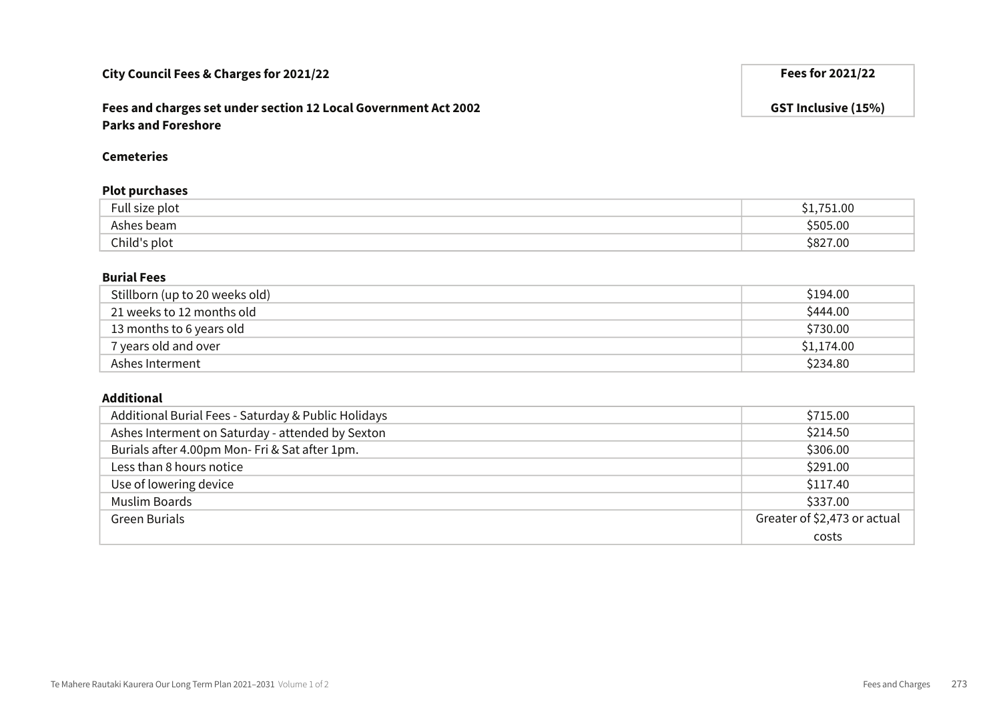## Fees and charges set under section 12 Local Government Act 2002 GST Inclusive (15%) Parks and Foreshore

#### Cemeteries

#### Plot purchases

| $\overline{\phantom{0}}$<br>Full size plot | ,751.00  |
|--------------------------------------------|----------|
| Ashes beam                                 | \$505.00 |
| Child's plot                               | \$827.00 |

#### Burial Fees

| Stillborn (up to 20 weeks old) | \$194.00   |
|--------------------------------|------------|
| 21 weeks to 12 months old      | \$444.00   |
| 13 months to 6 years old       | \$730.00   |
| 7 years old and over           | \$1,174.00 |
| Ashes Interment                | \$234.80   |

#### Additional

| Additional Burial Fees - Saturday & Public Holidays | \$715.00                     |
|-----------------------------------------------------|------------------------------|
| Ashes Interment on Saturday - attended by Sexton    | \$214.50                     |
| Burials after 4.00pm Mon-Fri & Sat after 1pm.       | \$306.00                     |
| Less than 8 hours notice                            | \$291.00                     |
| Use of lowering device                              | \$117.40                     |
| <b>Muslim Boards</b>                                | \$337.00                     |
| <b>Green Burials</b>                                | Greater of \$2,473 or actual |
|                                                     | costs                        |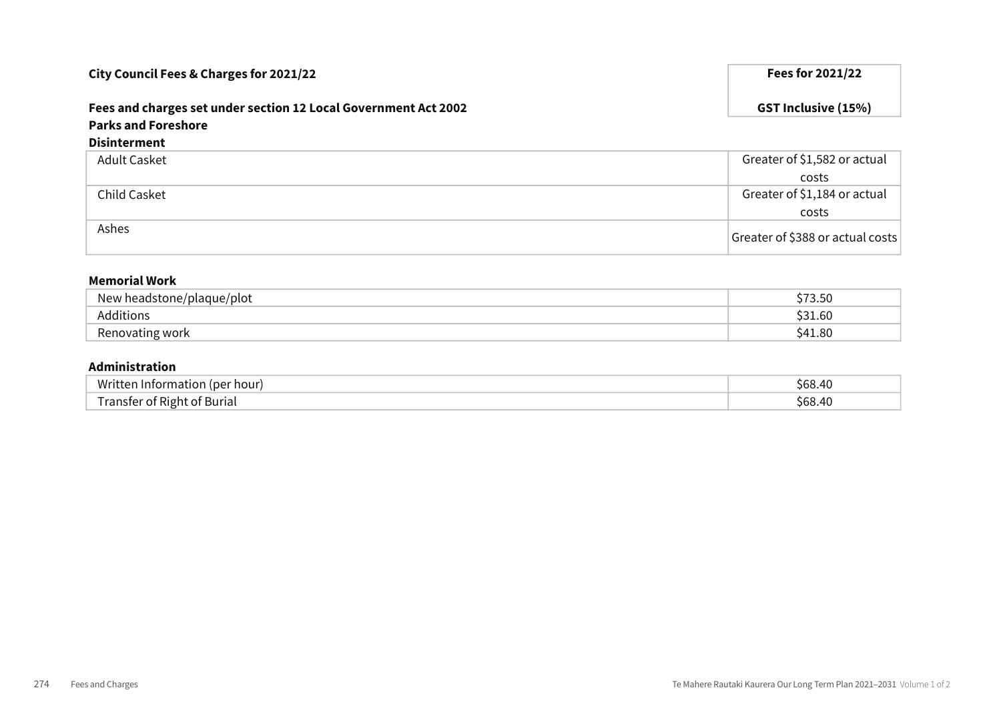# Fees and charges set under section 12 Local Government Act 2002 GST Inclusive (15%) Parks and Foreshore

#### Disinterment

| Adult Casket | Greater of \$1,582 or actual     |
|--------------|----------------------------------|
|              | costs                            |
| Child Casket | Greater of \$1,184 or actual     |
|              | costs                            |
| Ashes        | Greater of \$388 or actual costs |

#### Memorial Work

| headstone/plaque/plot_<br><b>New</b> | 50<br>∍.J∪   |
|--------------------------------------|--------------|
| Additions                            | .60<br>້ ວ 1 |
| Renovating work                      | .1.80<br>`41 |

#### Administration

| Writ.<br>per hour!<br>панс     | 3.40<br>ና6ጸ |
|--------------------------------|-------------|
| . Right<br>া Buriai<br>anster: | .4(<br>\hX  |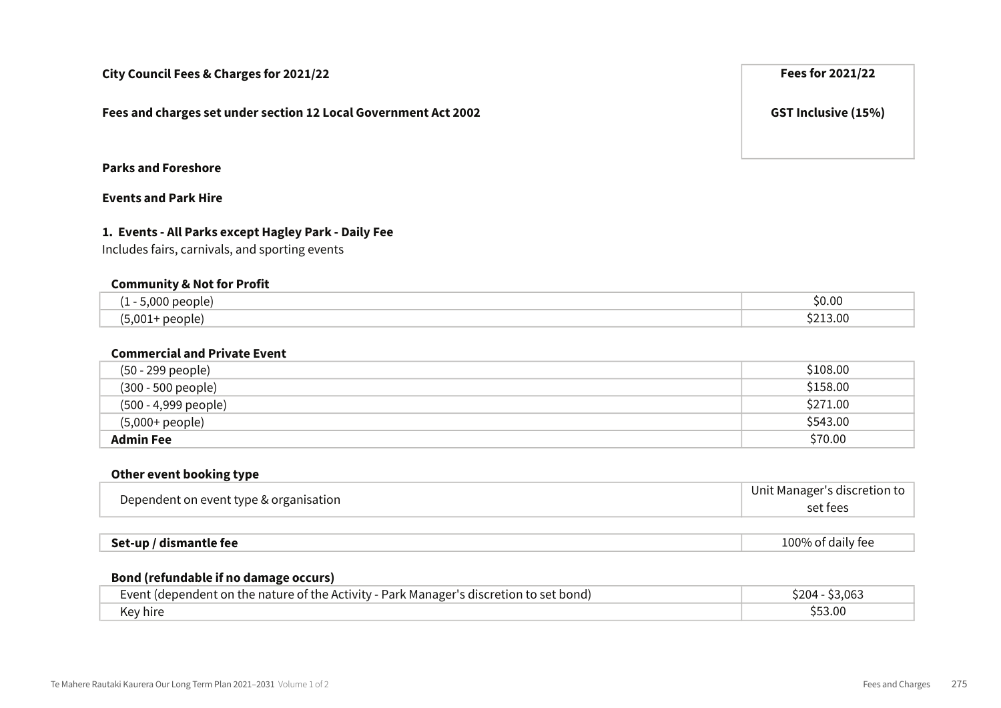Fees and charges set under section 12 Local Government Act 2002 GST Inclusive (15%)

## Parks and Foreshore

## Events and Park Hire

#### 1. Events - All Parks except Hagley Park - Daily Fee

Includes fairs, carnivals, and sporting events

#### Community & Not for Profit

| .000<br>people.                                      | \$0.00           |
|------------------------------------------------------|------------------|
| $\sim$<br>people<br>.,001+<br>$\sim$ , $\sim$ $\sim$ | $\sim$<br>.<br>. |

#### Commercial and Private Event

| (50 - 299 people)    | \$108.00 |
|----------------------|----------|
| (300 - 500 people)   | \$158.00 |
| (500 - 4,999 people) | \$271.00 |
| (5,000+ people)      | \$543.00 |
| <b>Admin Fee</b>     | \$70.00  |

#### Other event booking type

| Dependent on event type & organisation | Unit Manager's discretion to |
|----------------------------------------|------------------------------|
|                                        | set fees                     |
|                                        |                              |

| Set-up / dismantle fee | $\cdot$ .<br>100% of daily fee |
|------------------------|--------------------------------|
|------------------------|--------------------------------|

#### Bond (refundable if no damage occurs)

| a on the nature of the Activity - Park Manager's<br>went<br>∵bond.<br>"s discretion fi<br>(denendent | ገበ∆<br>3.Ub. |
|------------------------------------------------------------------------------------------------------|--------------|
| Key hire                                                                                             |              |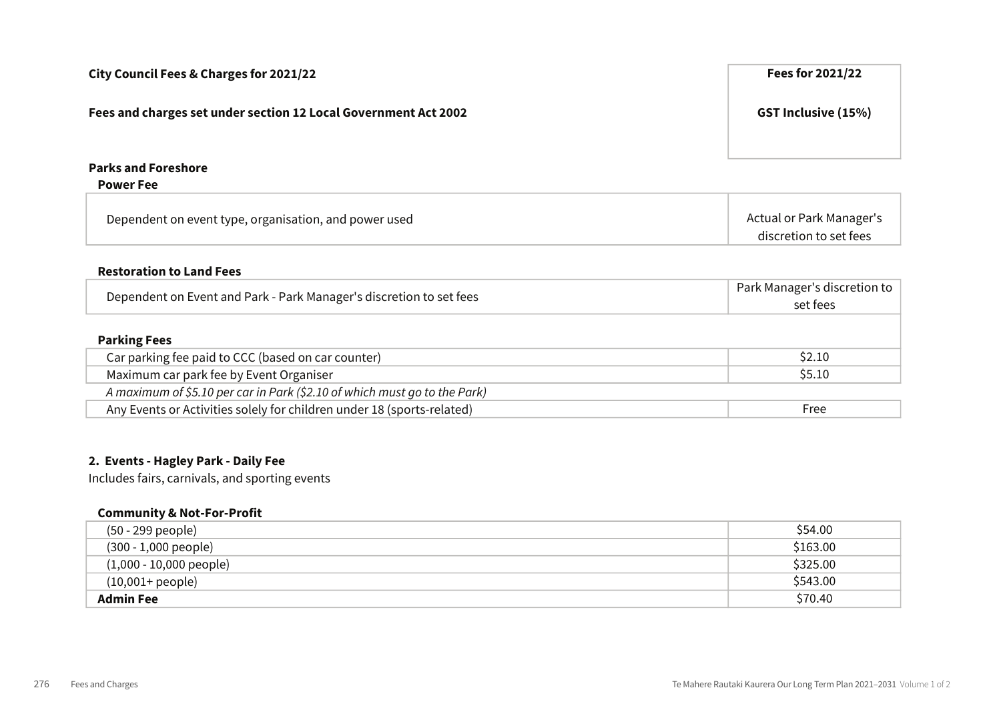| City Council Fees & Charges for 2021/22                             | <b>Fees for 2021/22</b>                                   |
|---------------------------------------------------------------------|-----------------------------------------------------------|
| Fees and charges set under section 12 Local Government Act 2002     | <b>GST Inclusive (15%)</b>                                |
| <b>Parks and Foreshore</b><br><b>Power Fee</b>                      |                                                           |
| Dependent on event type, organisation, and power used               | <b>Actual or Park Manager's</b><br>discretion to set fees |
| <b>Restoration to Land Fees</b>                                     |                                                           |
| Dependent on Event and Park - Park Manager's discretion to set fees | Park Manager's discretion to<br>set fees                  |
| <b>Parking Fees</b>                                                 |                                                           |
| Carparking fee paid to CCC (based on carcounter)                    | <b>\$2.10</b>                                             |

| Car parking fee paid to CCC (based on car counter)                        | \$2.10 |
|---------------------------------------------------------------------------|--------|
| Maximum car park fee by Event Organiser                                   | \$5.10 |
| A maximum of \$5.10 per car in Park (\$2.10 of which must go to the Park) |        |
| Any Events or Activities solely for children under 18 (sports-related)    | Free   |

## 2. Events - Hagley Park - Daily Fee

Includes fairs, carnivals, and sporting events

#### Community & Not-For-Profit

| (50 - 299 people)         | \$54.00  |
|---------------------------|----------|
| $(300 - 1,000$ people)    | \$163.00 |
| $(1,000 - 10,000$ people) | \$325.00 |
| $(10,001 + people)$       | \$543.00 |
| <b>Admin Fee</b>          | \$70.40  |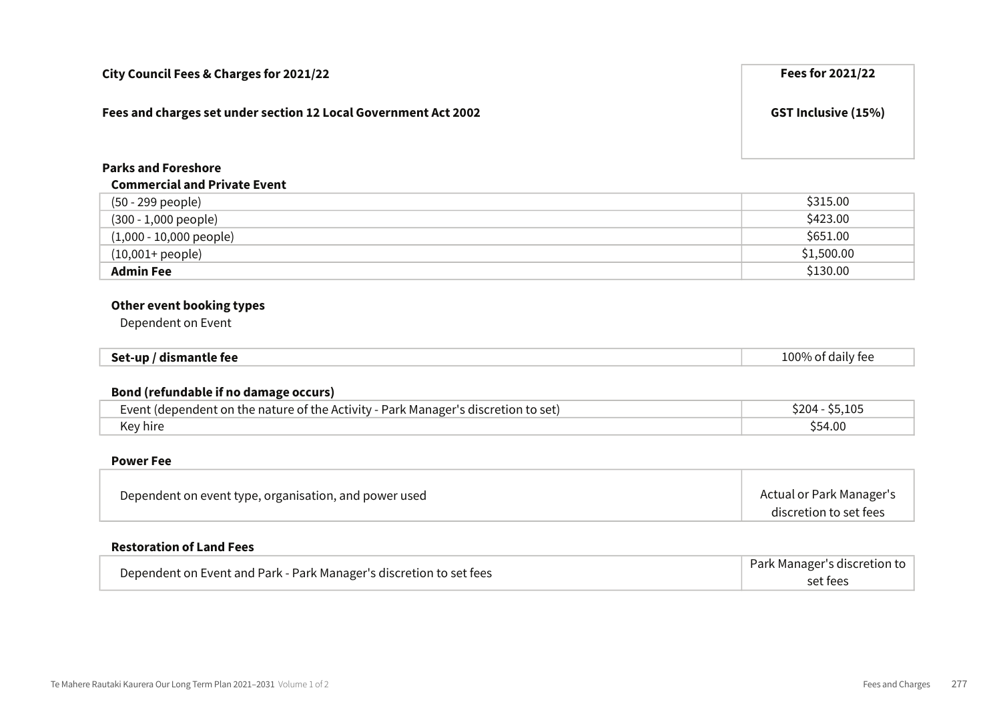| City Council Fees & Charges for 2021/22                         | Fees for 2021/22           |
|-----------------------------------------------------------------|----------------------------|
| Fees and charges set under section 12 Local Government Act 2002 | <b>GST Inclusive (15%)</b> |
|                                                                 |                            |

## Parks and Foreshore

#### Commercial and Private Event

| (50 - 299 people)         | \$315.00   |
|---------------------------|------------|
| $(300 - 1,000$ people)    | \$423.00   |
| $(1,000 - 10,000$ people) | \$651.00   |
| $(10,001 + people)$       | \$1,500.00 |
| <b>Admin Fee</b>          | \$130.00   |

## Other event booking types

Dependent on Event

| 100% of daily fee<br>Set-up<br>/ dismantle fee |
|------------------------------------------------|
|------------------------------------------------|

#### Bond (refundable if no damage occurs)

| Event (dependent on the nature of the Activity - Park Manager's discretion to set) | 5.105ء<br><b>\$204 - \$5</b> |
|------------------------------------------------------------------------------------|------------------------------|
| Key hire                                                                           | 54.00                        |

#### Power Fee

| Dependent on event type, organisation, and power used | Actual or Park Manager's |
|-------------------------------------------------------|--------------------------|
|                                                       | discretion to set fees   |

### Restoration of Land Fees

| Dependent on Event and Park - Park Manager's discretion to set fees | Park Manager's discretion to |
|---------------------------------------------------------------------|------------------------------|
|                                                                     | set fees                     |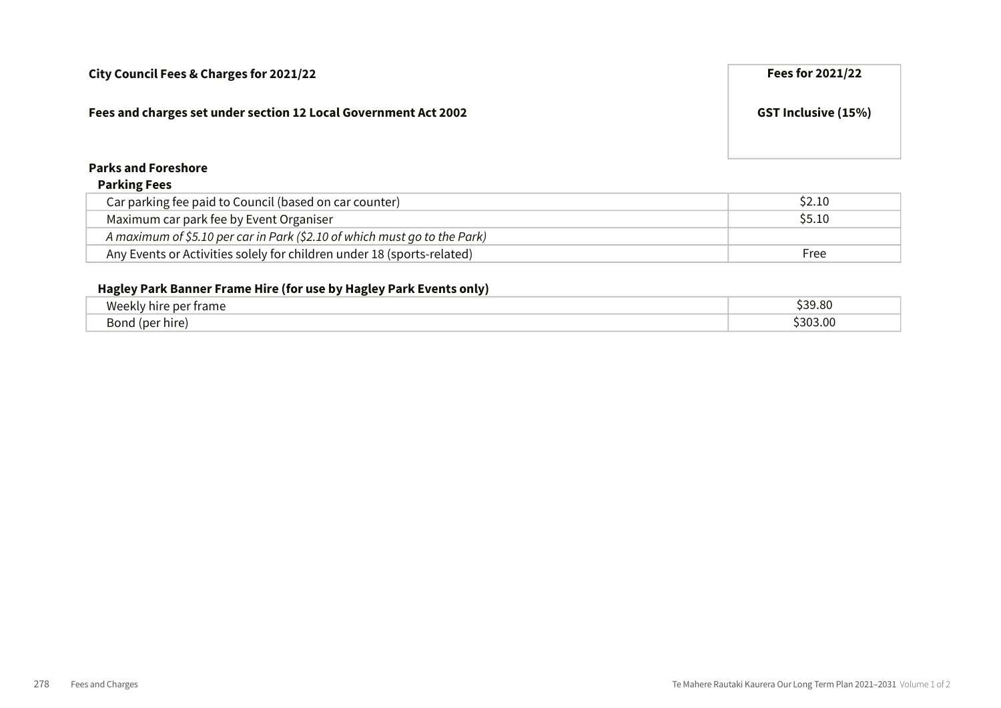## Fees and charges set under section 12 Local Government Act 2002 GST Inclusive (15%)

## Parks and Foreshore

#### Parking Fees

| Car parking fee paid to Council (based on car counter)                    | S <sub>2.10</sub> |
|---------------------------------------------------------------------------|-------------------|
| Maximum car park fee by Event Organiser                                   | S5.10             |
| A maximum of \$5.10 per car in Park (\$2.10 of which must go to the Park) |                   |
| Any Events or Activities solely for children under 18 (sports-related)    | Free              |

## Hagley Park Banner Frame Hire (for use by Hagley Park Events only)

| Weekl                                | 39.80   |
|--------------------------------------|---------|
| per frame                            | ^^^     |
| Bor<br>ົ <sub>າ</sub> r hire)<br>ם ר | 1303.00 |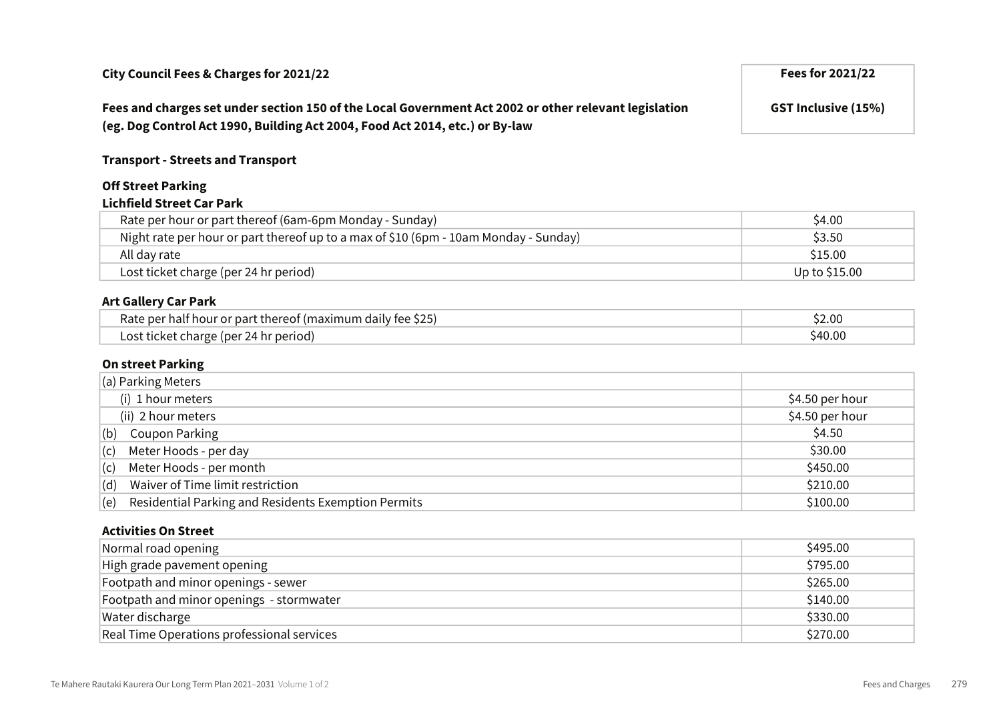## Fees and charges set under section 150 of the Local Government Act 2002 or other relevant legislation (eg. Dog Control Act 1990, Building Act 2004, Food Act 2014, etc.) or By-law

GST Inclusive (15%)

#### Transport - Streets and Transport

#### Off Street Parking Lichfield Street Car Park

| Rate per hour or part thereof (6am-6pm Monday - Sunday)                              | \$4.00        |
|--------------------------------------------------------------------------------------|---------------|
| Night rate per hour or part thereof up to a max of \$10 (6pm - 10am Monday - Sunday) | \$3.50        |
| All day rate                                                                         | \$15.00       |
| Lost ticket charge (per 24 hr period)                                                | Up to \$15.00 |

#### Art Gallery Car Park

| Rate per half hour or part thereof (maximum daily fee \$25) | 2.00د  |
|-------------------------------------------------------------|--------|
| Lost ticket charge (per 24 hr period)                       | S40.00 |

#### On street Parking

| $\vert$ (a) Parking Meters                                 |                 |
|------------------------------------------------------------|-----------------|
| (i) 1 hour meters                                          | \$4.50 per hour |
| (ii) 2 hour meters                                         | \$4.50 per hour |
| <b>Coupon Parking</b><br>(b)                               | \$4.50          |
| Meter Hoods - per day<br>(c)                               | \$30.00         |
| Meter Hoods - per month<br>(c)                             | \$450.00        |
| Waiver of Time limit restriction<br>(d)                    | \$210.00        |
| Residential Parking and Residents Exemption Permits<br>(e) | \$100.00        |

### Activities On Street

| Normal road opening                        | \$495.00 |
|--------------------------------------------|----------|
| High grade pavement opening                | \$795.00 |
| Footpath and minor openings - sewer        | \$265.00 |
| Footpath and minor openings - stormwater   | \$140.00 |
| Water discharge                            | \$330.00 |
| Real Time Operations professional services | \$270.00 |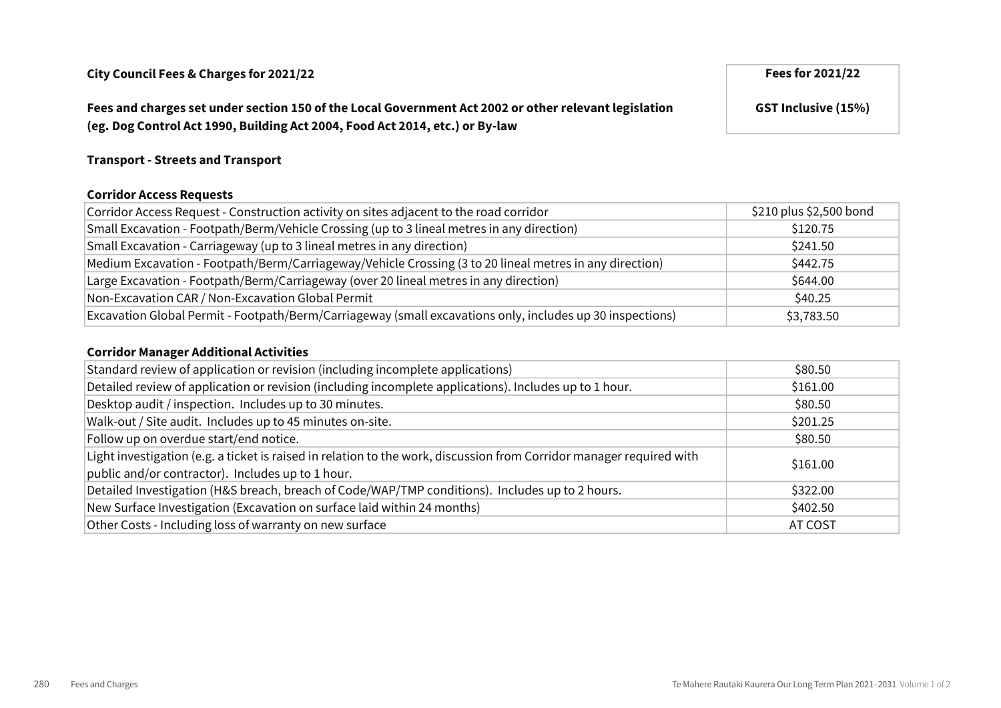Fees and charges set under section 150 of the Local Government Act 2002 or other relevant legislation (eg. Dog Control Act 1990, Building Act 2004, Food Act 2014, etc.) or By-law

### Transport - Streets and Transport

#### Corridor Access Requests

| Corridor Access Request - Construction activity on sites adjacent to the road corridor                    | \$210 plus \$2,500 bond |
|-----------------------------------------------------------------------------------------------------------|-------------------------|
| Small Excavation - Footpath/Berm/Vehicle Crossing (up to 3 lineal metres in any direction)                | \$120.75                |
| Small Excavation - Carriageway (up to 3 lineal metres in any direction)                                   | \$241.50                |
| Medium Excavation - Footpath/Berm/Carriageway/Vehicle Crossing (3 to 20 lineal metres in any direction)   | \$442.75                |
| Large Excavation - Footpath/Berm/Carriageway (over 20 lineal metres in any direction)                     | \$644.00                |
| Non-Excavation CAR / Non-Excavation Global Permit                                                         | \$40.25                 |
| Excavation Global Permit - Footpath/Berm/Carriageway (small excavations only, includes up 30 inspections) | \$3,783.50              |

#### Corridor Manager Additional Activities

| Standard review of application or revision (including incomplete applications)                                       | \$80.50  |
|----------------------------------------------------------------------------------------------------------------------|----------|
| Detailed review of application or revision (including incomplete applications). Includes up to 1 hour.               | \$161.00 |
| Desktop audit / inspection. Includes up to 30 minutes.                                                               | \$80.50  |
| Walk-out / Site audit. Includes up to 45 minutes on-site.                                                            | \$201.25 |
| Follow up on overdue start/end notice.                                                                               | \$80.50  |
| Light investigation (e.g. a ticket is raised in relation to the work, discussion from Corridor manager required with | \$161.00 |
| public and/or contractor). Includes up to 1 hour.                                                                    |          |
| Detailed Investigation (H&S breach, breach of Code/WAP/TMP conditions). Includes up to 2 hours.                      | \$322.00 |
| New Surface Investigation (Excavation on surface laid within 24 months)                                              | \$402.50 |
| Other Costs - Including loss of warranty on new surface                                                              | AT COST  |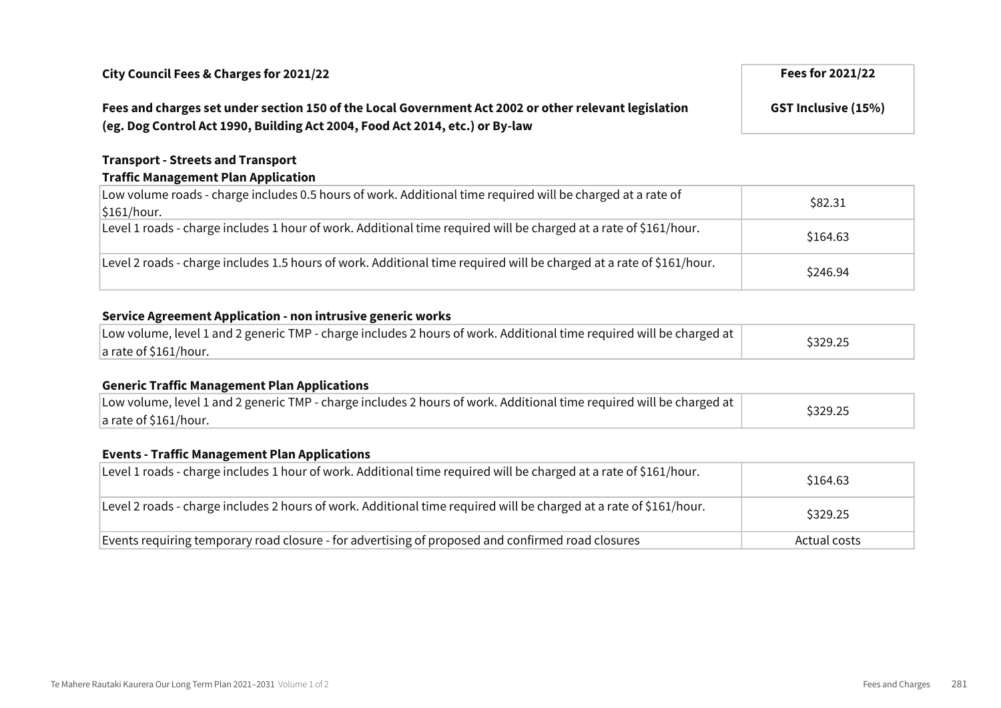## Fees and charges set under section 150 of the Local Government Act 2002 or other relevant legislation (eg. Dog Control Act 1990, Building Act 2004, Food Act 2014, etc.) or By-law

Transport - Streets and Transport Traffic Management Plan Application

| Low volume roads - charge includes 0.5 hours of work. Additional time required will be charged at a rate of<br>$\frac{1}{161}$ hour. | \$82.31  |
|--------------------------------------------------------------------------------------------------------------------------------------|----------|
| Level 1 roads - charge includes 1 hour of work. Additional time required will be charged at a rate of \$161/hour.                    | \$164.63 |
| Level 2 roads - charge includes 1.5 hours of work. Additional time required will be charged at a rate of \$161/hour.                 | \$246.94 |

## Service Agreement Application - non intrusive generic works

| Low volume, level 1 and 2 generic TMP - charge includes 2 hours of work. Additional time required will be charged at | \$329.25 |
|----------------------------------------------------------------------------------------------------------------------|----------|
| $ a$ rate of \$161/hour.                                                                                             |          |

### Generic Traffic Management Plan Applications

| Low volume, level 1 and 2 generic TMP - charge includes 2 hours of work. Additional time required will be charged at | \$329.25 |
|----------------------------------------------------------------------------------------------------------------------|----------|
| $ a$ rate of \$161/hour.                                                                                             |          |

### Events - Traffic Management Plan Applications

| Level 1 roads - charge includes 1 hour of work. Additional time required will be charged at a rate of \$161/hour.  | \$164.63     |
|--------------------------------------------------------------------------------------------------------------------|--------------|
| Level 2 roads - charge includes 2 hours of work. Additional time required will be charged at a rate of \$161/hour. | \$329.25     |
| Events requiring temporary road closure - for advertising of proposed and confirmed road closures                  | Actual costs |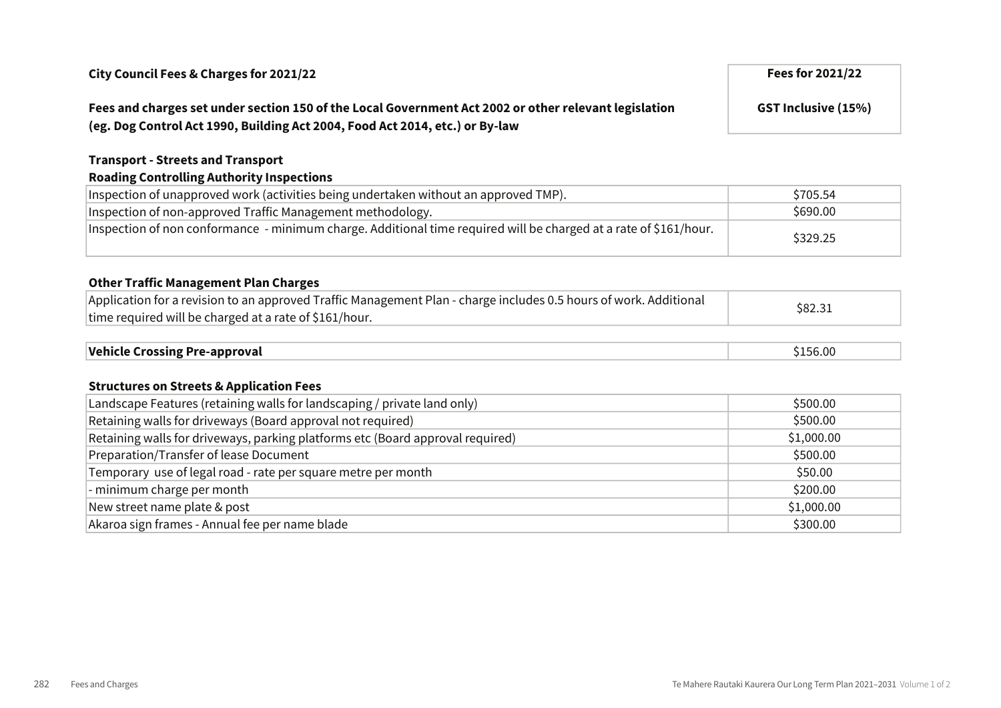## Fees and charges set under section 150 of the Local Government Act 2002 or other relevant legislation (eg. Dog Control Act 1990, Building Act 2004, Food Act 2014, etc.) or By-law

GST Inclusive (15%)

### Transport - Streets and Transport

## Roading Controlling Authority Inspections

| Inspection of unapproved work (activities being undertaken without an approved TMP).                              | \$705.54 |
|-------------------------------------------------------------------------------------------------------------------|----------|
| Inspection of non-approved Traffic Management methodology.                                                        | \$690.00 |
| Inspection of non conformance - minimum charge. Additional time required will be charged at a rate of \$161/hour. | \$329.25 |

## Other Traffic Management Plan Charges

| Application for a revision to an approved Traffic Management Plan - charge includes 0.5 hours of work. Additional | \$82.31 |
|-------------------------------------------------------------------------------------------------------------------|---------|
| time required will be charged at a rate of \$161/hour.                                                            |         |
|                                                                                                                   |         |

| Vehicle Crossing Pre-approval | 156.00 |
|-------------------------------|--------|
|                               |        |

#### Structures on Streets & Application Fees

| Landscape Features (retaining walls for landscaping / private land only)       | \$500.00   |
|--------------------------------------------------------------------------------|------------|
| Retaining walls for driveways (Board approval not required)                    | \$500.00   |
| Retaining walls for driveways, parking platforms etc (Board approval required) | \$1,000.00 |
| Preparation/Transfer of lease Document                                         | \$500.00   |
| Temporary use of legal road - rate per square metre per month                  | \$50.00    |
| - minimum charge per month                                                     | \$200.00   |
| New street name plate & post                                                   | \$1,000.00 |
| Akaroa sign frames - Annual fee per name blade                                 | \$300.00   |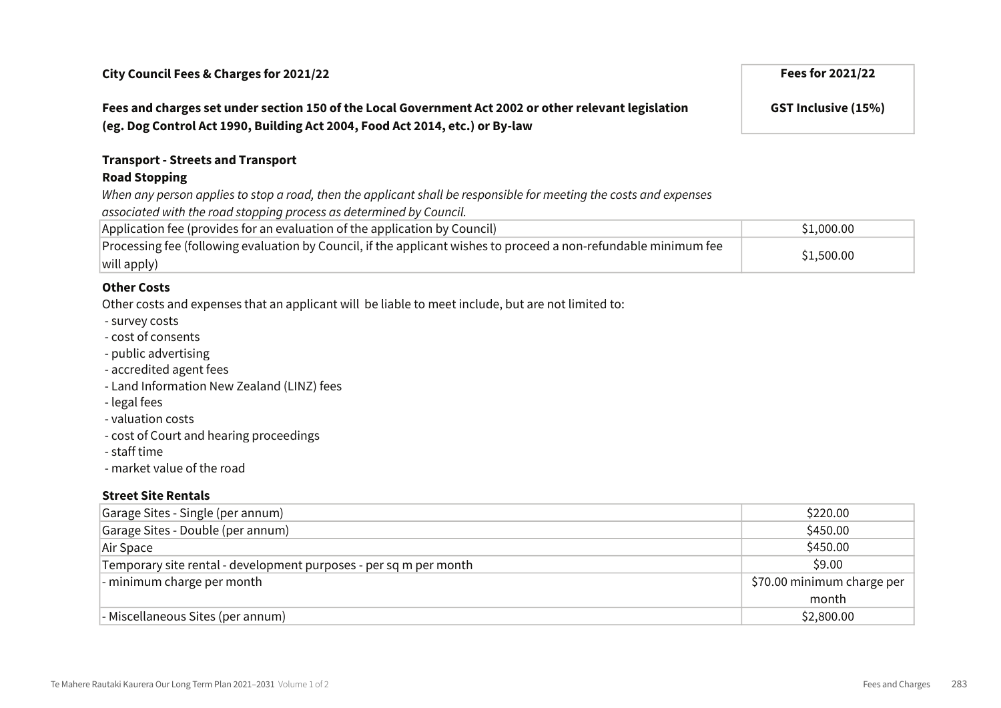Fees and charges set under section 150 of the Local Government Act 2002 or other relevant legislation (eg. Dog Control Act 1990, Building Act 2004, Food Act 2014, etc.) or By-law

GST Inclusive (15%)

## Transport - Streets and Transport

#### Road Stopping

When any person applies to stop a road, then the applicant shall be responsible for meeting the costs and expenses

associated with the road stopping process as determined by Council.

| Application fee (provides for an evaluation of the application by Council)                                       | \$1,000.00 |
|------------------------------------------------------------------------------------------------------------------|------------|
| Processing fee (following evaluation by Council, if the applicant wishes to proceed a non-refundable minimum fee | \$1,500.00 |
| $ $ will apply)                                                                                                  |            |

### Other Costs

Other costs and expenses that an applicant will be liable to meet include, but are not limited to:

- survey costs
- cost of consents
- public advertising
- accredited agent fees
- Land Information New Zealand (LINZ) fees
- legal fees
- valuation costs
- cost of Court and hearing proceedings
- staff time
- market value of the road

#### Street Site Rentals

| Garage Sites - Single (per annum)                                 | \$220.00                   |
|-------------------------------------------------------------------|----------------------------|
| Garage Sites - Double (per annum)                                 | \$450.00                   |
| Air Space                                                         | \$450.00                   |
| Temporary site rental - development purposes - per sq m per month | \$9.00                     |
| - minimum charge per month                                        | \$70.00 minimum charge per |
|                                                                   | month                      |
| - Miscellaneous Sites (per annum)                                 | \$2,800.00                 |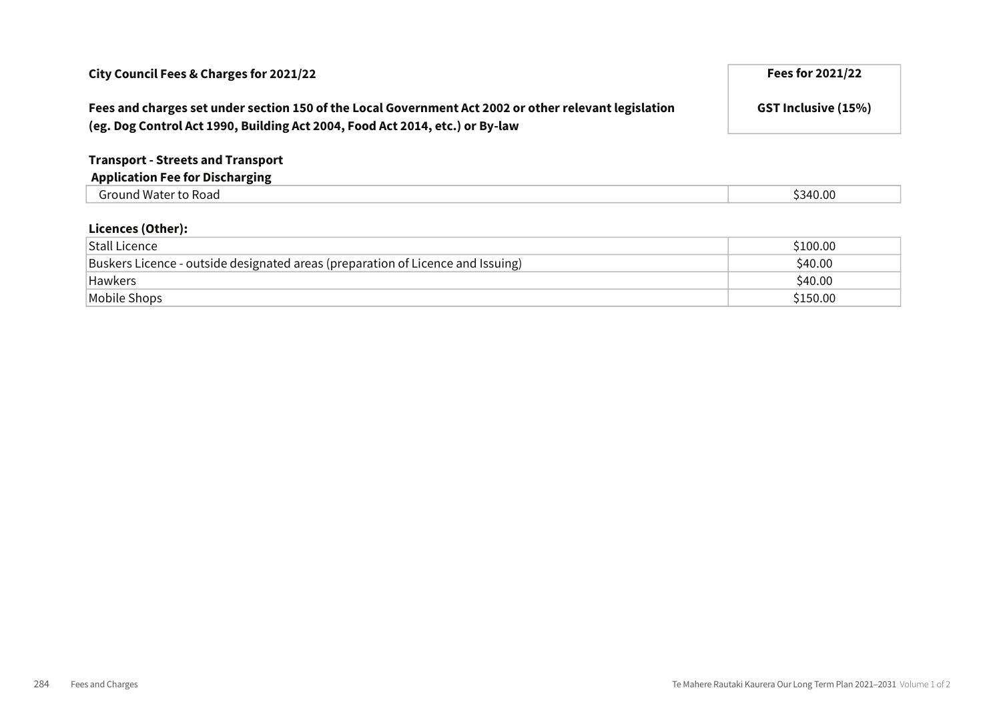| City Council Fees & Charges for 2021/22                                                                                                                                               | <b>Fees for 2021/22</b>    |
|---------------------------------------------------------------------------------------------------------------------------------------------------------------------------------------|----------------------------|
| Fees and charges set under section 150 of the Local Government Act 2002 or other relevant legislation<br>(eg. Dog Control Act 1990, Building Act 2004, Food Act 2014, etc.) or By-law | <b>GST Inclusive (15%)</b> |
| <b>Transport - Streets and Transport</b>                                                                                                                                              |                            |
| <b>Application Fee for Discharging</b>                                                                                                                                                |                            |
| Ground Water to Road                                                                                                                                                                  | \$340.00                   |

#### Licences (Other):

| <b>Stall Licence</b>                                                            | \$100.00 |
|---------------------------------------------------------------------------------|----------|
| Buskers Licence - outside designated areas (preparation of Licence and Issuing) | \$40.00  |
| <b>Hawkers</b>                                                                  | \$40.00  |
| Mobile Shops                                                                    | \$150.00 |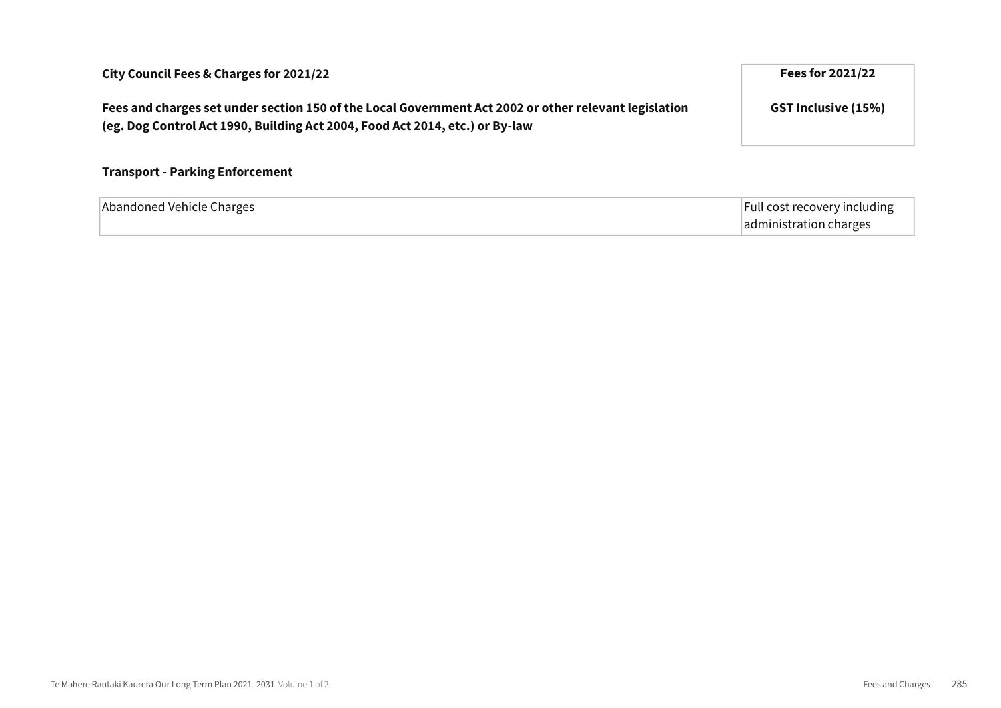| Fees and charges set under section 150 of the Local Government Act 2002 or other relevant legislation<br>(eg. Dog Control Act 1990, Building Act 2004, Food Act 2014, etc.) or By-law | <b>GST Inclusive (15%)</b>                             |
|---------------------------------------------------------------------------------------------------------------------------------------------------------------------------------------|--------------------------------------------------------|
| <b>Transport - Parking Enforcement</b>                                                                                                                                                |                                                        |
| Abandoned Vehicle Charges                                                                                                                                                             | Full cost recovery including<br>administration charges |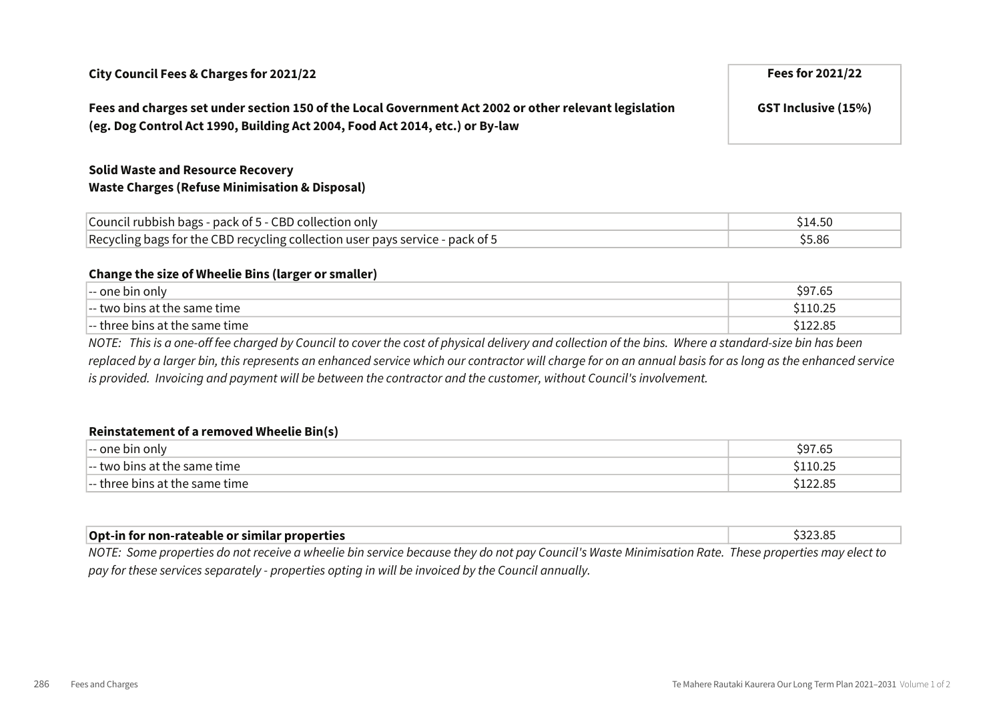## City Council Fees & Charges for 2021/22 Fees for 2021/22

## Fees and charges set under section 150 of the Local Government Act 2002 or other relevant legislation (eg. Dog Control Act 1990, Building Act 2004, Food Act 2014, etc.) or By-law

## Solid Waste and Resource Recovery Waste Charges (Refuse Minimisation & Disposal)

| Council rubbish bags - pack of 5 - CBD collection only                        |        |
|-------------------------------------------------------------------------------|--------|
| Recycling bags for the CBD recycling collection user pays service - pack of 5 | \$5.86 |

#### Change the size of Wheelie Bins (larger or smaller)

| hin only<br>nne<br>$- -$                              | ה המי<br>.ч<br>כס. ו |
|-------------------------------------------------------|----------------------|
| l-- two bins at the :<br>same time !                  | ∶1 1 ∩ ว ⊏           |
| $\left\vert -\right\vert$ three bins at the same time | JLZZ.O.              |

NOTE: This is a one-off fee charged by Council to cover the cost of physical delivery and collection of the bins. Where a standard-size bin has been replaced by a larger bin, this represents an enhanced service which our contractor will charge for on an annual basis for as long as the enhanced service is provided. Invoicing and payment will be between the contractor and the customer, without Council's involvement.

#### Reinstatement of a removed Wheelie Bin(s)

| -- one bin only                                                                | <b>S97 6F</b><br>כס. זי |
|--------------------------------------------------------------------------------|-------------------------|
| $\left\vert -\right\vert$ two bins at the same time.                           | \$110.25                |
| $\left\vert -\right\vert$ three bins at the same time $\left\vert \right\vert$ | \$122.85                |

| Opt-in for non-rateable or similar properties                                                                                                       |  |
|-----------------------------------------------------------------------------------------------------------------------------------------------------|--|
| NOTE: Some properties do not receive a wheelie bin service because they do not nay Council's Waste Minimisation Rate. These properties may elect to |  |

roperties do not receive a wheelie bin service because they do not pay Council's Waste Minimisation Rate. These properties may elect to pay for these services separately - properties opting in will be invoiced by the Council annually.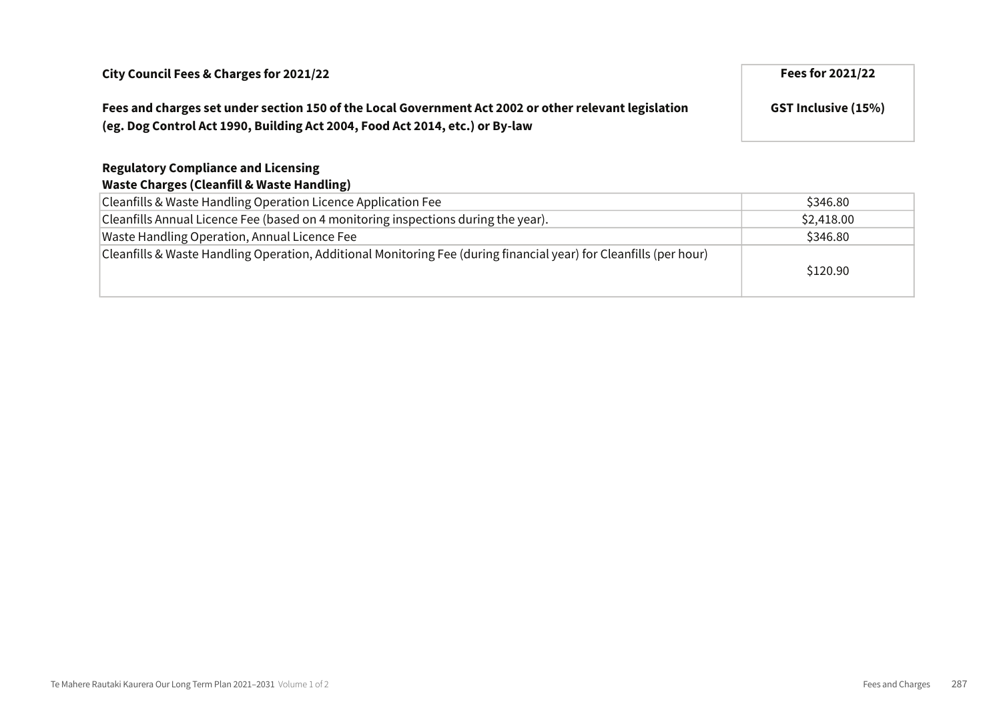## Fees and charges set under section 150 of the Local Government Act 2002 or other relevant legislation (eg. Dog Control Act 1990, Building Act 2004, Food Act 2014, etc.) or By-law

## Regulatory Compliance and Licensing

### Waste Charges (Cleanfill & Waste Handling)

| Cleanfills & Waste Handling Operation Licence Application Fee                                                      | \$346.80   |
|--------------------------------------------------------------------------------------------------------------------|------------|
| Cleanfills Annual Licence Fee (based on 4 monitoring inspections during the year).                                 | \$2,418.00 |
| Waste Handling Operation, Annual Licence Fee                                                                       | \$346.80   |
| Cleanfills & Waste Handling Operation, Additional Monitoring Fee (during financial year) for Cleanfills (per hour) |            |
|                                                                                                                    | \$120.90   |
|                                                                                                                    |            |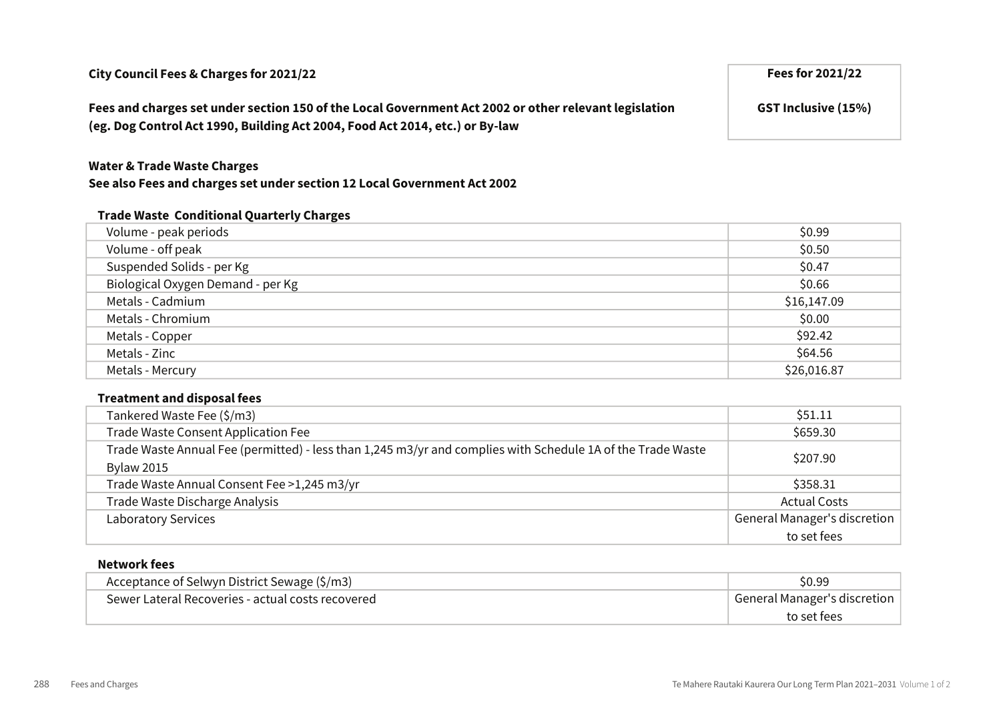Fees and charges set under section 150 of the Local Government Act 2002 or other relevant legislation (eg. Dog Control Act 1990, Building Act 2004, Food Act 2014, etc.) or By-law

#### Water & Trade Waste Charges

#### See also Fees and charges set under section 12 Local Government Act 2002

#### Trade Waste Conditional Quarterly Charges

| Volume - peak periods             | \$0.99      |
|-----------------------------------|-------------|
| Volume - off peak                 | \$0.50      |
| Suspended Solids - per Kg         | \$0.47      |
| Biological Oxygen Demand - per Kg | \$0.66      |
| Metals - Cadmium                  | \$16,147.09 |
| Metals - Chromium                 | \$0.00      |
| Metals - Copper                   | \$92.42     |
| Metals - Zinc                     | \$64.56     |
| Metals - Mercury                  | \$26,016.87 |

#### Treatment and disposal fees

| Tankered Waste Fee (\$/m3)                                                                                  | \$51.11                             |
|-------------------------------------------------------------------------------------------------------------|-------------------------------------|
| Trade Waste Consent Application Fee                                                                         | \$659.30                            |
| Trade Waste Annual Fee (permitted) - less than 1,245 m3/yr and complies with Schedule 1A of the Trade Waste | \$207.90                            |
| <b>Bylaw 2015</b>                                                                                           |                                     |
| Trade Waste Annual Consent Fee >1,245 m3/yr                                                                 | \$358.31                            |
| Trade Waste Discharge Analysis                                                                              | <b>Actual Costs</b>                 |
| <b>Laboratory Services</b>                                                                                  | <b>General Manager's discretion</b> |
|                                                                                                             | to set fees                         |

#### Network fees

| Acceptance of Selwyn District Sewage (\$/m3)      | \$0.99                       |
|---------------------------------------------------|------------------------------|
| Sewer Lateral Recoveries - actual costs recovered | General Manager's discretion |
|                                                   | to set fees                  |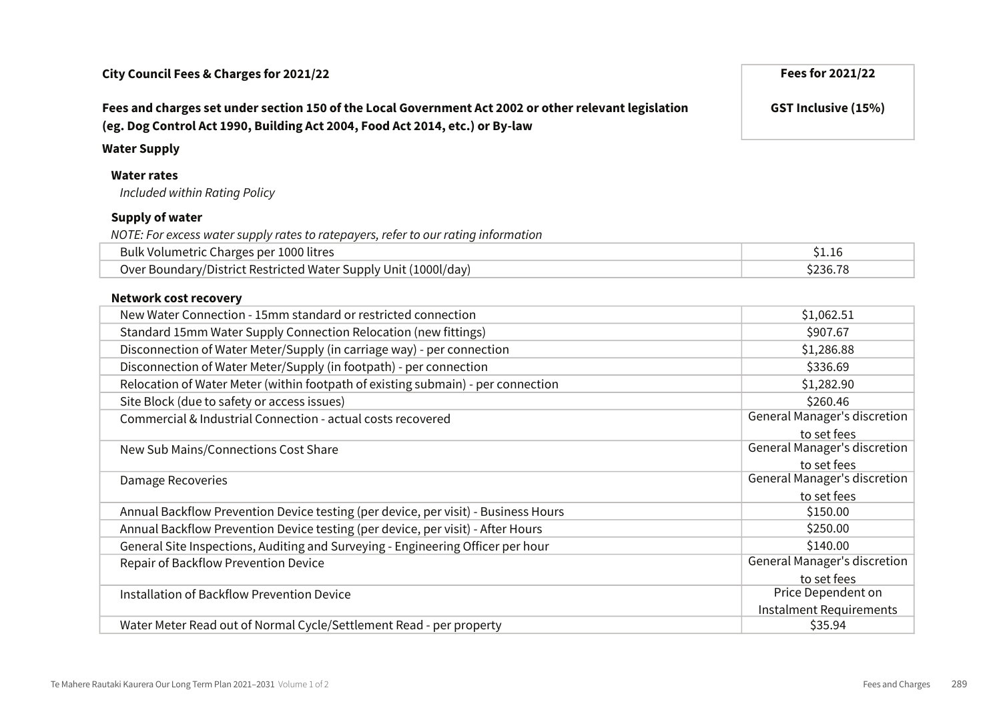## Fees and charges set under section 150 of the Local Government Act 2002 or other relevant legislation (eg. Dog Control Act 1990, Building Act 2004, Food Act 2014, etc.) or By-law

#### Water Supply

### Water rates

Included within Rating Policy

### Supply of water

NOTE: For excess water supply rates to ratepayers, refer to our rating information

| Bulk Volumetric Charges per 1000 litres                         |          |
|-----------------------------------------------------------------|----------|
| Over Boundary/District Restricted Water Supply Unit (1000l/day) | \$236.78 |

#### Network cost recovery

| New Water Connection - 15mm standard or restricted connection                      | \$1,062.51                          |
|------------------------------------------------------------------------------------|-------------------------------------|
| Standard 15mm Water Supply Connection Relocation (new fittings)                    | \$907.67                            |
| Disconnection of Water Meter/Supply (in carriage way) - per connection             | \$1,286.88                          |
| Disconnection of Water Meter/Supply (in footpath) - per connection                 | \$336.69                            |
| Relocation of Water Meter (within footpath of existing submain) - per connection   | \$1,282.90                          |
| Site Block (due to safety or access issues)                                        | \$260.46                            |
| Commercial & Industrial Connection - actual costs recovered                        | General Manager's discretion        |
|                                                                                    | to set fees                         |
| New Sub Mains/Connections Cost Share                                               | General Manager's discretion        |
|                                                                                    | to set fees                         |
| Damage Recoveries                                                                  | General Manager's discretion        |
|                                                                                    | to set fees                         |
| Annual Backflow Prevention Device testing (per device, per visit) - Business Hours | \$150.00                            |
| Annual Backflow Prevention Device testing (per device, per visit) - After Hours    | \$250.00                            |
| General Site Inspections, Auditing and Surveying - Engineering Officer per hour    | \$140.00                            |
| Repair of Backflow Prevention Device                                               | <b>General Manager's discretion</b> |
|                                                                                    | to set fees                         |
| <b>Installation of Backflow Prevention Device</b>                                  | Price Dependent on                  |
|                                                                                    | Instalment Requirements             |
| Water Meter Read out of Normal Cycle/Settlement Read - per property                | \$35.94                             |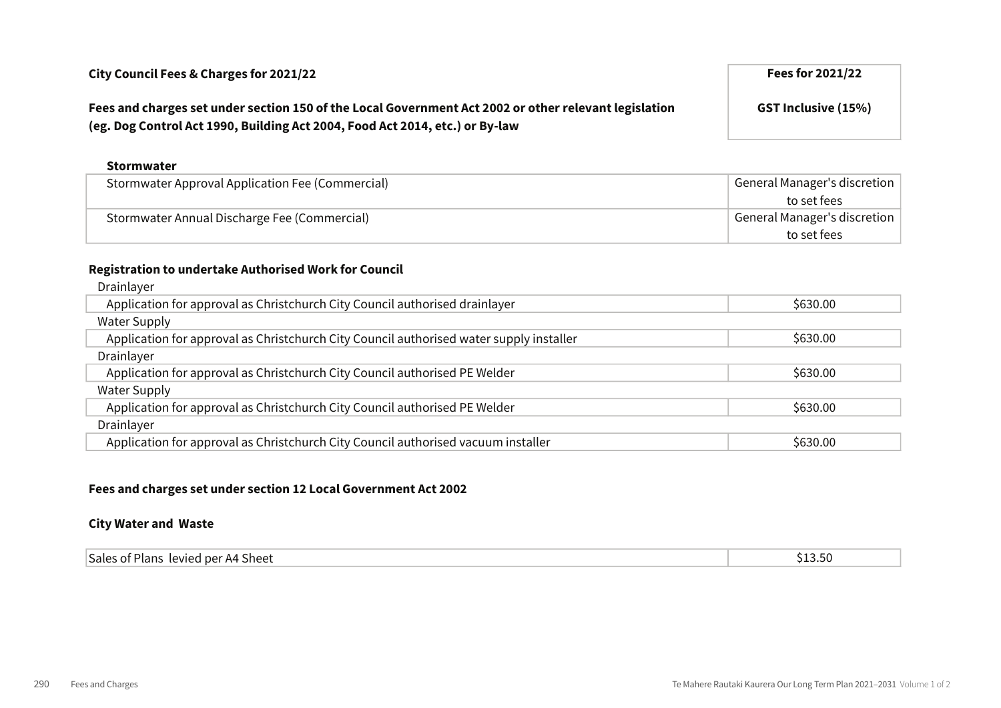## Fees and charges set under section 150 of the Local Government Act 2002 or other relevant legislation (eg. Dog Control Act 1990, Building Act 2004, Food Act 2014, etc.) or By-law

#### Stormwater

| Stormwater Approval Application Fee (Commercial) | General Manager's discretion |
|--------------------------------------------------|------------------------------|
|                                                  | to set fees                  |
| Stormwater Annual Discharge Fee (Commercial)     | General Manager's discretion |
|                                                  | to set fees                  |

## Registration to undertake Authorised Work for Council

| Drainlayer                                                                              |          |
|-----------------------------------------------------------------------------------------|----------|
| Application for approval as Christchurch City Council authorised drainlayer             | \$630.00 |
| <b>Water Supply</b>                                                                     |          |
| Application for approval as Christchurch City Council authorised water supply installer | \$630.00 |
| Drainlayer                                                                              |          |
| Application for approval as Christchurch City Council authorised PE Welder              | \$630.00 |
| Water Supply                                                                            |          |
| Application for approval as Christchurch City Council authorised PE Welder              | \$630.00 |
| Drainlayer                                                                              |          |
| Application for approval as Christchurch City Council authorised vacuum installer       | \$630.00 |
|                                                                                         |          |

#### Fees and charges set under section 12 Local Government Act 2002

#### City Water and Waste

| Sales of Plans          |   |
|-------------------------|---|
| । levied per A4 Sheet । | - |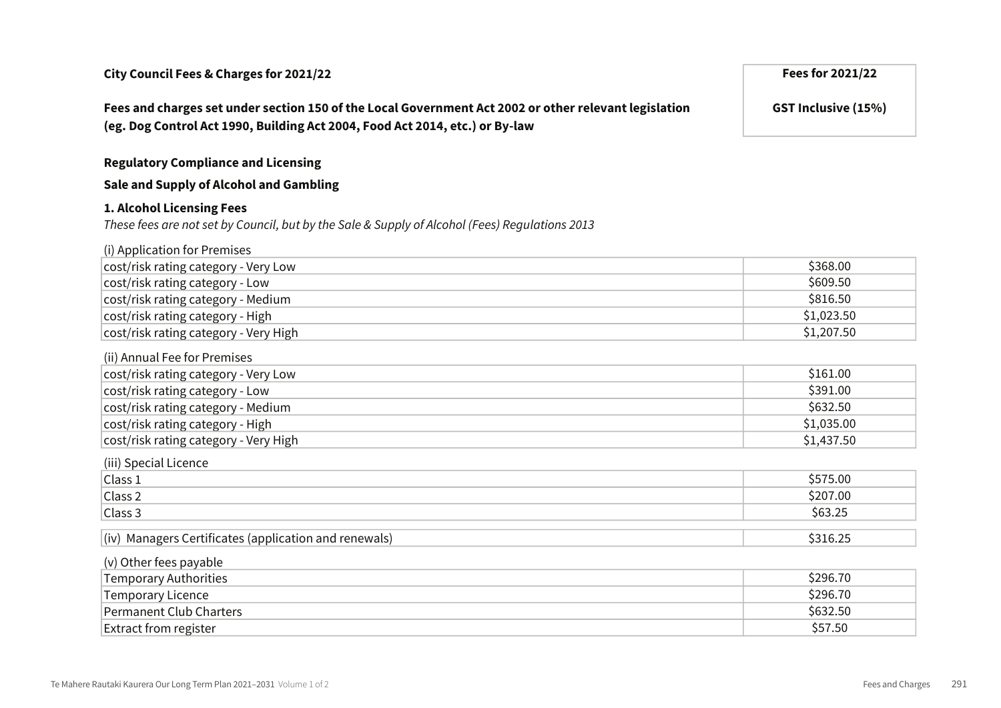Fees and charges set under section 150 of the Local Government Act 2002 or other relevant legislation (eg. Dog Control Act 1990, Building Act 2004, Food Act 2014, etc.) or By-law

Regulatory Compliance and Licensing

Sale and Supply of Alcohol and Gambling

#### 1. Alcohol Licensing Fees

These fees are not set by Council, but by the Sale & Supply of Alcohol (Fees) Regulations 2013

| (i) Application for Premises                          |            |
|-------------------------------------------------------|------------|
| cost/risk rating category - Very Low                  | \$368.00   |
| cost/risk rating category - Low                       | \$609.50   |
| cost/risk rating category - Medium                    | \$816.50   |
| cost/risk rating category - High                      | \$1,023.50 |
| cost/risk rating category - Very High                 | \$1,207.50 |
| (ii) Annual Fee for Premises                          |            |
| cost/risk rating category - Very Low                  | \$161.00   |
| cost/risk rating category - Low                       | \$391.00   |
| cost/risk rating category - Medium                    | \$632.50   |
| cost/risk rating category - High                      | \$1,035.00 |
| cost/risk rating category - Very High                 | \$1,437.50 |
| (iii) Special Licence                                 |            |
| Class 1                                               | \$575.00   |
| Class 2                                               | \$207.00   |
| Class 3                                               | \$63.25    |
| (iv) Managers Certificates (application and renewals) | \$316.25   |
|                                                       |            |
| (v) Other fees payable                                |            |
| <b>Temporary Authorities</b>                          | \$296.70   |
| <b>Temporary Licence</b>                              | \$296.70   |
| <b>Permanent Club Charters</b>                        | \$632.50   |

**Extract from register**  $\lesssim$  \$57.50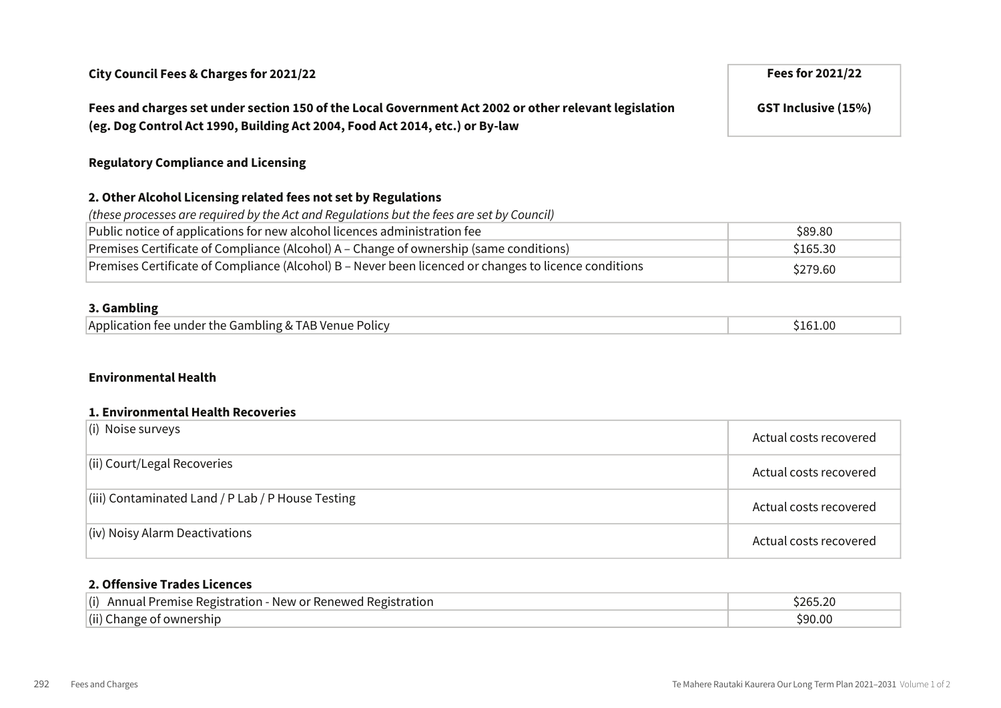## Fees and charges set under section 150 of the Local Government Act 2002 or other relevant legislation (eg. Dog Control Act 1990, Building Act 2004, Food Act 2014, etc.) or By-law

### Regulatory Compliance and Licensing

## 2. Other Alcohol Licensing related fees not set by Regulations

| (these processes are required by the Act and Requlations but the fees are set by Council)             |          |
|-------------------------------------------------------------------------------------------------------|----------|
| Public notice of applications for new alcohol licences administration fee                             | \$89.80  |
| Premises Certificate of Compliance (Alcohol) A – Change of ownership (same conditions)                | \$165.30 |
| Premises Certificate of Compliance (Alcohol) B - Never been licenced or changes to licence conditions | \$279.60 |

#### 3. Gambling

| Application fee under the Gambling & TAB Venue Policy | 161.00; |
|-------------------------------------------------------|---------|
|-------------------------------------------------------|---------|

#### Environmental Health

#### 1. Environmental Health Recoveries

| $\vert$ (i) Noise surveys                                 | Actual costs recovered |
|-----------------------------------------------------------|------------------------|
| $\vert$ (ii) Court/Legal Recoveries                       | Actual costs recovered |
| $\vert$ (iii) Contaminated Land / P Lab / P House Testing | Actual costs recovered |
| $\vert$ (iv) Noisy Alarm Deactivations                    | Actual costs recovered |

#### 2. Offensive Trades Licences

| $\vert$ (i) Annual Premise Registration - New or Renewed Registration | 265.20; |
|-----------------------------------------------------------------------|---------|
| (ii) Change of ownership                                              | \$90.00 |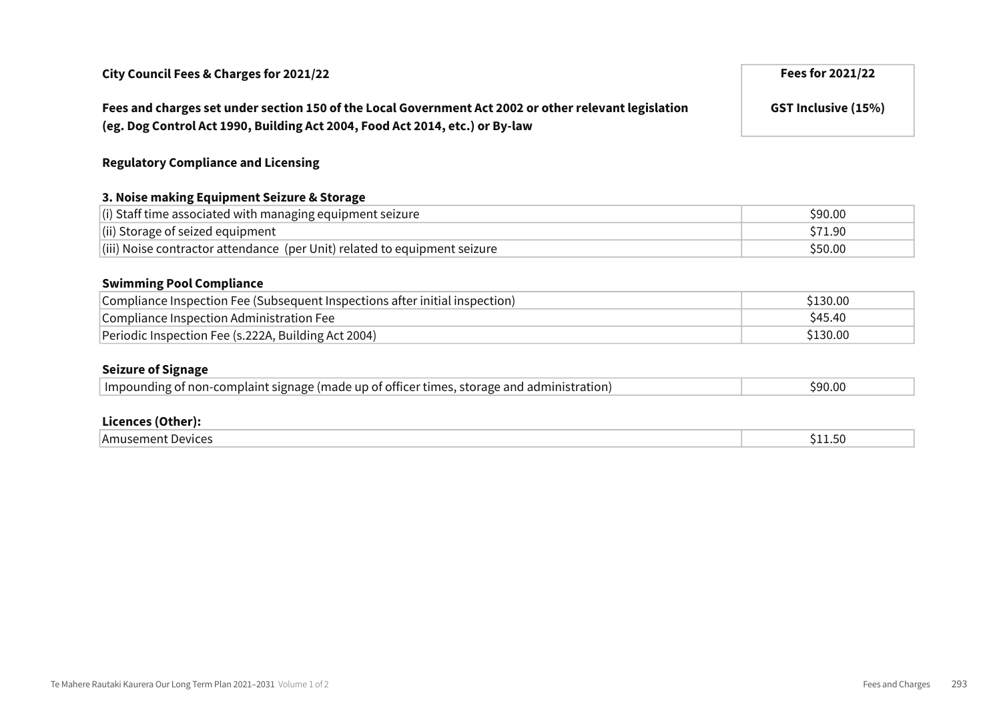Fees and charges set under section 150 of the Local Government Act 2002 or other relevant legislation (eg. Dog Control Act 1990, Building Act 2004, Food Act 2014, etc.) or By-law

### Regulatory Compliance and Licensing

#### 3. Noise making Equipment Seizure & Storage

| $\vert$ (i) Staff time associated with managing equipment seizure                 | \$90.00 |
|-----------------------------------------------------------------------------------|---------|
| $\vert$ (ii) Storage of seized equipment                                          | \$71.90 |
| $\vert$ (iii) Noise contractor attendance (per Unit) related to equipment seizure | \$50.00 |

#### Swimming Pool Compliance

| Compliance Inspection Fee (Subsequent Inspections after initial inspection) | \$130.00 |
|-----------------------------------------------------------------------------|----------|
| Compliance Inspection Administration Fee                                    | \$45.40  |
| Periodic Inspection Fee (s.222A, Building Act 2004)                         | \$130.00 |

#### Seizure of Signage

| Impounding of non-complaint signage (made up of officer times, storage and administration) | \$90.00 |
|--------------------------------------------------------------------------------------------|---------|
|                                                                                            |         |

#### Licences (Other):

| -<br>Devices<br>Amusement | . .<br>-- |
|---------------------------|-----------|
|---------------------------|-----------|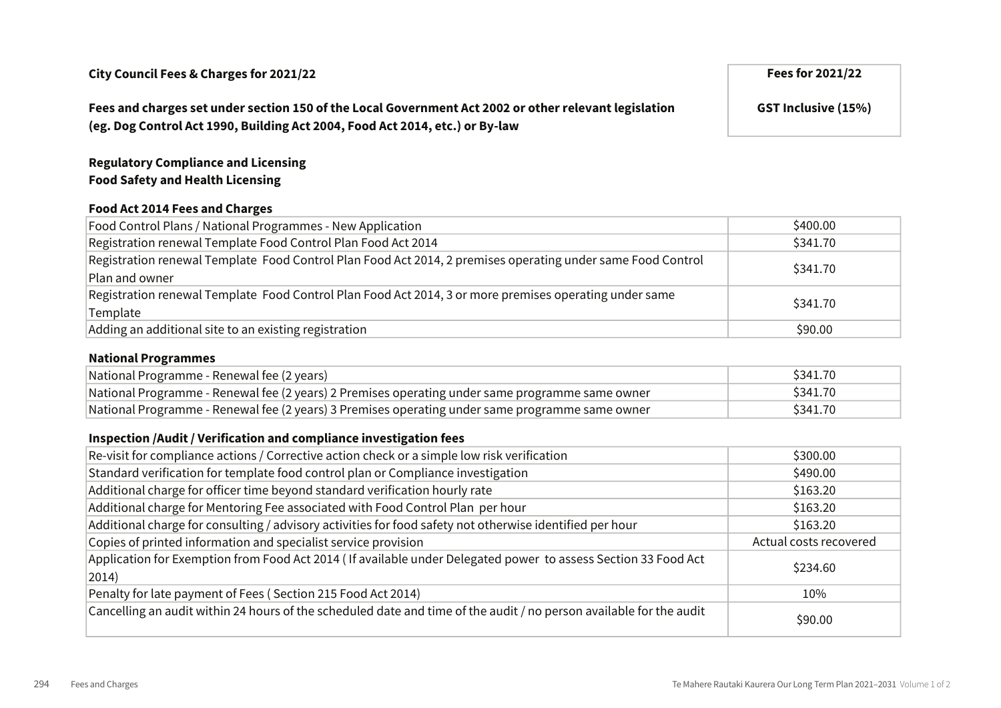## Fees and charges set under section 150 of the Local Government Act 2002 or other relevant legislation (eg. Dog Control Act 1990, Building Act 2004, Food Act 2014, etc.) or By-law

GST Inclusive (15%)

## Regulatory Compliance and Licensing Food Safety and Health Licensing

### Food Act 2014 Fees and Charges

| Food Control Plans / National Programmes - New Application                                                                    | \$400.00 |
|-------------------------------------------------------------------------------------------------------------------------------|----------|
| Registration renewal Template Food Control Plan Food Act 2014                                                                 | \$341.70 |
| Registration renewal Template Food Control Plan Food Act 2014, 2 premises operating under same Food Control<br>Plan and owner | \$341.70 |
| Registration renewal Template Food Control Plan Food Act 2014, 3 or more premises operating under same<br>Template            | \$341.70 |
| Adding an additional site to an existing registration                                                                         | \$90.00  |

#### National Programmes

| National Programme - Renewal fee (2 years)                                                      | \$341.70 |
|-------------------------------------------------------------------------------------------------|----------|
| National Programme - Renewal fee (2 years) 2 Premises operating under same programme same owner | \$341.70 |
| National Programme - Renewal fee (2 years) 3 Premises operating under same programme same owner | \$341.70 |

### Inspection /Audit / Verification and compliance investigation fees

| Re-visit for compliance actions / Corrective action check or a simple low risk verification                                      | \$300.00               |
|----------------------------------------------------------------------------------------------------------------------------------|------------------------|
| Standard verification for template food control plan or Compliance investigation                                                 | \$490.00               |
| Additional charge for officer time beyond standard verification hourly rate                                                      | \$163.20               |
| Additional charge for Mentoring Fee associated with Food Control Plan per hour                                                   | \$163.20               |
| Additional charge for consulting / advisory activities for food safety not otherwise identified per hour                         | \$163.20               |
| Copies of printed information and specialist service provision                                                                   | Actual costs recovered |
| Application for Exemption from Food Act 2014 (If available under Delegated power to assess Section 33 Food Act<br>$ 2014\rangle$ | \$234.60               |
| Penalty for late payment of Fees (Section 215 Food Act 2014)                                                                     | 10%                    |
| Cancelling an audit within 24 hours of the scheduled date and time of the audit / no person available for the audit              | \$90.00                |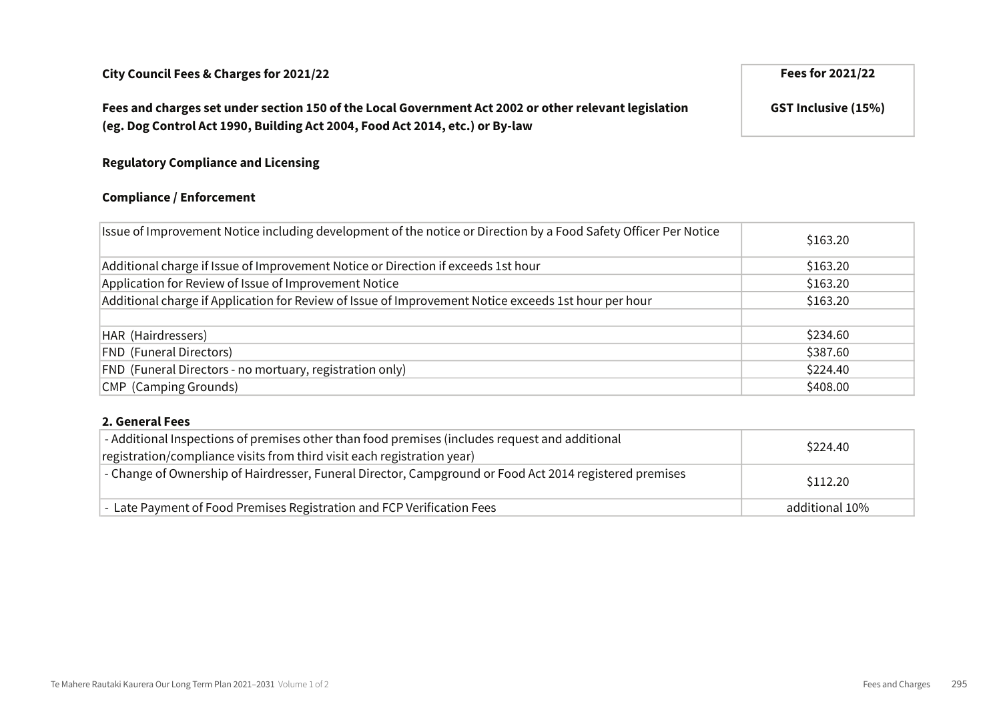## Fees and charges set under section 150 of the Local Government Act 2002 or other relevant legislation (eg. Dog Control Act 1990, Building Act 2004, Food Act 2014, etc.) or By-law

GST Inclusive (15%)

# Regulatory Compliance and Licensing

#### Compliance / Enforcement

| Issue of Improvement Notice including development of the notice or Direction by a Food Safety Officer Per Notice | \$163.20 |
|------------------------------------------------------------------------------------------------------------------|----------|
| Additional charge if Issue of Improvement Notice or Direction if exceeds 1st hour                                | \$163.20 |
| Application for Review of Issue of Improvement Notice                                                            | \$163.20 |
| Additional charge if Application for Review of Issue of Improvement Notice exceeds 1st hour per hour             | \$163.20 |
|                                                                                                                  |          |
| HAR (Hairdressers)                                                                                               | \$234.60 |
| <b>FND (Funeral Directors)</b>                                                                                   | \$387.60 |
| FND (Funeral Directors - no mortuary, registration only)                                                         | \$224.40 |
| CMP (Camping Grounds)                                                                                            | \$408.00 |

#### 2. General Fees

| - Additional Inspections of premises other than food premises (includes request and additional<br>registration/compliance visits from third visit each registration year) | \$224.40       |
|---------------------------------------------------------------------------------------------------------------------------------------------------------------------------|----------------|
| - Change of Ownership of Hairdresser, Funeral Director, Campground or Food Act 2014 registered premises                                                                   | \$112.20       |
| - Late Payment of Food Premises Registration and FCP Verification Fees                                                                                                    | additional 10% |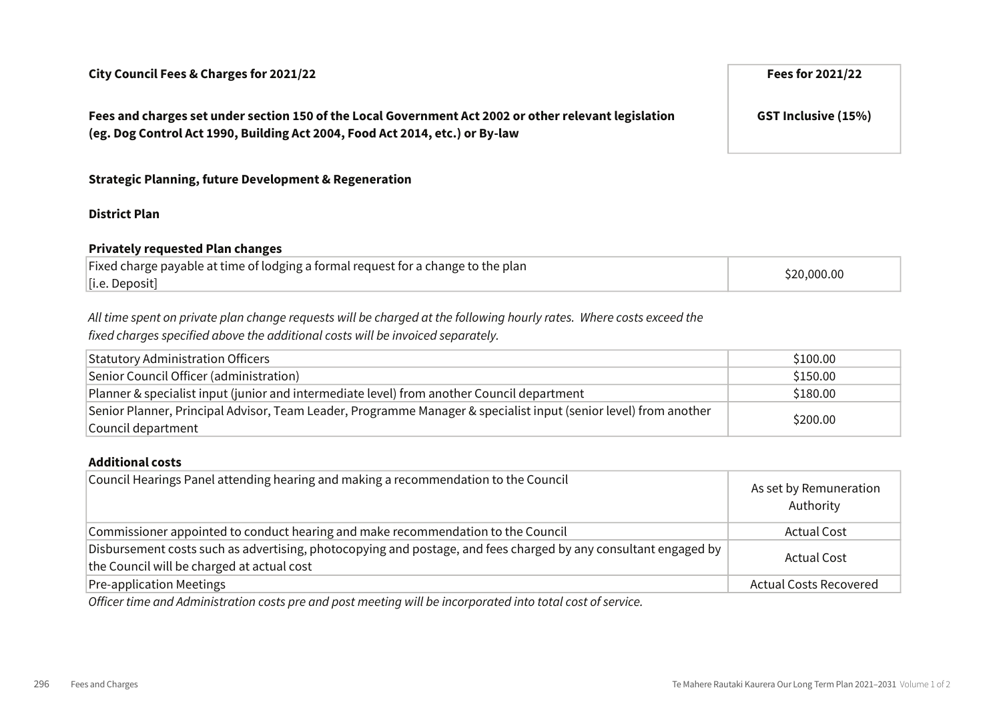Fees and charges set under section 150 of the Local Government Act 2002 or other relevant legislation (eg. Dog Control Act 1990, Building Act 2004, Food Act 2014, etc.) or By-law

## Strategic Planning, future Development & Regeneration

## District Plan

### Privately requested Plan changes

| \$20,000.00<br>[i.e. Deposit] |  |
|-------------------------------|--|

## All time spent on private plan change requests will be charged at the following hourly rates. Where costs exceed the fixed charges specified above the additional costs will be invoiced separately.

| <b>Statutory Administration Officers</b>                                                                         | \$100.00 |
|------------------------------------------------------------------------------------------------------------------|----------|
| Senior Council Officer (administration)                                                                          | \$150.00 |
| Planner & specialist input (junior and intermediate level) from another Council department                       | \$180.00 |
| Senior Planner, Principal Advisor, Team Leader, Programme Manager & specialist input (senior level) from another | \$200.00 |
| Council department                                                                                               |          |

#### Additional costs

| Council Hearings Panel attending hearing and making a recommendation to the Council                                                                           | As set by Remuneration<br>Authority |
|---------------------------------------------------------------------------------------------------------------------------------------------------------------|-------------------------------------|
| Commissioner appointed to conduct hearing and make recommendation to the Council                                                                              | <b>Actual Cost</b>                  |
| Disbursement costs such as advertising, photocopying and postage, and fees charged by any consultant engaged by<br>the Council will be charged at actual cost | <b>Actual Cost</b>                  |
| <b>Pre-application Meetings</b>                                                                                                                               | <b>Actual Costs Recovered</b>       |

Officer time and Administration costs pre and post meeting will be incorporated into total cost of service.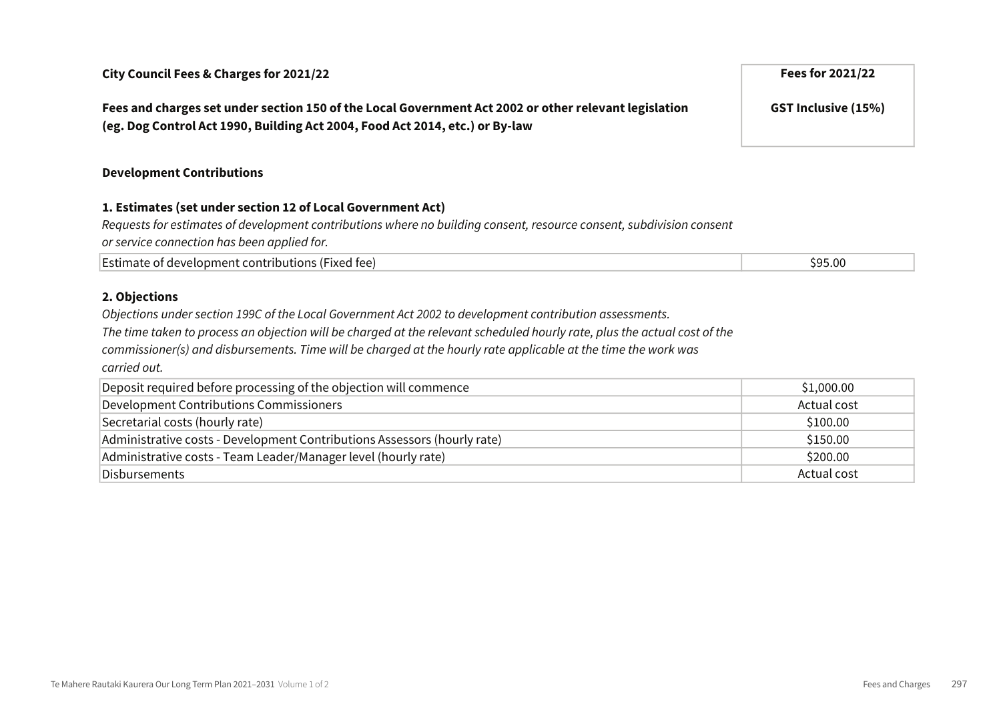Fees and charges set under section 150 of the Local Government Act 2002 or other relevant legislation (eg. Dog Control Act 1990, Building Act 2004, Food Act 2014, etc.) or By-law

#### Development Contributions

#### 1. Estimates (set under section 12 of Local Government Act)

Requests for estimates of development contributions where no building consent, resource consent, subdivision consent or service connection has been applied for.

| Estimate of development contributions (Fixed fee) | car an<br>⊃.∪∪ |
|---------------------------------------------------|----------------|
|---------------------------------------------------|----------------|

#### 2. Objections

Objections under section 199C of the Local Government Act 2002 to development contribution assessments.

The time taken to process an objection will be charged at the relevant scheduled hourly rate, plus the actual cost of the

commissioner(s) and disbursements. Time will be charged at the hourly rate applicable at the time the work was carried out.

| Deposit required before processing of the objection will commence        | \$1,000.00  |
|--------------------------------------------------------------------------|-------------|
| Development Contributions Commissioners                                  | Actual cost |
| Secretarial costs (hourly rate)                                          | \$100.00    |
| Administrative costs - Development Contributions Assessors (hourly rate) | \$150.00    |
| Administrative costs - Team Leader/Manager level (hourly rate)           | \$200.00    |
| Disbursements                                                            | Actual cost |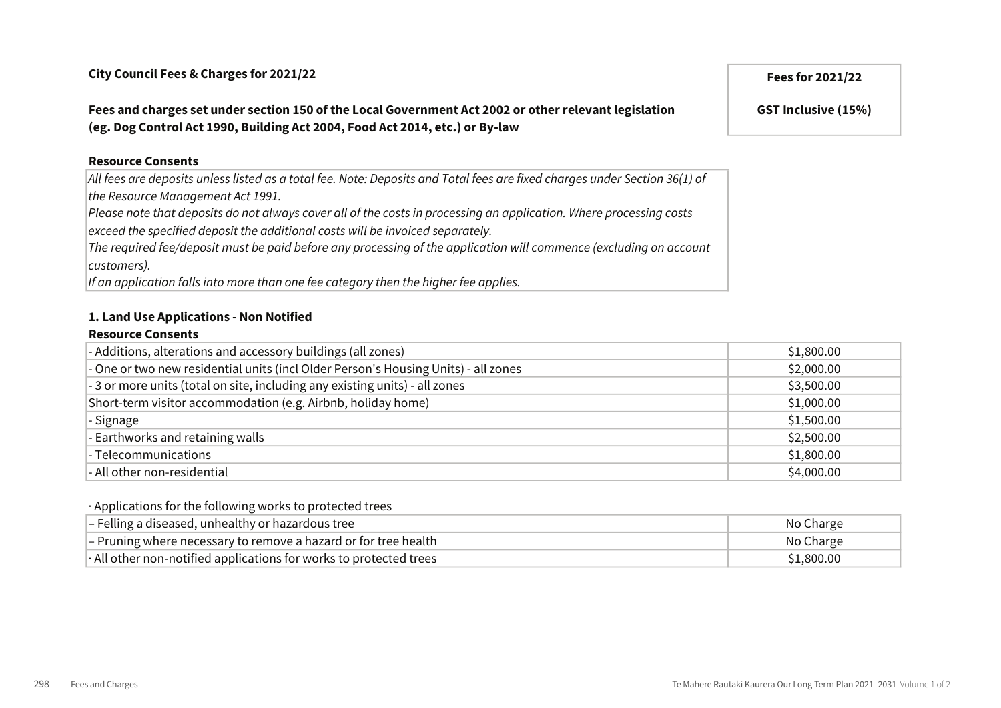## Fees and charges set under section 150 of the Local Government Act 2002 or other relevant legislation (eg. Dog Control Act 1990, Building Act 2004, Food Act 2014, etc.) or By-law

#### Resource Consents

All fees are deposits unless listed as a total fee. Note: Deposits and Total fees are fixed charges under Section 36(1) of the Resource Management Act 1991.

Please note that deposits do not always cover all of the costs in processing an application. Where processing costs exceed the specified deposit the additional costs will be invoiced separately.

The required fee/deposit must be paid before any processing of the application will commence (excluding on account customers).

If an application falls into more than one fee category then the higher fee applies.

#### 1. Land Use Applications - Non Notified

#### Resource Consents

| - Additions, alterations and accessory buildings (all zones)                       | \$1,800.00 |
|------------------------------------------------------------------------------------|------------|
| - One or two new residential units (incl Older Person's Housing Units) - all zones | \$2,000.00 |
| - 3 or more units (total on site, including any existing units) - all zones        | \$3,500.00 |
| Short-term visitor accommodation (e.g. Airbnb, holiday home)                       | \$1,000.00 |
| - Signage                                                                          | \$1,500.00 |
| - Earthworks and retaining walls                                                   | \$2,500.00 |
| - Telecommunications                                                               | \$1,800.00 |
| - All other non-residential                                                        | \$4,000.00 |

#### · Applications for the following works to protected trees

| $ -$ Felling a diseased, unhealthy or hazardous tree                     | No Charge  |
|--------------------------------------------------------------------------|------------|
| - Pruning where necessary to remove a hazard or for tree health          | No Charge  |
| $\cdot$ All other non-notified applications for works to protected trees | \$1,800.00 |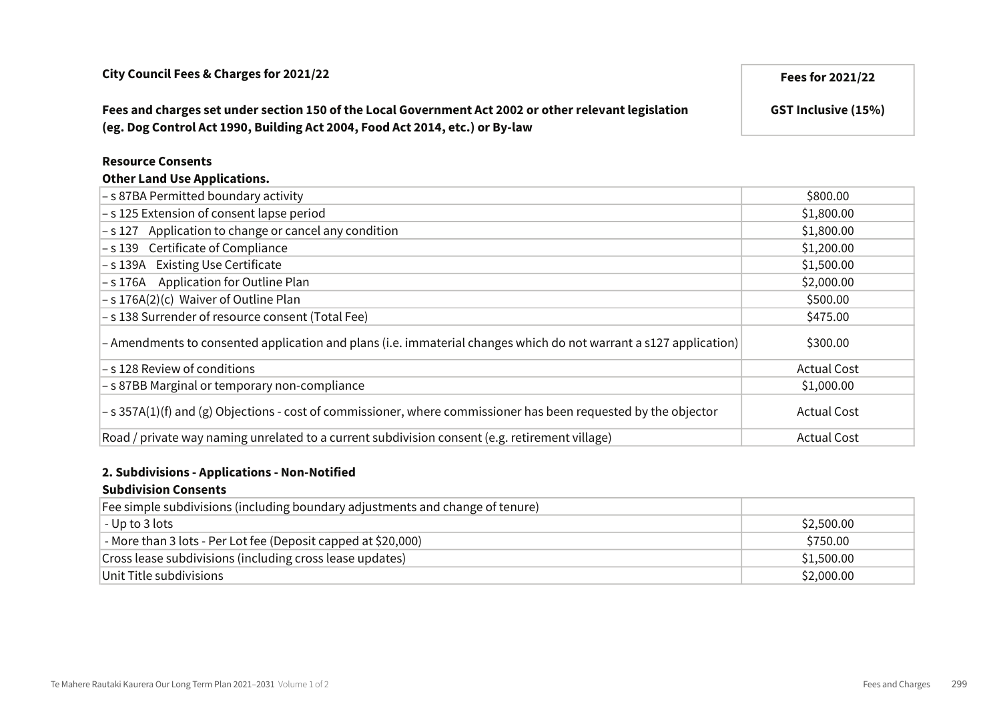Fees and charges set under section 150 of the Local Government Act 2002 or other relevant legislation (eg. Dog Control Act 1990, Building Act 2004, Food Act 2014, etc.) or By-law

#### Resource Consents

| - s 87BA Permitted boundary activity                                                                              | \$800.00           |
|-------------------------------------------------------------------------------------------------------------------|--------------------|
| -s 125 Extension of consent lapse period                                                                          | \$1,800.00         |
| -s 127 Application to change or cancel any condition                                                              | \$1,800.00         |
| -s 139 Certificate of Compliance                                                                                  | \$1,200.00         |
| -s 139A Existing Use Certificate                                                                                  | \$1,500.00         |
| -s 176A Application for Outline Plan                                                                              | \$2,000.00         |
| $-$ s 176A(2)(c) Waiver of Outline Plan                                                                           | \$500.00           |
| - s 138 Surrender of resource consent (Total Fee)                                                                 | \$475.00           |
| - Amendments to consented application and plans (i.e. immaterial changes which do not warrant a s127 application) | \$300.00           |
| -s 128 Review of conditions                                                                                       | <b>Actual Cost</b> |
| -s 87BB Marginal or temporary non-compliance                                                                      | \$1,000.00         |
| $-$ s 357A(1)(f) and (g) Objections - cost of commissioner, where commissioner has been requested by the objector | <b>Actual Cost</b> |
| Road / private way naming unrelated to a current subdivision consent (e.g. retirement village)                    | <b>Actual Cost</b> |

#### 2. Subdivisions - Applications - Non-Notified

#### Subdivision Consents

| Fee simple subdivisions (including boundary adjustments and change of tenure) |            |
|-------------------------------------------------------------------------------|------------|
| $^{\dagger}$ - Up to 3 lots                                                   | \$2,500.00 |
| - More than 3 lots - Per Lot fee (Deposit capped at \$20,000)                 | \$750.00   |
| Cross lease subdivisions (including cross lease updates)                      | \$1,500.00 |
| Unit Title subdivisions                                                       | \$2,000.00 |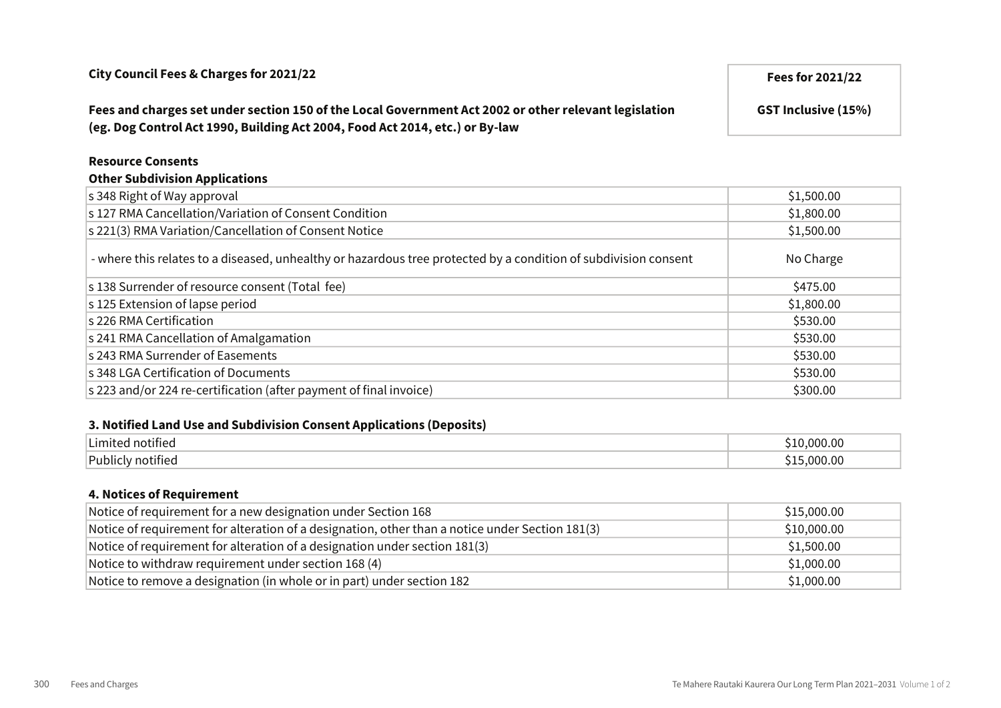| Fees and charges set under section 150 of the Local Government Act 2002 or other relevant legislation<br>(eg. Dog Control Act 1990, Building Act 2004, Food Act 2014, etc.) or By-law | <b>GST Inclusive (15%)</b> |
|---------------------------------------------------------------------------------------------------------------------------------------------------------------------------------------|----------------------------|
| <b>Resource Consents</b>                                                                                                                                                              |                            |
| <b>Other Subdivision Applications</b>                                                                                                                                                 |                            |
| s 348 Right of Way approval                                                                                                                                                           | \$1,500.00                 |
| s 127 RMA Cancellation/Variation of Consent Condition                                                                                                                                 | \$1,800.00                 |
| s 221(3) RMA Variation/Cancellation of Consent Notice                                                                                                                                 | \$1,500.00                 |
| - where this relates to a diseased, unhealthy or hazardous tree protected by a condition of subdivision consent                                                                       | No Charge                  |
| s 138 Surrender of resource consent (Total fee)                                                                                                                                       | \$475.00                   |
| s 125 Extension of lapse period                                                                                                                                                       | \$1,800.00                 |
| s 226 RMA Certification                                                                                                                                                               | \$530.00                   |

#### 3. Notified Land Use and Subdivision Consent Applications (Deposits)

| . .<br>$\sim$<br>' notified  | <u>ገ00.00 - </u> |
|------------------------------|------------------|
| <b>Publicly notified</b><br> | <u>ባበበ በበ</u>    |

s 241 RMA Cancellation of Amalgamation  $$530.00$ s 243 RMA Surrender of Easements  $\sim$  \$530.00 s 348 LGA Certification of Documents **\$530.00** s 223 and/or 224 re-certification (after payment of final invoice) \$300.00 \$300.00

#### 4. Notices of Requirement

| Notice of requirement for a new designation under Section 168                                   | \$15,000.00 |
|-------------------------------------------------------------------------------------------------|-------------|
| Notice of requirement for alteration of a designation, other than a notice under Section 181(3) | \$10,000.00 |
| Notice of requirement for alteration of a designation under section 181(3)                      | \$1,500.00  |
| Notice to withdraw requirement under section 168 (4)                                            | \$1,000.00  |
| Notice to remove a designation (in whole or in part) under section 182                          | \$1,000.00  |

# City Council Fees & Charges for 2021/22 **Fees for 2021/22** Fees for 2021/22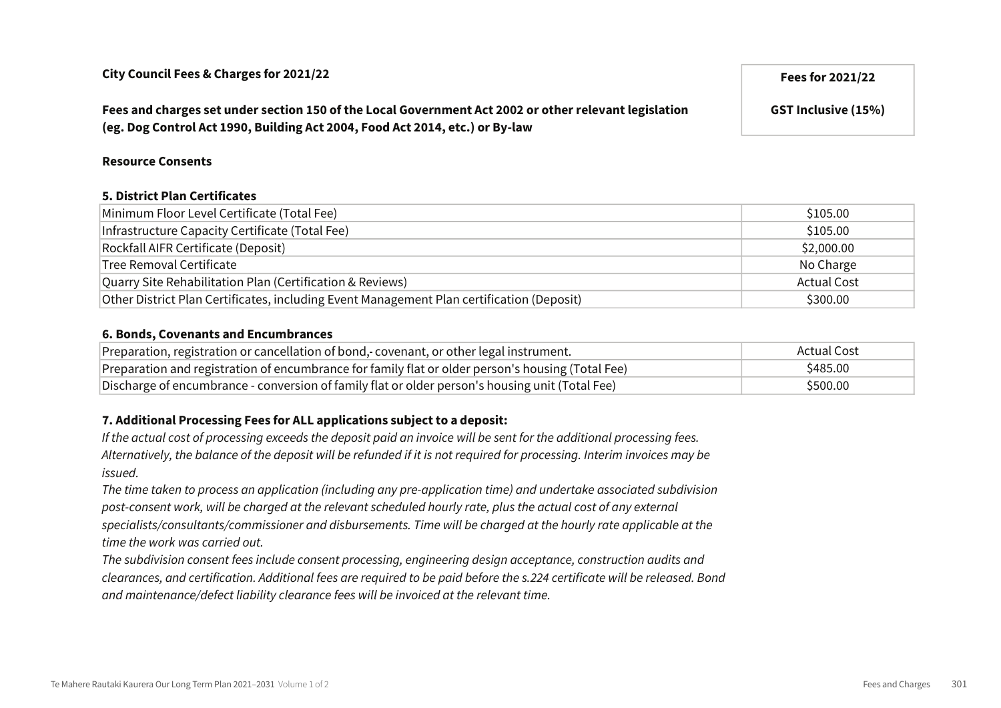Fees and charges set under section 150 of the Local Government Act 2002 or other relevant legislation (eg. Dog Control Act 1990, Building Act 2004, Food Act 2014, etc.) or By-law

#### Resource Consents

#### 5. District Plan Certificates

| Minimum Floor Level Certificate (Total Fee)                                               | \$105.00           |
|-------------------------------------------------------------------------------------------|--------------------|
| Infrastructure Capacity Certificate (Total Fee)                                           | \$105.00           |
| Rockfall AIFR Certificate (Deposit)                                                       | \$2,000.00         |
| Tree Removal Certificate                                                                  | No Charge          |
| Quarry Site Rehabilitation Plan (Certification & Reviews)                                 | <b>Actual Cost</b> |
| Other District Plan Certificates, including Event Management Plan certification (Deposit) | \$300.00           |

#### 6. Bonds, Covenants and Encumbrances

| Preparation, registration or cancellation of bond, covenant, or other legal instrument.           | Actual Cost |
|---------------------------------------------------------------------------------------------------|-------------|
| Preparation and registration of encumbrance for family flat or older person's housing (Total Fee) | \$485.00    |
| Discharge of encumbrance - conversion of family flat or older person's housing unit (Total Fee)   | \$500.00    |

#### 7. Additional Processing Fees for ALL applications subject to a deposit:

If the actual cost of processing exceeds the deposit paid an invoice will be sent for the additional processing fees. Alternatively, the balance of the deposit will be refunded if it is not required for processing. Interim invoices may be issued.

The time taken to process an application (including any pre-application time) and undertake associated subdivision post-consent work, will be charged at the relevant scheduled hourly rate, plus the actual cost of any external specialists/consultants/commissioner and disbursements. Time will be charged at the hourly rate applicable at the time the work was carried out.

The subdivision consent fees include consent processing, engineering design acceptance, construction audits and clearances, and certification. Additional fees are required to be paid before the s.224 certificate will be released. Bond and maintenance/defect liability clearance fees will be invoiced at the relevant time.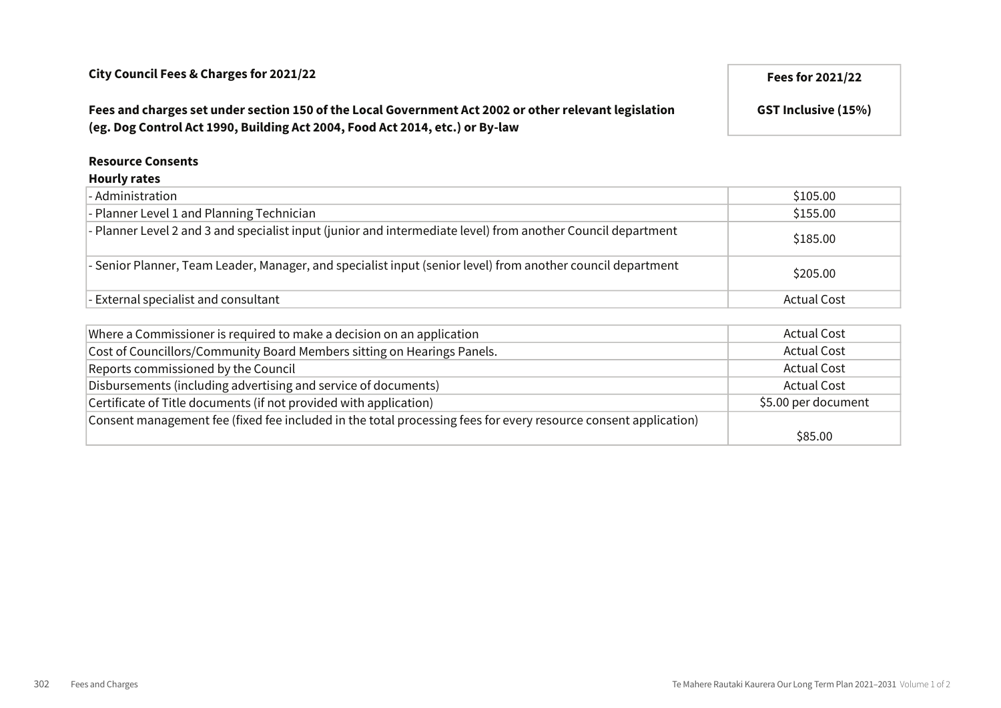# Fees and charges set under section 150 of the Local Government Act 2002 or other relevant legislation (eg. Dog Control Act 1990, Building Act 2004, Food Act 2014, etc.) or By-law

# GST Inclusive (15%)

#### Resource Consents

#### Hourly rates

| - Administration                                                                                             | \$105.00           |
|--------------------------------------------------------------------------------------------------------------|--------------------|
| - Planner Level 1 and Planning Technician                                                                    | \$155.00           |
| - Planner Level 2 and 3 and specialist input (junior and intermediate level) from another Council department | \$185.00           |
| - Senior Planner, Team Leader, Manager, and specialist input (senior level) from another council department  | \$205.00           |
| - External specialist and consultant                                                                         | <b>Actual Cost</b> |

| Where a Commissioner is required to make a decision on an application                                           | <b>Actual Cost</b>  |
|-----------------------------------------------------------------------------------------------------------------|---------------------|
| Cost of Councillors/Community Board Members sitting on Hearings Panels.                                         | <b>Actual Cost</b>  |
| Reports commissioned by the Council                                                                             | <b>Actual Cost</b>  |
| Disbursements (including advertising and service of documents)                                                  | <b>Actual Cost</b>  |
| Certificate of Title documents (if not provided with application)                                               | \$5.00 per document |
| Consent management fee (fixed fee included in the total processing fees for every resource consent application) |                     |
|                                                                                                                 | \$85.00             |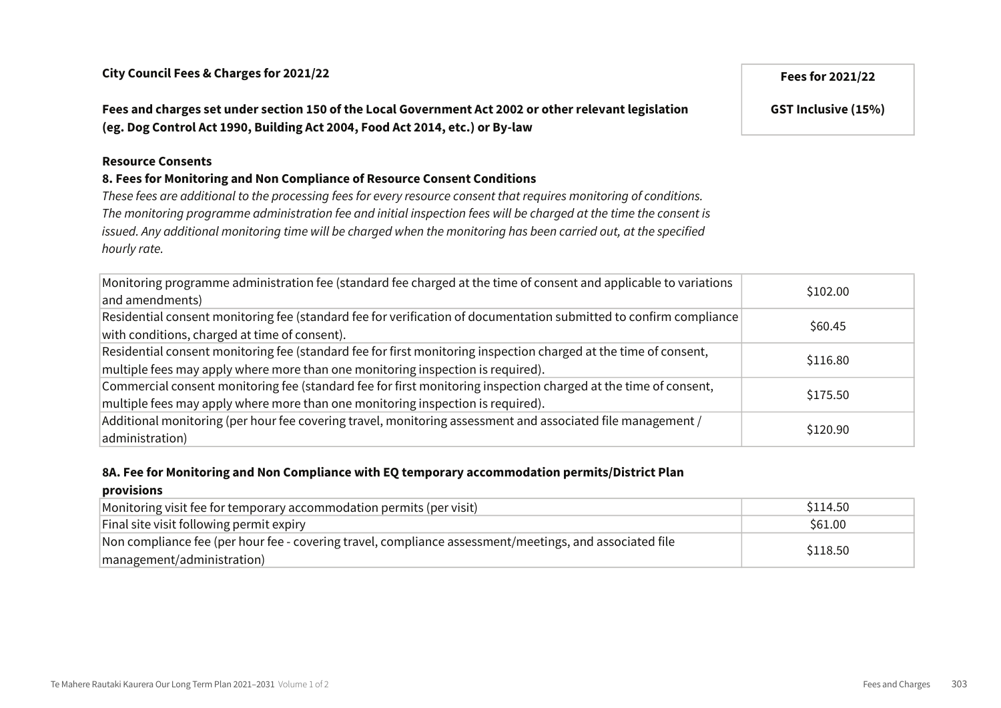Fees and charges set under section 150 of the Local Government Act 2002 or other relevant legislation (eg. Dog Control Act 1990, Building Act 2004, Food Act 2014, etc.) or By-law

#### Resource Consents

#### 8. Fees for Monitoring and Non Compliance of Resource Consent Conditions

These fees are additional to the processing fees for every resource consent that requires monitoring of conditions. The monitoring programme administration fee and initial inspection fees will be charged at the time the consent is issued. Any additional monitoring time will be charged when the monitoring has been carried out, at the specified hourly rate.

| Monitoring programme administration fee (standard fee charged at the time of consent and applicable to variations<br>and amendments)                                                                | \$102.00 |
|-----------------------------------------------------------------------------------------------------------------------------------------------------------------------------------------------------|----------|
| Residential consent monitoring fee (standard fee for verification of documentation submitted to confirm compliance<br>with conditions, charged at time of consent).                                 | \$60.45  |
| Residential consent monitoring fee (standard fee for first monitoring inspection charged at the time of consent,<br>multiple fees may apply where more than one monitoring inspection is required). | \$116.80 |
| Commercial consent monitoring fee (standard fee for first monitoring inspection charged at the time of consent,<br>multiple fees may apply where more than one monitoring inspection is required).  | \$175.50 |
| $ $ Additional monitoring (per hour fee covering travel, monitoring assessment and associated file management /<br>administration)                                                                  | \$120.90 |

#### 8A. Fee for Monitoring and Non Compliance with EQ temporary accommodation permits/District Plan

#### provisions

| Monitoring visit fee for temporary accommodation permits (per visit)                                    | \$114.50 |
|---------------------------------------------------------------------------------------------------------|----------|
| Final site visit following permit expiry                                                                | \$61.00  |
| Non compliance fee (per hour fee - covering travel, compliance assessment/meetings, and associated file | \$118.50 |
| management/administration)                                                                              |          |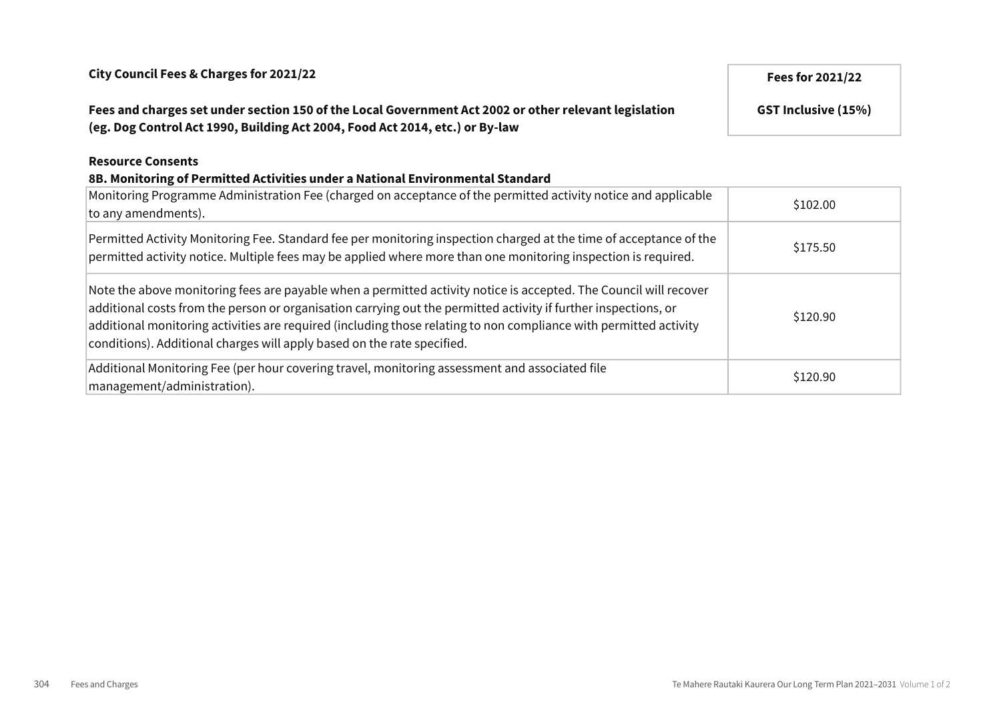# Fees and charges set under section 150 of the Local Government Act 2002 or other relevant legislation (eg. Dog Control Act 1990, Building Act 2004, Food Act 2014, etc.) or By-law

#### Resource Consents

# 8B. Monitoring of Permitted Activities under a National Environmental Standard

| Monitoring Programme Administration Fee (charged on acceptance of the permitted activity notice and applicable<br>to any amendments).                                                                                                                                                                                                                                                                                                | \$102.00 |
|--------------------------------------------------------------------------------------------------------------------------------------------------------------------------------------------------------------------------------------------------------------------------------------------------------------------------------------------------------------------------------------------------------------------------------------|----------|
| Permitted Activity Monitoring Fee. Standard fee per monitoring inspection charged at the time of acceptance of the<br>permitted activity notice. Multiple fees may be applied where more than one monitoring inspection is required.                                                                                                                                                                                                 | \$175.50 |
| Note the above monitoring fees are payable when a permitted activity notice is accepted. The Council will recover<br>additional costs from the person or organisation carrying out the permitted activity if further inspections, or<br>additional monitoring activities are required (including those relating to non compliance with permitted activity<br>conditions). Additional charges will apply based on the rate specified. | \$120.90 |
| Additional Monitoring Fee (per hour covering travel, monitoring assessment and associated file<br>management/administration).                                                                                                                                                                                                                                                                                                        | \$120.90 |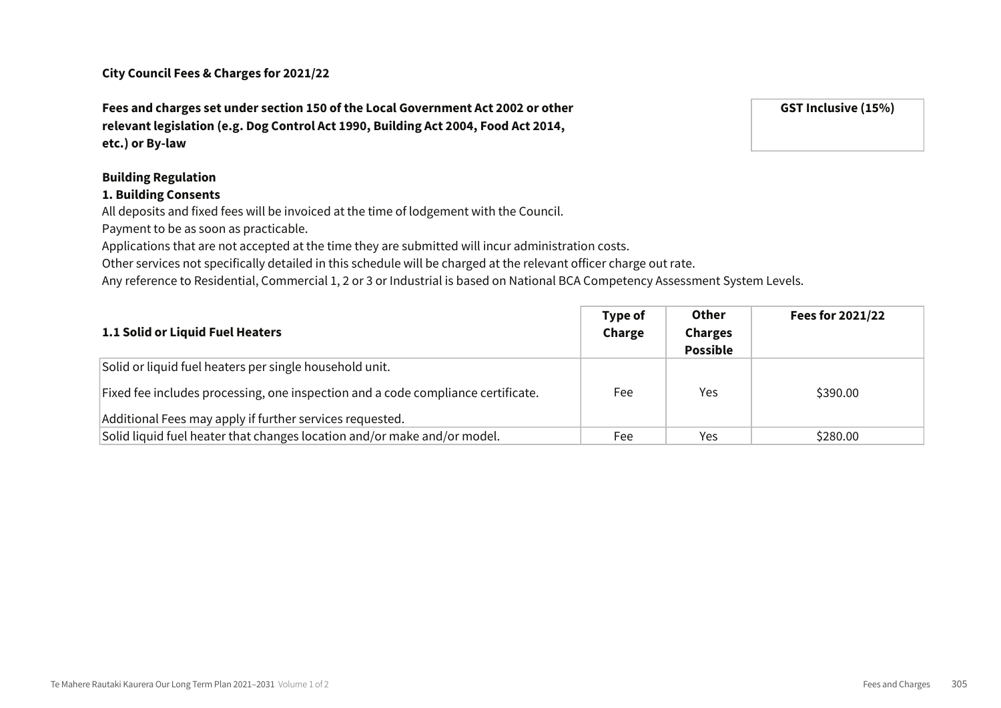Fees and charges set under section 150 of the Local Government Act 2002 or other relevant legislation (e.g. Dog Control Act 1990, Building Act 2004, Food Act 2014, etc.) or By-law

#### Building Regulation

#### 1. Building Consents

All deposits and fixed fees will be invoiced at the time of lodgement with the Council.

Payment to be as soon as practicable.

Applications that are not accepted at the time they are submitted will incur administration costs.

Other services not specifically detailed in this schedule will be charged at the relevant officer charge out rate.

Any reference to Residential, Commercial 1, 2 or 3 or Industrial is based on National BCA Competency Assessment System Levels.

| 1.1 Solid or Liquid Fuel Heaters                                                                                                             | Type of<br>Charge | <b>Other</b><br><b>Charges</b><br><b>Possible</b> | Fees for 2021/22 |
|----------------------------------------------------------------------------------------------------------------------------------------------|-------------------|---------------------------------------------------|------------------|
| Solid or liquid fuel heaters per single household unit.                                                                                      |                   |                                                   |                  |
| Fixed fee includes processing, one inspection and a code compliance certificate.<br>Additional Fees may apply if further services requested. | Fee               | Yes                                               | \$390.00         |
| Solid liquid fuel heater that changes location and/or make and/or model.                                                                     | Fee               | Yes                                               | \$280.00         |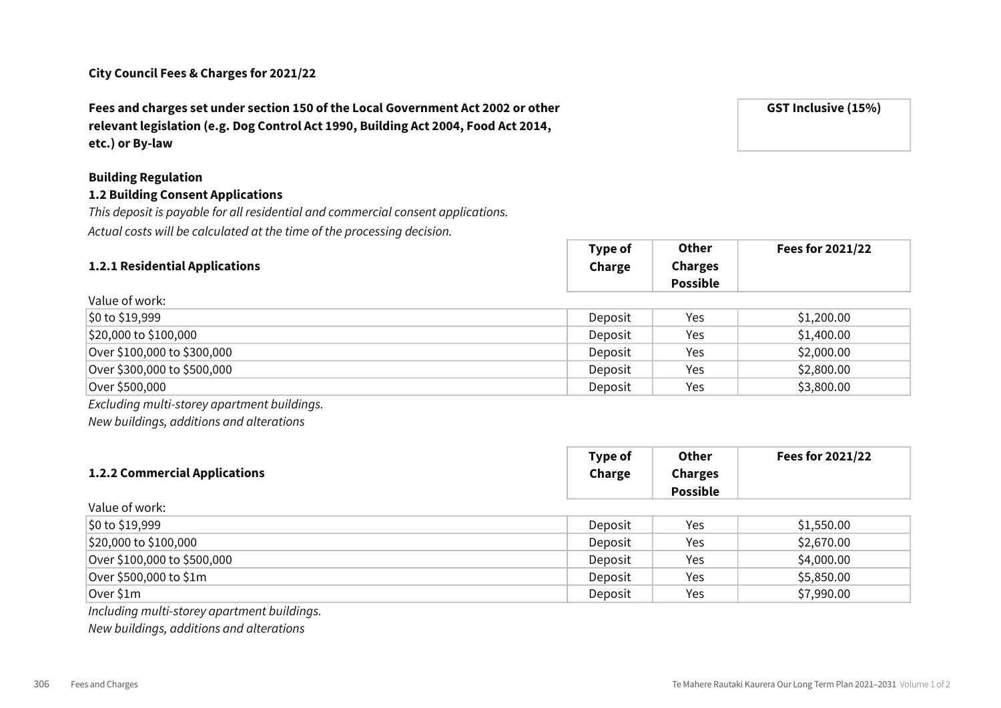Fees and charges set under section 150 of the Local Government Act 2002 or other relevant legislation (e.g. Dog Control Act 1990, Building Act 2004, Food Act 2014, etc.) or By-law

# Building Regulation

Value of work:

## 1.2 Building Consent Applications

This deposit is payable for all residential and commercial consent applications. Actual costs will be calculated at the time of the processing decision.

|                                | <b>Type of</b> | <b>ULIIEI</b>   | <b>Fees for 2021/22</b> |
|--------------------------------|----------------|-----------------|-------------------------|
| 1.2.1 Residential Applications | Charge         | <b>Charges</b>  |                         |
|                                |                | <b>Possible</b> |                         |

 $T = T \times T$ 

Other

| $\frac{1}{2}0$ to \$19,999  | Deposit | Yes | \$1,200.00 |
|-----------------------------|---------|-----|------------|
| $ $20,000$ to $$100,000$    | Deposit | Yes | \$1,400.00 |
| Over \$100,000 to \$300,000 | Deposit | Yes | \$2,000.00 |
| Over \$300,000 to \$500,000 | Deposit | Yes | \$2,800.00 |
| Over \$500,000              | Deposit | Yes | \$3,800.00 |

Excluding multi-storey apartment buildings.

New buildings, additions and alterations

|                                      | Type of | <b>Other</b>    | Fees for 2021/22 |
|--------------------------------------|---------|-----------------|------------------|
| <b>1.2.2 Commercial Applications</b> | Charge  | <b>Charges</b>  |                  |
|                                      |         | <b>Possible</b> |                  |

| Value of work:              |         |     |            |
|-----------------------------|---------|-----|------------|
| \$0 to \$19,999             | Deposit | Yes | \$1,550.00 |
| $ $20,000$ to $$100,000$    | Deposit | Yes | \$2,670.00 |
| Over \$100,000 to \$500,000 | Deposit | Yes | \$4,000.00 |
| Over \$500,000 to \$1m      | Deposit | Yes | \$5,850.00 |
| Over \$1m                   | Deposit | Yes | \$7,990.00 |

Including multi-storey apartment buildings.

New buildings, additions and alterations

GST Inclusive (15%)

 $F = 2022122$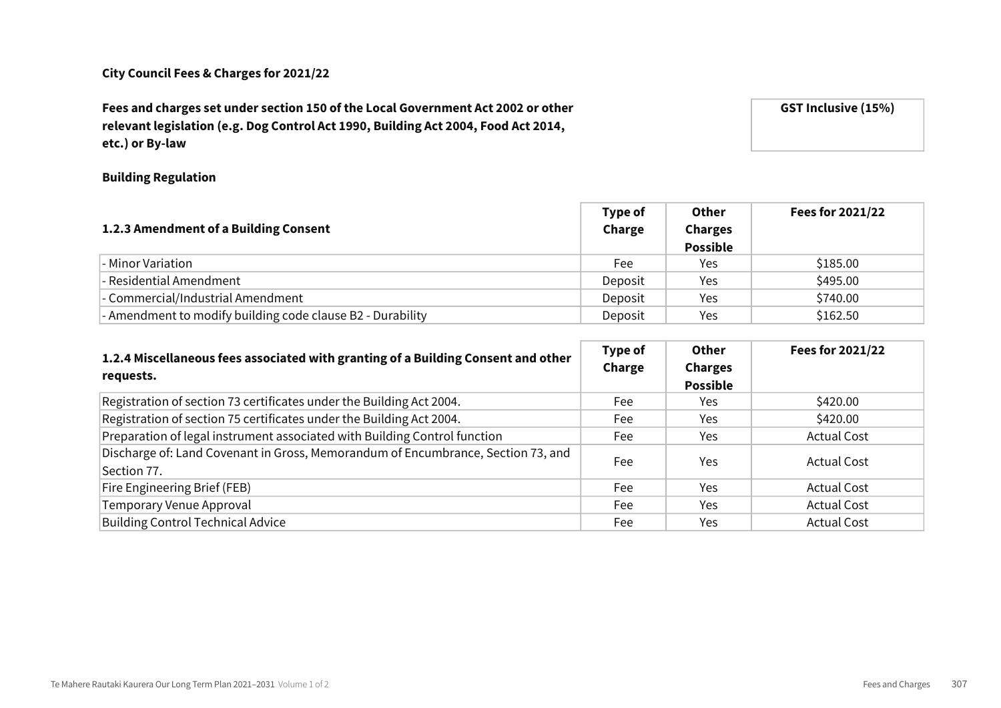Fees and charges set under section 150 of the Local Government Act 2002 or other relevant legislation (e.g. Dog Control Act 1990, Building Act 2004, Food Act 2014, etc.) or By-law

Building Regulation

|                                                            | Type of | <b>Other</b>    | Fees for 2021/22 |
|------------------------------------------------------------|---------|-----------------|------------------|
| 1.2.3 Amendment of a Building Consent                      | Charge  | <b>Charges</b>  |                  |
|                                                            |         | <b>Possible</b> |                  |
| - Minor Variation                                          | Fee     | Yes             | \$185.00         |
| - Residential Amendment                                    | Deposit | Yes             | \$495.00         |
| - Commercial/Industrial Amendment                          | Deposit | Yes             | \$740.00         |
| - Amendment to modify building code clause B2 - Durability | Deposit | Yes             | \$162.50         |

| 1.2.4 Miscellaneous fees associated with granting of a Building Consent and other<br>requests.  | Type of<br>Charge | Other<br><b>Charges</b><br><b>Possible</b> | Fees for 2021/22   |
|-------------------------------------------------------------------------------------------------|-------------------|--------------------------------------------|--------------------|
| Registration of section 73 certificates under the Building Act 2004.                            | Fee               | Yes.                                       | \$420.00           |
| Registration of section 75 certificates under the Building Act 2004.                            | Fee               | Yes.                                       | \$420.00           |
| Preparation of legal instrument associated with Building Control function                       | Fee               | Yes.                                       | <b>Actual Cost</b> |
| Discharge of: Land Covenant in Gross, Memorandum of Encumbrance, Section 73, and<br>Section 77. | Fee               | Yes                                        | <b>Actual Cost</b> |
| Fire Engineering Brief (FEB)                                                                    | Fee               | Yes                                        | <b>Actual Cost</b> |
| Temporary Venue Approval                                                                        | Fee               | Yes.                                       | <b>Actual Cost</b> |
| <b>Building Control Technical Advice</b>                                                        | Fee               | Yes.                                       | <b>Actual Cost</b> |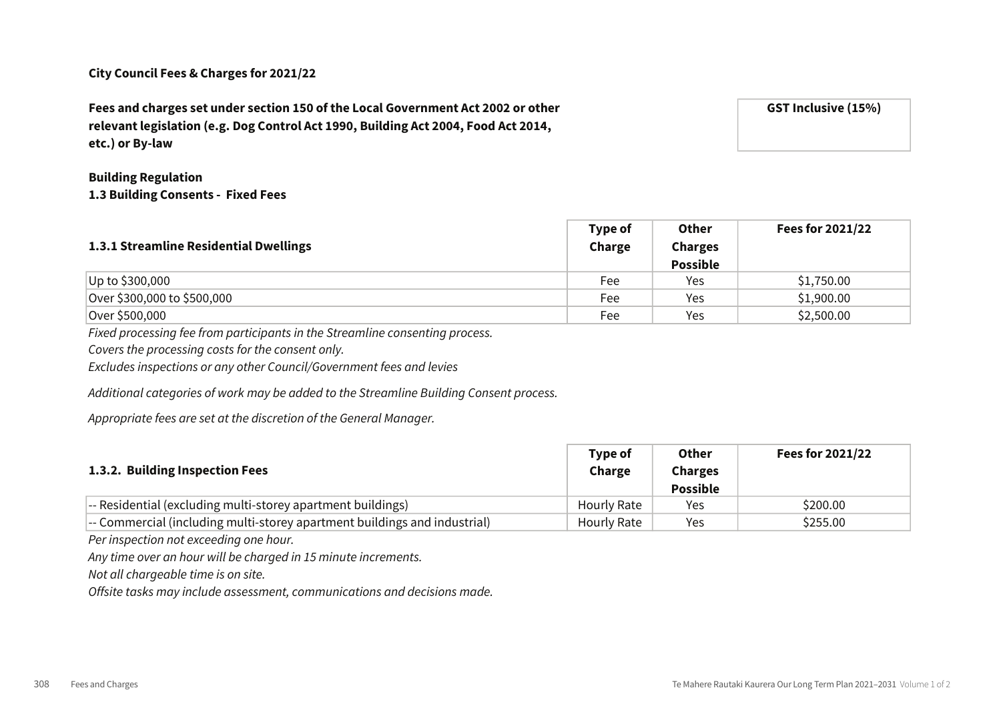Fees and charges set under section 150 of the Local Government Act 2002 or other relevant legislation (e.g. Dog Control Act 1990, Building Act 2004, Food Act 2014, etc.) or By-law

#### Building Regulation 1.3 Building Consents - Fixed Fees

| 1.3.1 Streamline Residential Dwellings | Type of<br>Charge | <b>Other</b><br><b>Charges</b><br><b>Possible</b> | Fees for 2021/22 |
|----------------------------------------|-------------------|---------------------------------------------------|------------------|
| Up to \$300,000                        | Fee               | Yes                                               | \$1,750.00       |
| Over \$300,000 to \$500,000            | Fee               | Yes                                               | \$1,900.00       |
| Over \$500,000                         | Fee               | Yes                                               | \$2,500.00       |

Fixed processing fee from participants in the Streamline consenting process.

Covers the processing costs for the consent only.

Excludes inspections or any other Council/Government fees and levies

Additional categories of work may be added to the Streamline Building Consent process.

Appropriate fees are set at the discretion of the General Manager.

| 1.3.2. Building Inspection Fees                                           | Type of<br>Charge | <b>Other</b><br><b>Charges</b><br><b>Possible</b> | Fees for 2021/22 |
|---------------------------------------------------------------------------|-------------------|---------------------------------------------------|------------------|
| -- Residential (excluding multi-storey apartment buildings)               | Hourly Rate       | Yes                                               | \$200.00         |
| -- Commercial (including multi-storey apartment buildings and industrial) | Hourly Rate       | Yes                                               | \$255.00         |

Per inspection not exceeding one hour.

Any time over an hour will be charged in 15 minute increments.

Not all chargeable time is on site.

Offsite tasks may include assessment, communications and decisions made.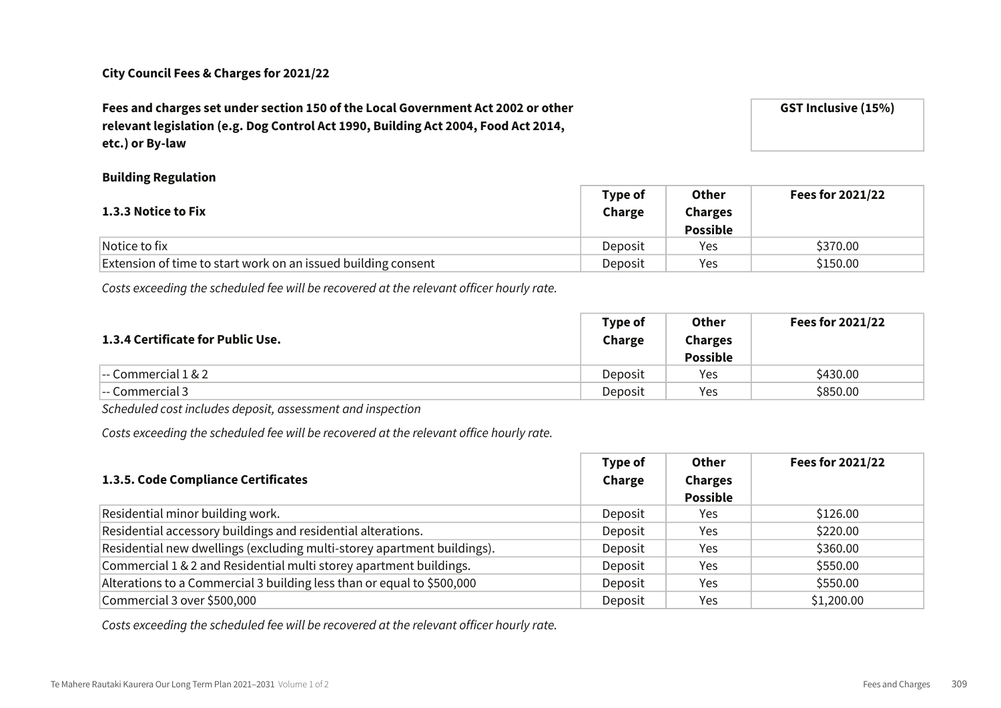# Fees and charges set under section 150 of the Local Government Act 2002 or other relevant legislation (e.g. Dog Control Act 1990, Building Act 2004, Food Act 2014, etc.) or By-law

GST Inclusive (15%)

# Building Regulation

| <b>1.3.3 Notice to Fix</b>                                    | Type of<br>Charge | Other<br><b>Charges</b><br><b>Possible</b> | <b>Fees for 2021/22</b> |
|---------------------------------------------------------------|-------------------|--------------------------------------------|-------------------------|
| Notice to fix                                                 | Deposit           | Yes                                        | \$370.00                |
| Extension of time to start work on an issued building consent | Deposit           | Yes                                        | \$150.00                |

Costs exceeding the scheduled fee will be recovered at the relevant officer hourly rate.

| 1.3.4 Certificate for Public Use.            | Type of<br>Charge | Other<br><b>Charges</b><br><b>Possible</b> | <b>Fees for 2021/22</b> |
|----------------------------------------------|-------------------|--------------------------------------------|-------------------------|
| $\left  - \text{Commercial } 1 \& 2 \right $ | Deposit           | Yes                                        | \$430.00                |
| -- Commercial 3                              | Deposit           | Yes                                        | \$850.00                |

Scheduled cost includes deposit, assessment and inspection

Costs exceeding the scheduled fee will be recovered at the relevant office hourly rate.

|                                                                         | Type of | Other           | Fees for 2021/22 |
|-------------------------------------------------------------------------|---------|-----------------|------------------|
| 1.3.5. Code Compliance Certificates                                     | Charge  | <b>Charges</b>  |                  |
|                                                                         |         | <b>Possible</b> |                  |
| Residential minor building work.                                        | Deposit | Yes.            | \$126.00         |
| Residential accessory buildings and residential alterations.            | Deposit | Yes             | \$220.00         |
| Residential new dwellings (excluding multi-storey apartment buildings). | Deposit | Yes             | \$360.00         |
| Commercial 1 & 2 and Residential multi storey apartment buildings.      | Deposit | Yes.            | \$550.00         |
| Alterations to a Commercial 3 building less than or equal to \$500,000  | Deposit | Yes             | \$550.00         |
| Commercial 3 over \$500,000                                             | Deposit | Yes             | \$1,200.00       |

Costs exceeding the scheduled fee will be recovered at the relevant officer hourly rate.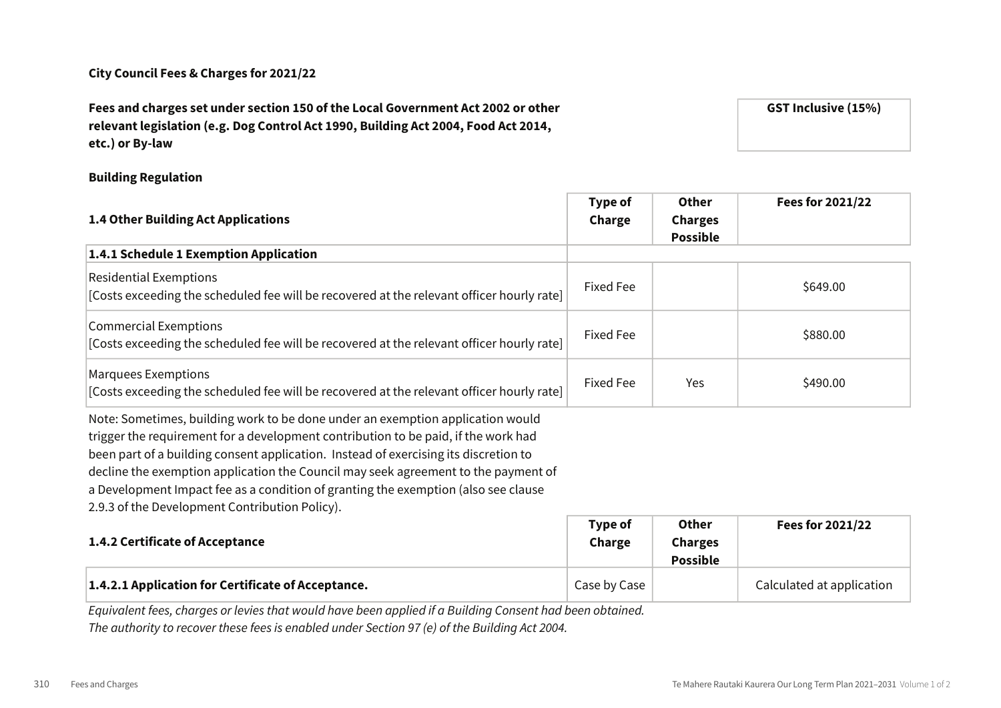# Fees and charges set under section 150 of the Local Government Act 2002 or other relevant legislation (e.g. Dog Control Act 1990, Building Act 2004, Food Act 2014, etc.) or By-law

#### Building Regulation

| 1.4 Other Building Act Applications                                                                                                                                                                                                                                                                                                                                                                                                                                                        | Type of<br>Charge | <b>Other</b><br><b>Charges</b><br><b>Possible</b>  | Fees for 2021/22 |
|--------------------------------------------------------------------------------------------------------------------------------------------------------------------------------------------------------------------------------------------------------------------------------------------------------------------------------------------------------------------------------------------------------------------------------------------------------------------------------------------|-------------------|----------------------------------------------------|------------------|
| 1.4.1 Schedule 1 Exemption Application                                                                                                                                                                                                                                                                                                                                                                                                                                                     |                   |                                                    |                  |
| <b>Residential Exemptions</b><br>[Costs exceeding the scheduled fee will be recovered at the relevant officer hourly rate]                                                                                                                                                                                                                                                                                                                                                                 | <b>Fixed Fee</b>  |                                                    | \$649.00         |
| <b>Commercial Exemptions</b><br>[Costs exceeding the scheduled fee will be recovered at the relevant officer hourly rate]                                                                                                                                                                                                                                                                                                                                                                  | Fixed Fee         |                                                    | \$880.00         |
| <b>Marquees Exemptions</b><br>[Costs exceeding the scheduled fee will be recovered at the relevant officer hourly rate]                                                                                                                                                                                                                                                                                                                                                                    | <b>Fixed Fee</b>  | Yes                                                | \$490.00         |
| Note: Sometimes, building work to be done under an exemption application would<br>trigger the requirement for a development contribution to be paid, if the work had<br>been part of a building consent application. Instead of exercising its discretion to<br>decline the exemption application the Council may seek agreement to the payment of<br>a Development Impact fee as a condition of granting the exemption (also see clause<br>2.9.3 of the Development Contribution Policy). |                   |                                                    |                  |
| 1.4.2 Certificate of Acceptance                                                                                                                                                                                                                                                                                                                                                                                                                                                            | Type of<br>Charge | <b>Other</b><br><b>Charges</b><br>8. <b>1. I</b> . | Fees for 2021/22 |

|                                                                                                         |              | POSSIDIE |                           |
|---------------------------------------------------------------------------------------------------------|--------------|----------|---------------------------|
| 1.4.2.1 Application for Certificate of Acceptance.                                                      | Case by Case |          | Calculated at application |
| Equivalent foos, charace or levies that would have been applied if a Building Consent had been obtained |              |          |                           |

Equivalent fees, charges or levies that would have been applied if a Building Consent had been obtained. The authority to recover these fees is enabled under Section 97 (e) of the Building Act 2004.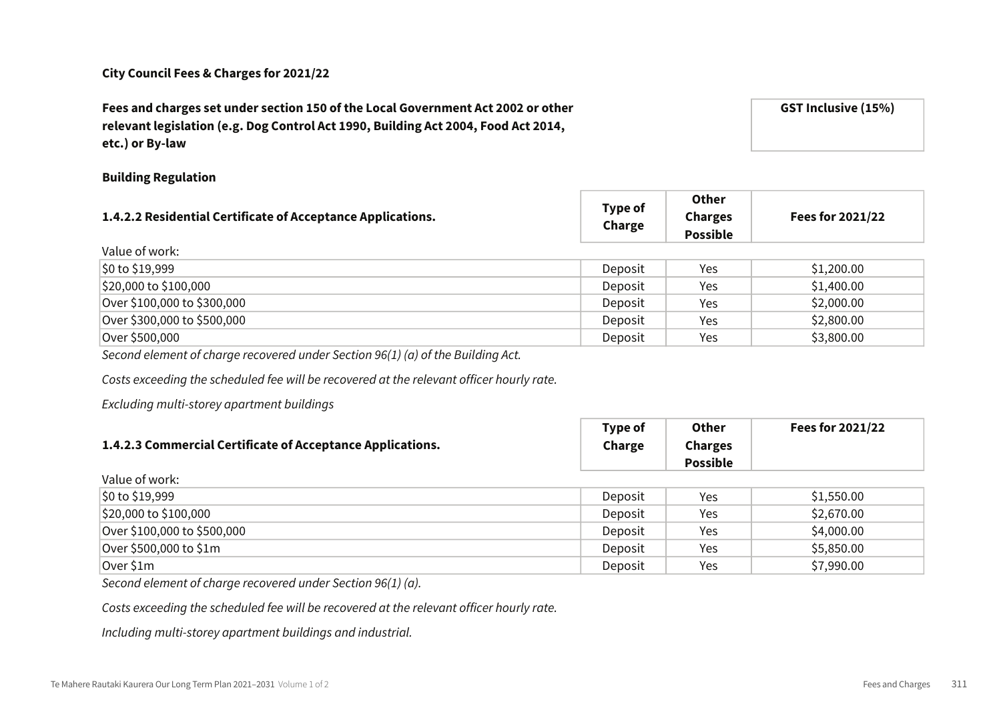Fees and charges set under section 150 of the Local Government Act 2002 or other  $\cot 2004$ , Food Act 2014,

Building Regulation

| Charge  | <b>Charges</b><br><b>Possible</b> | Fees for 2021/22 |
|---------|-----------------------------------|------------------|
|         |                                   |                  |
| Deposit | Yes                               | \$1,200.00       |
| Deposit | Yes                               | \$1,400.00       |
| Deposit | Yes                               | \$2,000.00       |
| Deposit | Yes                               | \$2,800.00       |
| Deposit | Yes                               | \$3,800.00       |
|         | Type of                           |                  |

Second element of charge recovered under Section 96(1) (a) of the Building Act.

Costs exceeding the scheduled fee will be recovered at the relevant officer hourly rate.

Excluding multi-storey apartment buildings

|                                                            | Type of | Other           | Fees for 2021/22 |
|------------------------------------------------------------|---------|-----------------|------------------|
| 1.4.2.3 Commercial Certificate of Acceptance Applications. | Charge  | <b>Charges</b>  |                  |
|                                                            |         | <b>Possible</b> |                  |
| وباءون کو میں اجلا                                         |         |                 |                  |

| valut UI WUIN.              |         |     |            |
|-----------------------------|---------|-----|------------|
| $\frac{1}{20}$ to \$19,999  | Deposit | Yes | \$1,550.00 |
| $ $20,000$ to $$100,000$    | Deposit | Yes | \$2,670.00 |
| Over \$100,000 to \$500,000 | Deposit | Yes | \$4,000.00 |
| Over \$500,000 to \$1m      | Deposit | Yes | \$5,850.00 |
| Over \$1m                   | Deposit | Yes | \$7,990.00 |

Second element of charge recovered under Section 96(1) (a).

Costs exceeding the scheduled fee will be recovered at the relevant officer hourly rate.

Including multi-storey apartment buildings and industrial.

| I CC3 and Charges Set and Cristion 190 or the Eocal Oover   |
|-------------------------------------------------------------|
| relevant legislation (e.g. Dog Control Act 1990, Building A |
| etc.) or By-law                                             |
|                                                             |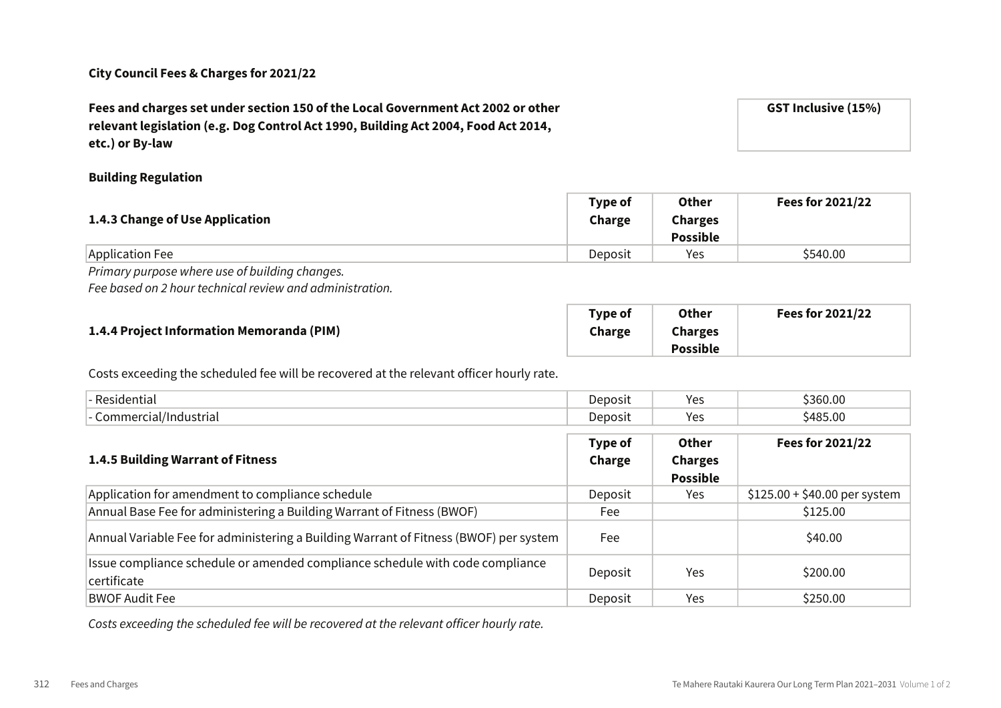Fees and charges set under section 150 of the Local Government Act 2002 or other relevant legislation (e.g. Dog Control Act 1990, Building Act 2004, Food Act 2014, etc.) or By-law

#### Building Regulation

| 1.4.3 Change of Use Application | <b>Type of</b><br>Charge | <b>Other</b><br><b>Charges</b><br><b>Possible</b> | Fees for 2021/22 |
|---------------------------------|--------------------------|---------------------------------------------------|------------------|
| Application Fee                 | Deposit                  | Yes                                               | \$540.00         |
|                                 |                          |                                                   |                  |

Primary purpose where use of building changes.

Fee based on 2 hour technical review and administration.

|                                           | Type of | <b>Other</b>    | Fees for 2021/22 |
|-------------------------------------------|---------|-----------------|------------------|
| 1.4.4 Project Information Memoranda (PIM) | Charge  | <b>Charges</b>  |                  |
|                                           |         | <b>Possible</b> |                  |

Costs exceeding the scheduled fee will be recovered at the relevant officer hourly rate.

| -- Residentie'                      | Jeposit                                        | ۷۵<br>. J J | $\sim$<br>. . <i>. .</i><br>v.vu |
|-------------------------------------|------------------------------------------------|-------------|----------------------------------|
| '/Industriai<br>.or<br>. .<br>10 L. | Deposit<br>the contract of the contract of the | ∨≏<br>.     | $\sim$<br>:10F<br>1.VIV          |

| <b>1.4.5 Building Warrant of Fitness</b>                                                     | Type of<br>Charge | <b>Other</b><br><b>Charges</b><br><b>Possible</b> | Fees for 2021/22              |
|----------------------------------------------------------------------------------------------|-------------------|---------------------------------------------------|-------------------------------|
| Application for amendment to compliance schedule                                             | Deposit           | Yes.                                              | $$125.00 + $40.00$ per system |
| Annual Base Fee for administering a Building Warrant of Fitness (BWOF)                       | Fee               |                                                   | \$125.00                      |
| Annual Variable Fee for administering a Building Warrant of Fitness (BWOF) per system        | Fee               |                                                   | \$40.00                       |
| Issue compliance schedule or amended compliance schedule with code compliance<br>certificate | Deposit           | Yes                                               | \$200.00                      |
| <b>BWOF Audit Fee</b>                                                                        | Deposit           | Yes                                               | \$250.00                      |

Costs exceeding the scheduled fee will be recovered at the relevant officer hourly rate.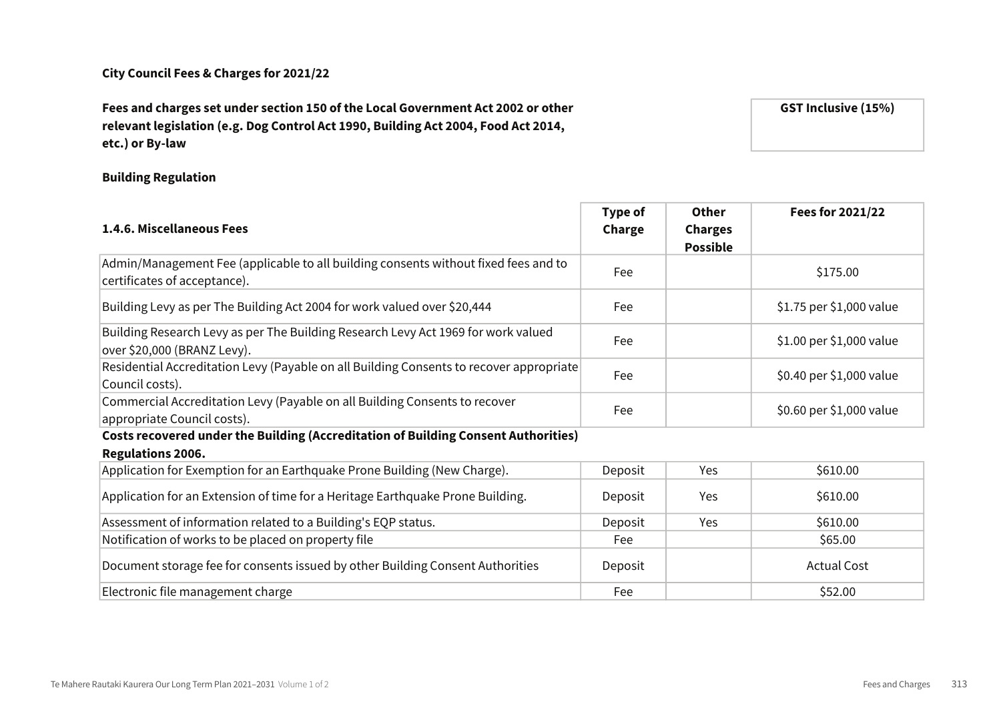# Fees and charges set under section 150 of the Local Government Act 2002 or other relevant legislation (e.g. Dog Control Act 1990, Building Act 2004, Food Act 2014, etc.) or By-law

Building Regulation

| 1.4.6. Miscellaneous Fees                                                                                           | Type of<br>Charge | <b>Other</b><br><b>Charges</b><br><b>Possible</b> | Fees for 2021/22         |
|---------------------------------------------------------------------------------------------------------------------|-------------------|---------------------------------------------------|--------------------------|
| Admin/Management Fee (applicable to all building consents without fixed fees and to<br>certificates of acceptance). | Fee               |                                                   | \$175.00                 |
| Building Levy as per The Building Act 2004 for work valued over \$20,444                                            | Fee               |                                                   | \$1.75 per \$1,000 value |
| Building Research Levy as per The Building Research Levy Act 1969 for work valued<br>over \$20,000 (BRANZ Levy).    | Fee               |                                                   | \$1.00 per \$1,000 value |
| Residential Accreditation Levy (Payable on all Building Consents to recover appropriate<br>Council costs).          | Fee               |                                                   | \$0.40 per \$1,000 value |
| Commercial Accreditation Levy (Payable on all Building Consents to recover<br>appropriate Council costs).           | Fee               |                                                   | \$0.60 per \$1,000 value |
| <b>Costs recovered under the Building (Accreditation of Building Consent Authorities)</b>                           |                   |                                                   |                          |
| <b>Regulations 2006.</b>                                                                                            |                   |                                                   |                          |
| Application for Exemption for an Earthquake Prone Building (New Charge).                                            | Deposit           | Yes                                               | \$610.00                 |
| Application for an Extension of time for a Heritage Earthquake Prone Building.                                      | Deposit           | Yes                                               | \$610.00                 |
| Assessment of information related to a Building's EQP status.                                                       | Deposit           | Yes                                               | \$610.00                 |
| Notification of works to be placed on property file                                                                 | Fee               |                                                   | \$65.00                  |
| Document storage fee for consents issued by other Building Consent Authorities                                      | Deposit           |                                                   | <b>Actual Cost</b>       |
| Electronic file management charge                                                                                   | Fee               |                                                   | \$52.00                  |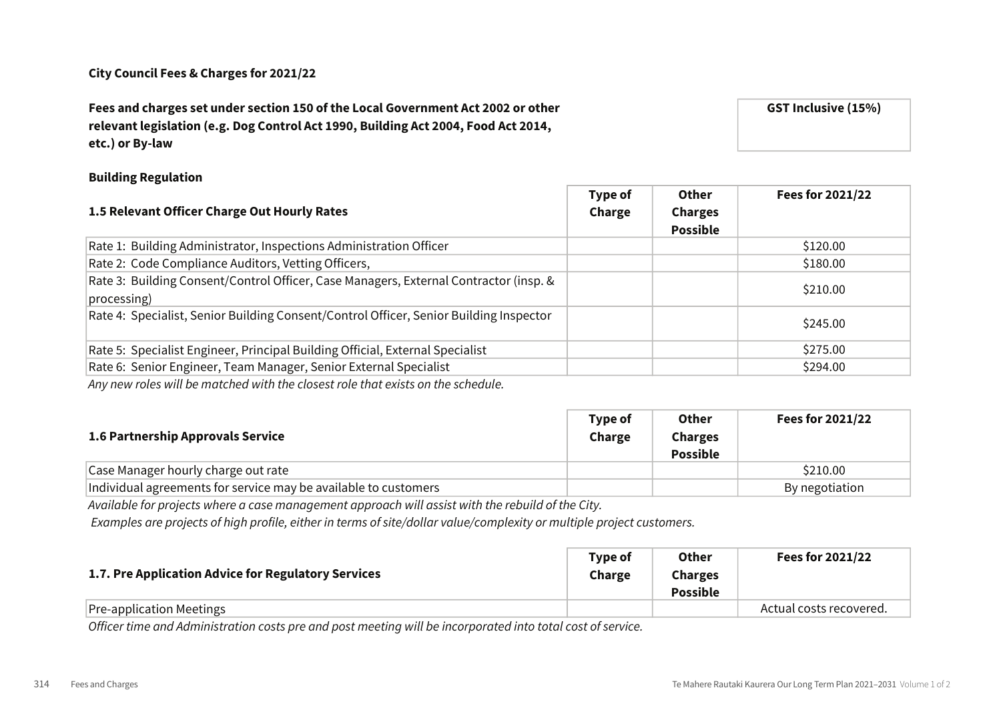# Fees and charges set under section 150 of the Local Government Act 2002 or other relevant legislation (e.g. Dog Control Act 1990, Building Act 2004, Food Act 2014, etc.) or By-law

## Building Regulation

| 1.5 Relevant Officer Charge Out Hourly Rates                                                         | Type of<br>Charge | Other<br><b>Charges</b><br><b>Possible</b> | <b>Fees for 2021/22</b> |
|------------------------------------------------------------------------------------------------------|-------------------|--------------------------------------------|-------------------------|
| Rate 1: Building Administrator, Inspections Administration Officer                                   |                   |                                            | \$120.00                |
| Rate 2: Code Compliance Auditors, Vetting Officers,                                                  |                   |                                            | \$180.00                |
| Rate 3: Building Consent/Control Officer, Case Managers, External Contractor (insp. &<br>processing) |                   |                                            | \$210.00                |
| Rate 4: Specialist, Senior Building Consent/Control Officer, Senior Building Inspector               |                   |                                            | \$245.00                |
| Rate 5: Specialist Engineer, Principal Building Official, External Specialist                        |                   |                                            | \$275.00                |
| Rate 6: Senior Engineer, Team Manager, Senior External Specialist                                    |                   |                                            | \$294.00                |
|                                                                                                      |                   |                                            |                         |

Any new roles will be matched with the closest role that exists on the schedule.

| 1.6 Partnership Approvals Service                               | Type of<br>Charge | Other<br><b>Charges</b><br><b>Possible</b> | Fees for 2021/22 |
|-----------------------------------------------------------------|-------------------|--------------------------------------------|------------------|
| Case Manager hourly charge out rate                             |                   |                                            | \$210.00         |
| Individual agreements for service may be available to customers |                   |                                            | By negotiation   |

Available for projects where a case management approach will assist with the rebuild of the City.

Examples are projects of high profile, either in terms of site/dollar value/complexity or multiple project customers.

| 1.7. Pre Application Advice for Regulatory Services | Tvpe of<br>Charge | <b>Other</b><br><b>Charges</b><br><b>Possible</b> | Fees for 2021/22        |
|-----------------------------------------------------|-------------------|---------------------------------------------------|-------------------------|
| Pre-application Meetings                            |                   |                                                   | Actual costs recovered. |

Officer time and Administration costs pre and post meeting will be incorporated into total cost of service.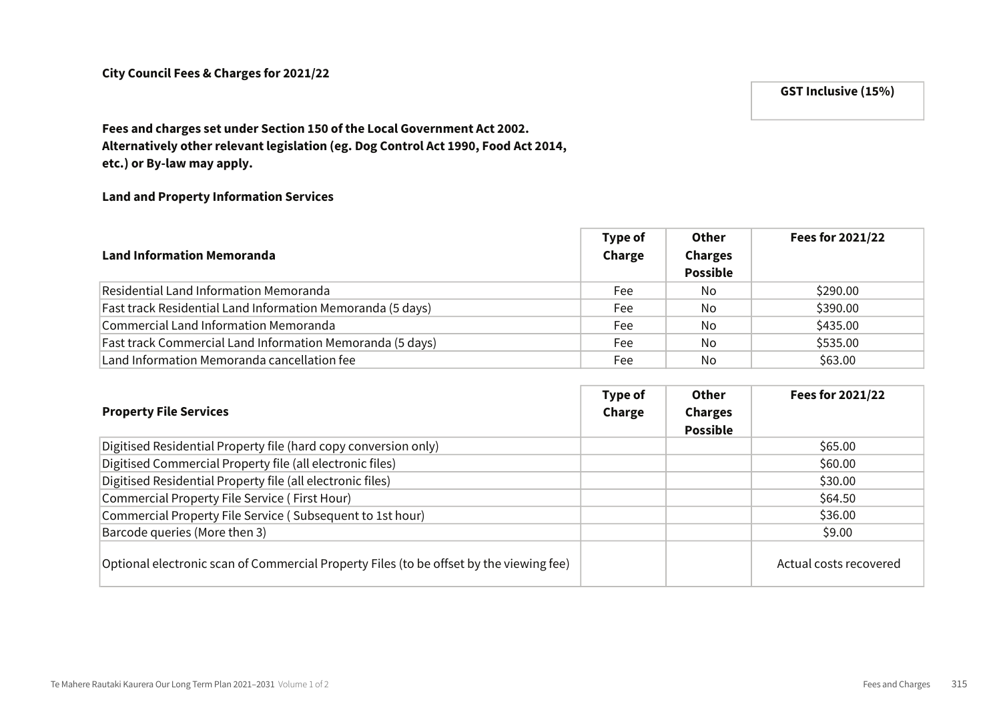# GST Inclusive (15%)

# Fees and charges set under Section 150 of the Local Government Act 2002. Alternatively other relevant legislation (eg. Dog Control Act 1990, Food Act 2014, etc.) or By-law may apply.

#### Land and Property Information Services

| <b>Land Information Memoranda</b>                          | Type of<br>Charge | Other<br><b>Charges</b><br><b>Possible</b> | Fees for 2021/22 |
|------------------------------------------------------------|-------------------|--------------------------------------------|------------------|
| Residential Land Information Memoranda                     | Fee               | No.                                        | \$290.00         |
| Fast track Residential Land Information Memoranda (5 days) | Fee               | No.                                        | \$390.00         |
| Commercial Land Information Memoranda                      | Fee               | No.                                        | \$435.00         |
| Fast track Commercial Land Information Memoranda (5 days)  | Fee               | No                                         | \$535.00         |
| Land Information Memoranda cancellation fee                | Fee               | No                                         | \$63.00          |

| <b>Property File Services</b>                                                           | Type of<br>Charge | Other<br><b>Charges</b><br><b>Possible</b> | Fees for 2021/22       |
|-----------------------------------------------------------------------------------------|-------------------|--------------------------------------------|------------------------|
| Digitised Residential Property file (hard copy conversion only)                         |                   |                                            | \$65.00                |
| Digitised Commercial Property file (all electronic files)                               |                   |                                            | \$60.00                |
| Digitised Residential Property file (all electronic files)                              |                   |                                            | \$30.00                |
| Commercial Property File Service (First Hour)                                           |                   |                                            | \$64.50                |
| Commercial Property File Service (Subsequent to 1st hour)                               |                   |                                            | \$36.00                |
| Barcode queries (More then 3)                                                           |                   |                                            | \$9.00                 |
| Optional electronic scan of Commercial Property Files (to be offset by the viewing fee) |                   |                                            | Actual costs recovered |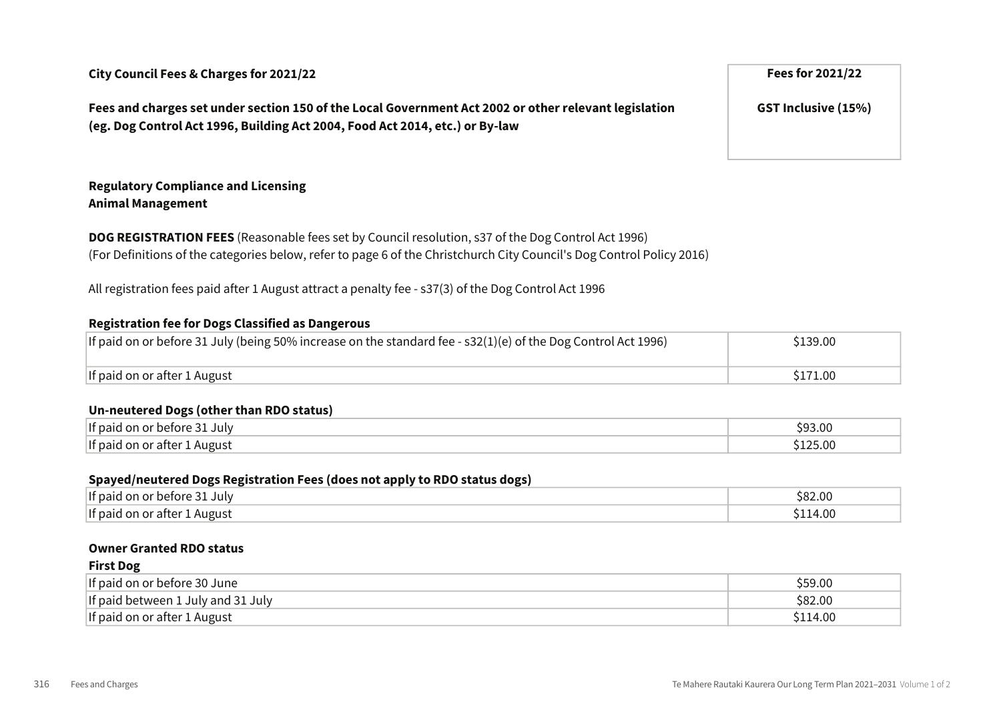Fees and charges set under section 150 of the Local Government Act 2002 or other relevant legislation (eg. Dog Control Act 1996, Building Act 2004, Food Act 2014, etc.) or By-law

### Regulatory Compliance and Licensing Animal Management

DOG REGISTRATION FEES (Reasonable fees set by Council resolution, s37 of the Dog Control Act 1996) (For Definitions of the categories below, refer to page 6 of the Christchurch City Council's Dog Control Policy 2016)

All registration fees paid after 1 August attract a penalty fee - s37(3) of the Dog Control Act 1996

#### Registration fee for Dogs Classified as Dangerous

| If paid on or before 31 July (being 50% increase on the standard fee - $s32(1)(e)$ of the Dog Control Act 1996) | \$139.00            |
|-----------------------------------------------------------------------------------------------------------------|---------------------|
| If paid on or after 1 August                                                                                    | S <sub>171.00</sub> |

#### Un-neutered Dogs (other than RDO status)

| If paid<br>July<br>nr.<br>- Or<br>berore | 3.00     |
|------------------------------------------|----------|
| If paic<br>1 August<br>r after .<br>Ωr   | 5.00<br> |

#### Spayed/neutered Dogs Registration Fees (does not apply to RDO status dogs)

| If paid<br>July<br>perore              | <b>S82.0u</b> |
|----------------------------------------|---------------|
| lIf paid<br>August<br>or aftei<br>. OF | L4.00         |

#### Owner Granted RDO status

First Dog

| <b>FIISL DOR</b>                   |         |
|------------------------------------|---------|
| If paid on or before 30 June       | \$59.00 |
| If paid between 1 July and 31 July | \$82.00 |
| If paid on or after 1 August       | 114.00  |

GST Inclusive (15%)

316 Fees and Charges Te Mahere Rautaki Kaurera Our Long Term Plan 2021–2031 Volume 1 of 2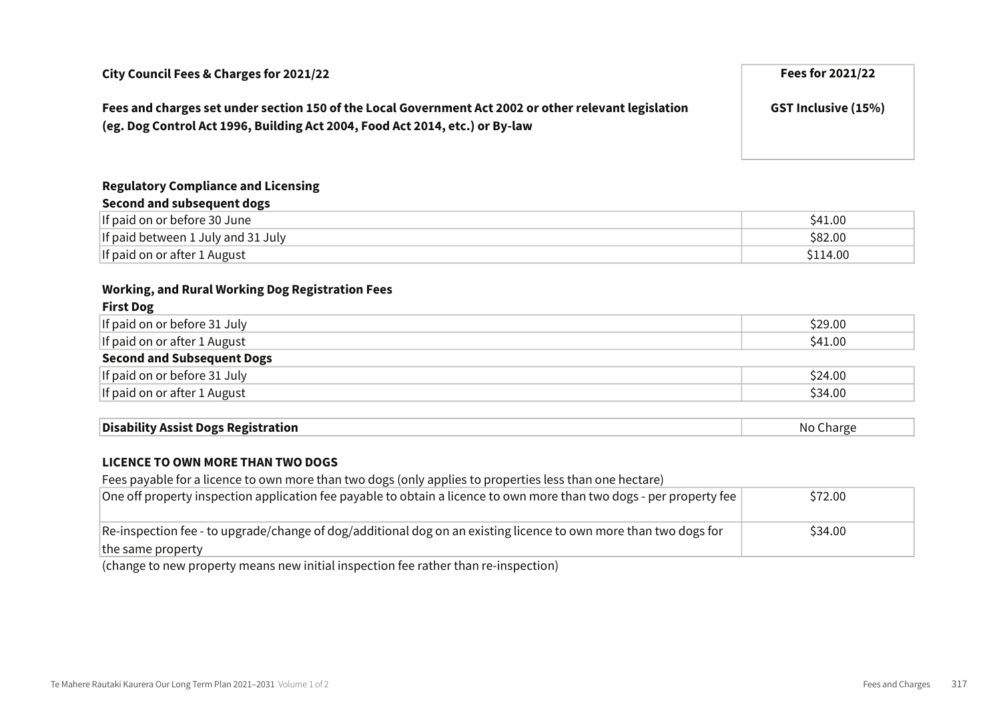| City Council Fees & Charges for 2021/22                                                                                                                                               | Fees for 2021/22           |
|---------------------------------------------------------------------------------------------------------------------------------------------------------------------------------------|----------------------------|
| Fees and charges set under section 150 of the Local Government Act 2002 or other relevant legislation<br>(eg. Dog Control Act 1996, Building Act 2004, Food Act 2014, etc.) or By-law | <b>GST Inclusive (15%)</b> |

# Regulatory Compliance and Licensing

| Second and subsequent dogs         |          |
|------------------------------------|----------|
| If paid on or before 30 June       | S41.00   |
| If paid between 1 July and 31 July | \$82.00  |
| If paid on or after 1 August       | \$114.00 |

# Working, and Rural Working Dog Registration Fees

| <b>First Dog</b>                  |         |
|-----------------------------------|---------|
| If paid on or before 31 July      | \$29.00 |
| If paid on or after 1 August      | \$41.00 |
| <b>Second and Subsequent Dogs</b> |         |
| If paid on or before 31 July      | \$24.00 |
| If paid on or after 1 August      | \$34.00 |
|                                   |         |

| <b>Disability Assist Dogs Registration</b> | חוח<br>aarg. |
|--------------------------------------------|--------------|
|--------------------------------------------|--------------|

# LICENCE TO OWN MORE THAN TWO DOGS

Fees payable for a licence to own more than two dogs (only applies to properties less than one hectare)

| One off property inspection application fee payable to obtain a licence to own more than two dogs - per property fee | \$72.00 |
|----------------------------------------------------------------------------------------------------------------------|---------|
| Re-inspection fee - to upgrade/change of dog/additional dog on an existing licence to own more than two dogs for     | \$34.00 |
| the same property                                                                                                    |         |
| .                                                                                                                    |         |

(change to new property means new initial inspection fee rather than re-inspection)